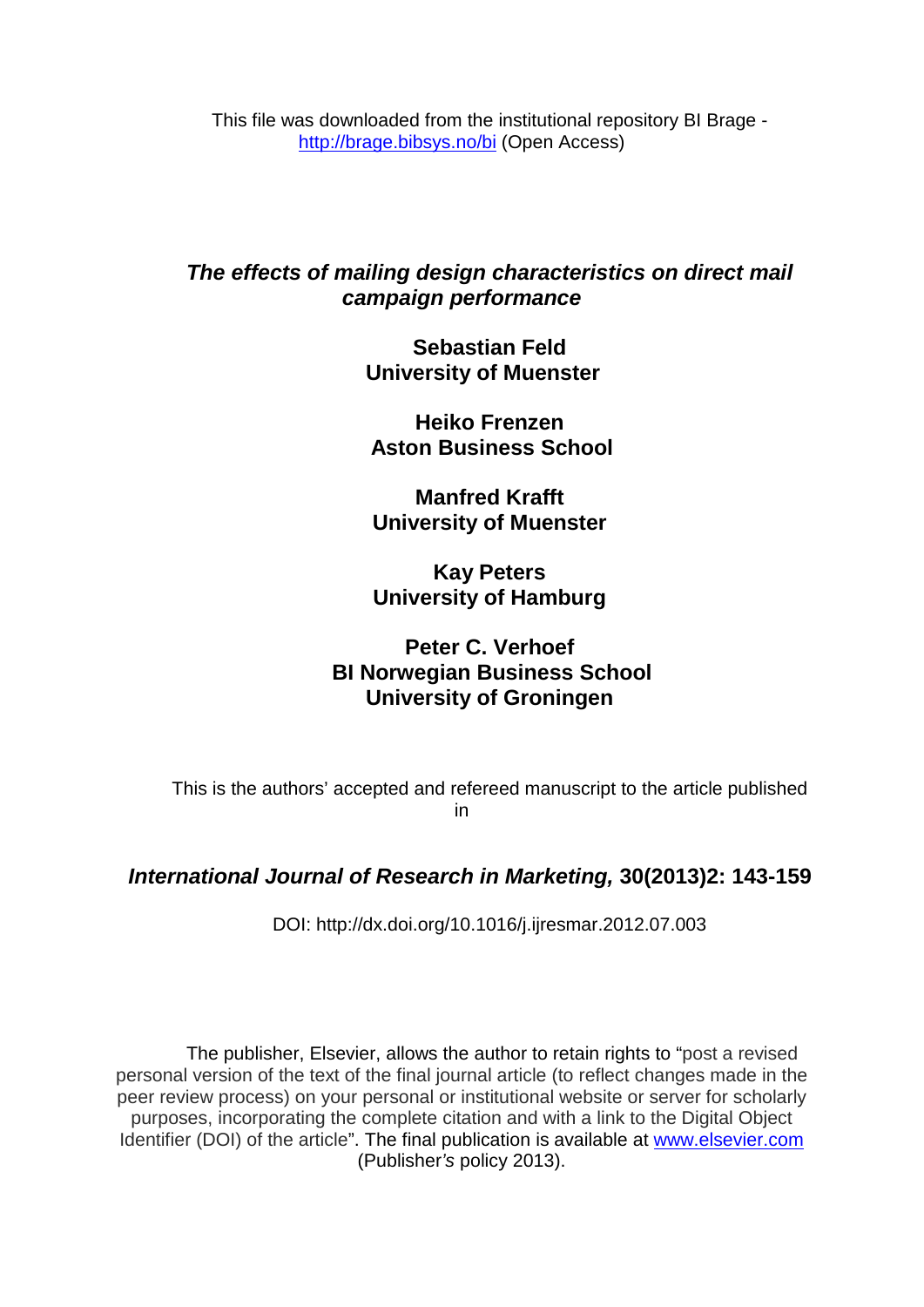This file was downloaded from the institutional repository BI Brage <http://brage.bibsys.no/bi> (Open Access)

# *The effects of mailing design characteristics on direct mail campaign performance*

**Sebastian Feld University of Muenster**

**Heiko Frenzen Aston Business School**

**Manfred Krafft University of Muenster**

**Kay Peters University of Hamburg**

# **Peter C. Verhoef BI Norwegian Business School University of Groningen**

This is the authors' accepted and refereed manuscript to the article published in

# *International Journal of Research in Marketing,* **30(2013)2: 143-159**

DOI: http://dx.doi.org[/10.1016/j.ijresmar.2012.07.003](http://dx.doi.org/10.1016/j.ijresmar.2012.07.003)

The publisher, Elsevier, allows the author to retain rights to "post a revised personal version of the text of the final journal article (to reflect changes made in the peer review process) on your personal or institutional website or server for scholarly purposes, incorporating the complete citation and with a link to the Digital Object Identifier (DOI) of the article". The final publication is available at [www.elsevier.com](http://www.elsevier.com/) (Publisher*'s* policy 2013).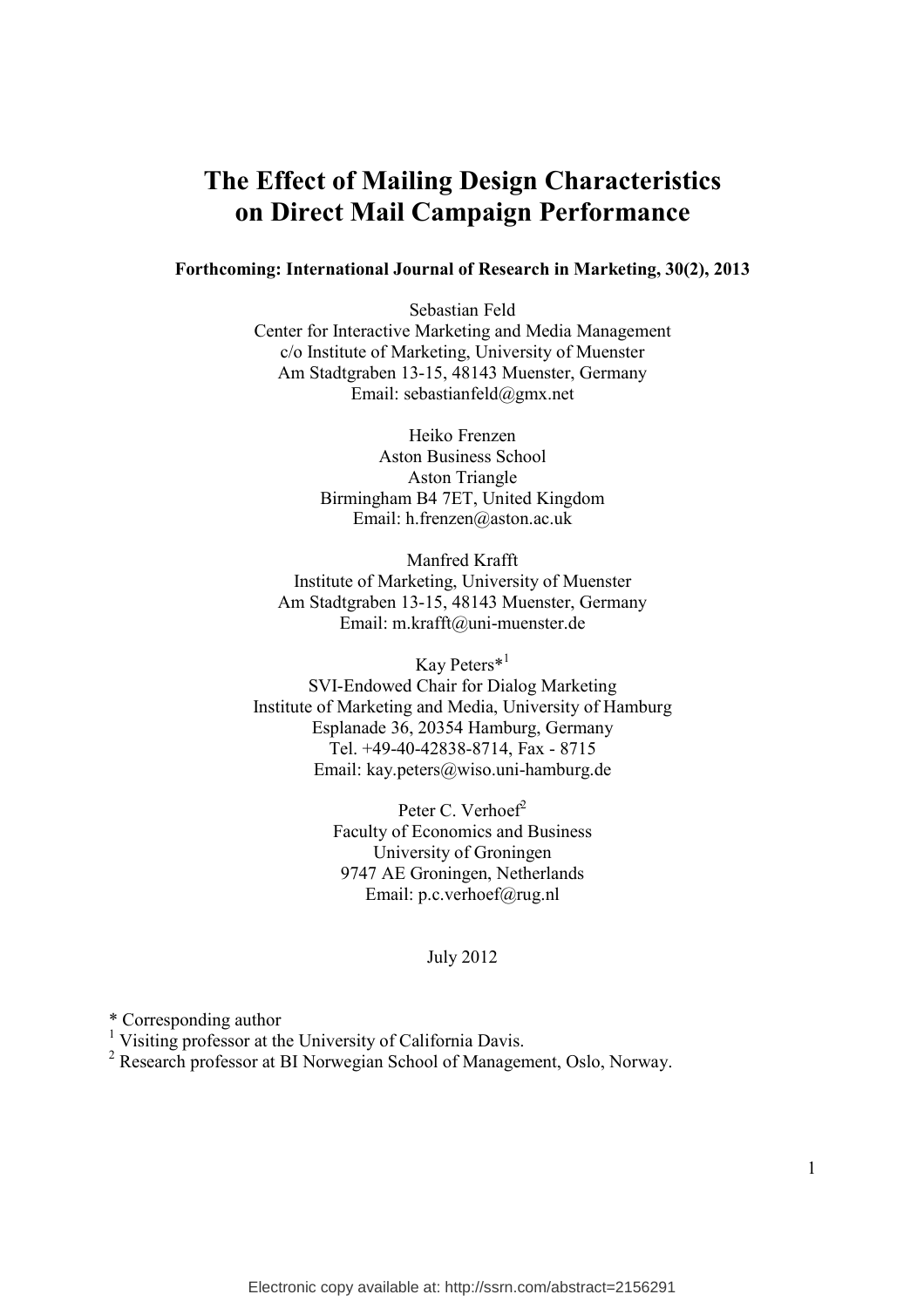# **The Effect of Mailing Design Characteristics on Direct Mail Campaign Performance**

#### **Forthcoming: International Journal of Research in Marketing, 30(2), 2013**

Sebastian Feld Center for Interactive Marketing and Media Management c/o Institute of Marketing, University of Muenster Am Stadtgraben 13-15, 48143 Muenster, Germany Email: sebastianfeld@gmx.net

> Heiko Frenzen Aston Business School Aston Triangle Birmingham B4 7ET, United Kingdom Email: h.frenzen@aston.ac.uk

Manfred Krafft Institute of Marketing, University of Muenster Am Stadtgraben 13-15, 48143 Muenster, Germany Email: m.krafft@uni-muenster.de

Kay Peters\*<sup>1</sup> SVI-Endowed Chair for Dialog Marketing Institute of Marketing and Media, University of Hamburg Esplanade 36, 20354 Hamburg, Germany Tel. +49-40-42838-8714, Fax - 8715 Email: kay.peters@wiso.uni-hamburg.de

> Peter C. Verhoef<sup>2</sup> Faculty of Economics and Business University of Groningen 9747 AE Groningen, Netherlands Email: p.c.verhoef@rug.nl

### July 2012

\* Corresponding author

<sup>1</sup> Visiting professor at the University of California Davis.

<sup>2</sup> Research professor at BI Norwegian School of Management, Oslo, Norway.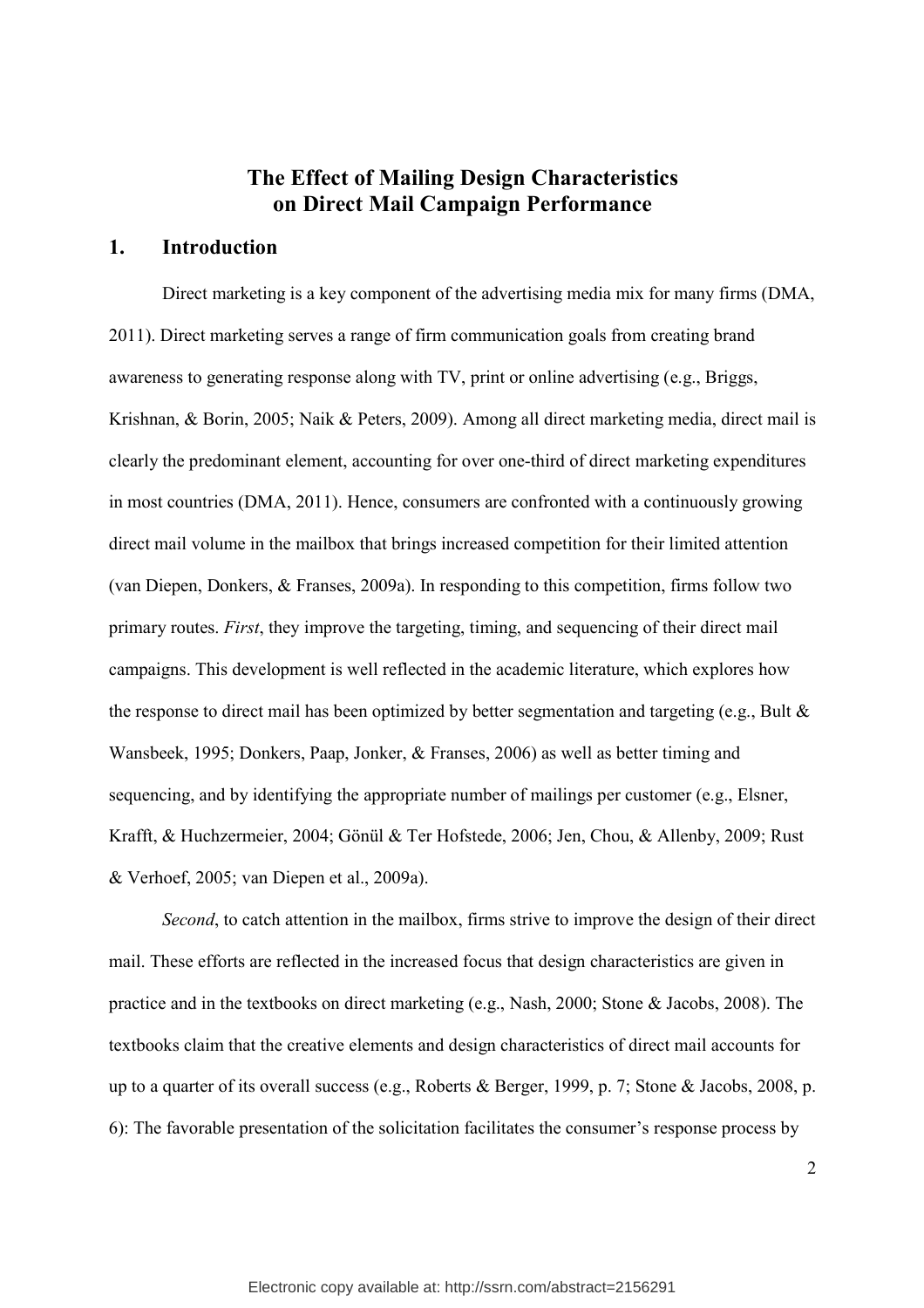# **The Effect of Mailing Design Characteristics on Direct Mail Campaign Performance**

### **1. Introduction**

Direct marketing is a key component of the advertising media mix for many firms (DMA, 2011). Direct marketing serves a range of firm communication goals from creating brand awareness to generating response along with TV, print or online advertising (e.g., Briggs, Krishnan, & Borin, 2005; Naik & Peters, 2009). Among all direct marketing media, direct mail is clearly the predominant element, accounting for over one-third of direct marketing expenditures in most countries (DMA, 2011). Hence, consumers are confronted with a continuously growing direct mail volume in the mailbox that brings increased competition for their limited attention (van Diepen, Donkers, & Franses, 2009a). In responding to this competition, firms follow two primary routes. *First*, they improve the targeting, timing, and sequencing of their direct mail campaigns. This development is well reflected in the academic literature, which explores how the response to direct mail has been optimized by better segmentation and targeting (e.g., Bult & Wansbeek, 1995; Donkers, Paap, Jonker, & Franses, 2006) as well as better timing and sequencing, and by identifying the appropriate number of mailings per customer (e.g., Elsner, Krafft, & Huchzermeier, 2004; Gönül & Ter Hofstede, 2006; Jen, Chou, & Allenby, 2009; Rust & Verhoef, 2005; van Diepen et al., 2009a).

*Second*, to catch attention in the mailbox, firms strive to improve the design of their direct mail. These efforts are reflected in the increased focus that design characteristics are given in practice and in the textbooks on direct marketing (e.g., Nash, 2000; Stone & Jacobs, 2008). The textbooks claim that the creative elements and design characteristics of direct mail accounts for up to a quarter of its overall success (e.g., Roberts & Berger, 1999, p. 7; Stone & Jacobs, 2008, p. 6): The favorable presentation of the solicitation facilitates the consumer's response process by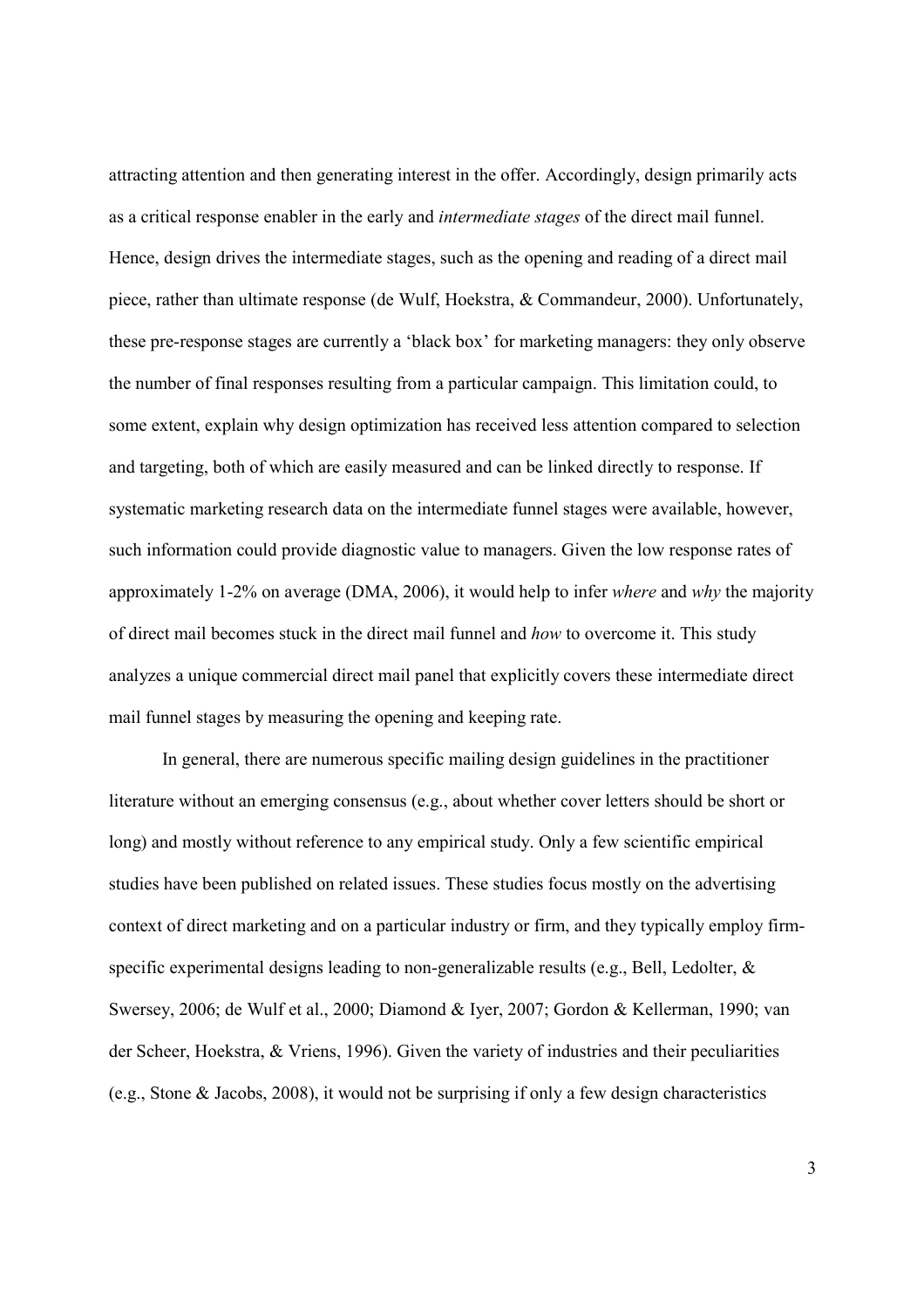attracting attention and then generating interest in the offer. Accordingly, design primarily acts as a critical response enabler in the early and *intermediate stages* of the direct mail funnel. Hence, design drives the intermediate stages, such as the opening and reading of a direct mail piece, rather than ultimate response (de Wulf, Hoekstra, & Commandeur, 2000). Unfortunately, these pre-response stages are currently a 'black box' for marketing managers: they only observe the number of final responses resulting from a particular campaign. This limitation could, to some extent, explain why design optimization has received less attention compared to selection and targeting, both of which are easily measured and can be linked directly to response. If systematic marketing research data on the intermediate funnel stages were available, however, such information could provide diagnostic value to managers. Given the low response rates of approximately 1-2% on average (DMA, 2006), it would help to infer *where* and *why* the majority of direct mail becomes stuck in the direct mail funnel and *how* to overcome it. This study analyzes a unique commercial direct mail panel that explicitly covers these intermediate direct mail funnel stages by measuring the opening and keeping rate.

In general, there are numerous specific mailing design guidelines in the practitioner literature without an emerging consensus (e.g., about whether cover letters should be short or long) and mostly without reference to any empirical study. Only a few scientific empirical studies have been published on related issues. These studies focus mostly on the advertising context of direct marketing and on a particular industry or firm, and they typically employ firmspecific experimental designs leading to non-generalizable results (e.g., Bell, Ledolter, & Swersey, 2006; de Wulf et al., 2000; Diamond & Iyer, 2007; Gordon & Kellerman, 1990; van der Scheer, Hoekstra, & Vriens, 1996). Given the variety of industries and their peculiarities (e.g., Stone & Jacobs, 2008), it would not be surprising if only a few design characteristics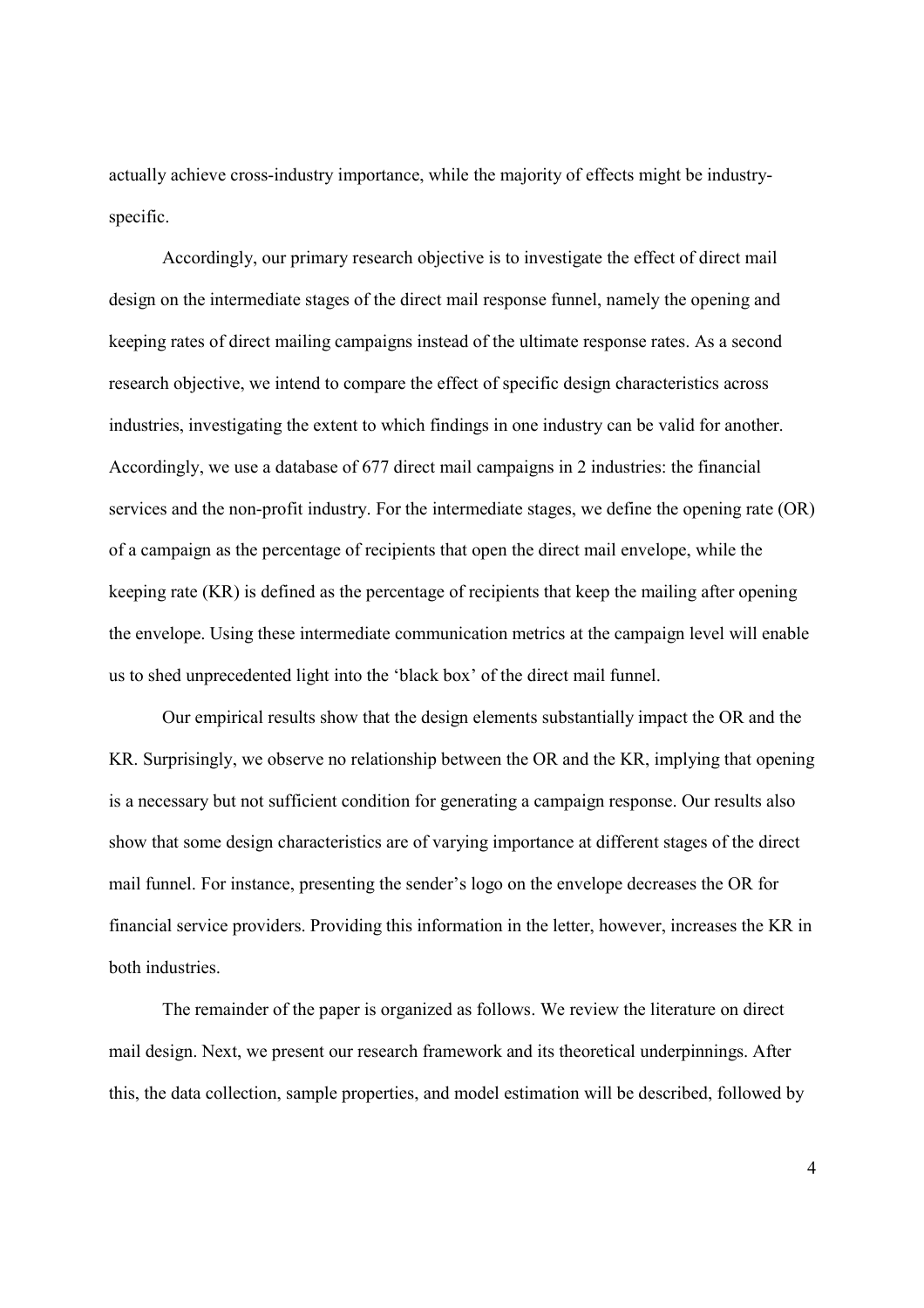actually achieve cross-industry importance, while the majority of effects might be industryspecific.

Accordingly, our primary research objective is to investigate the effect of direct mail design on the intermediate stages of the direct mail response funnel, namely the opening and keeping rates of direct mailing campaigns instead of the ultimate response rates. As a second research objective, we intend to compare the effect of specific design characteristics across industries, investigating the extent to which findings in one industry can be valid for another. Accordingly, we use a database of 677 direct mail campaigns in 2 industries: the financial services and the non-profit industry. For the intermediate stages, we define the opening rate (OR) of a campaign as the percentage of recipients that open the direct mail envelope, while the keeping rate (KR) is defined as the percentage of recipients that keep the mailing after opening the envelope. Using these intermediate communication metrics at the campaign level will enable us to shed unprecedented light into the 'black box' of the direct mail funnel.

Our empirical results show that the design elements substantially impact the OR and the KR. Surprisingly, we observe no relationship between the OR and the KR, implying that opening is a necessary but not sufficient condition for generating a campaign response. Our results also show that some design characteristics are of varying importance at different stages of the direct mail funnel. For instance, presenting the sender's logo on the envelope decreases the OR for financial service providers. Providing this information in the letter, however, increases the KR in both industries.

The remainder of the paper is organized as follows. We review the literature on direct mail design. Next, we present our research framework and its theoretical underpinnings. After this, the data collection, sample properties, and model estimation will be described, followed by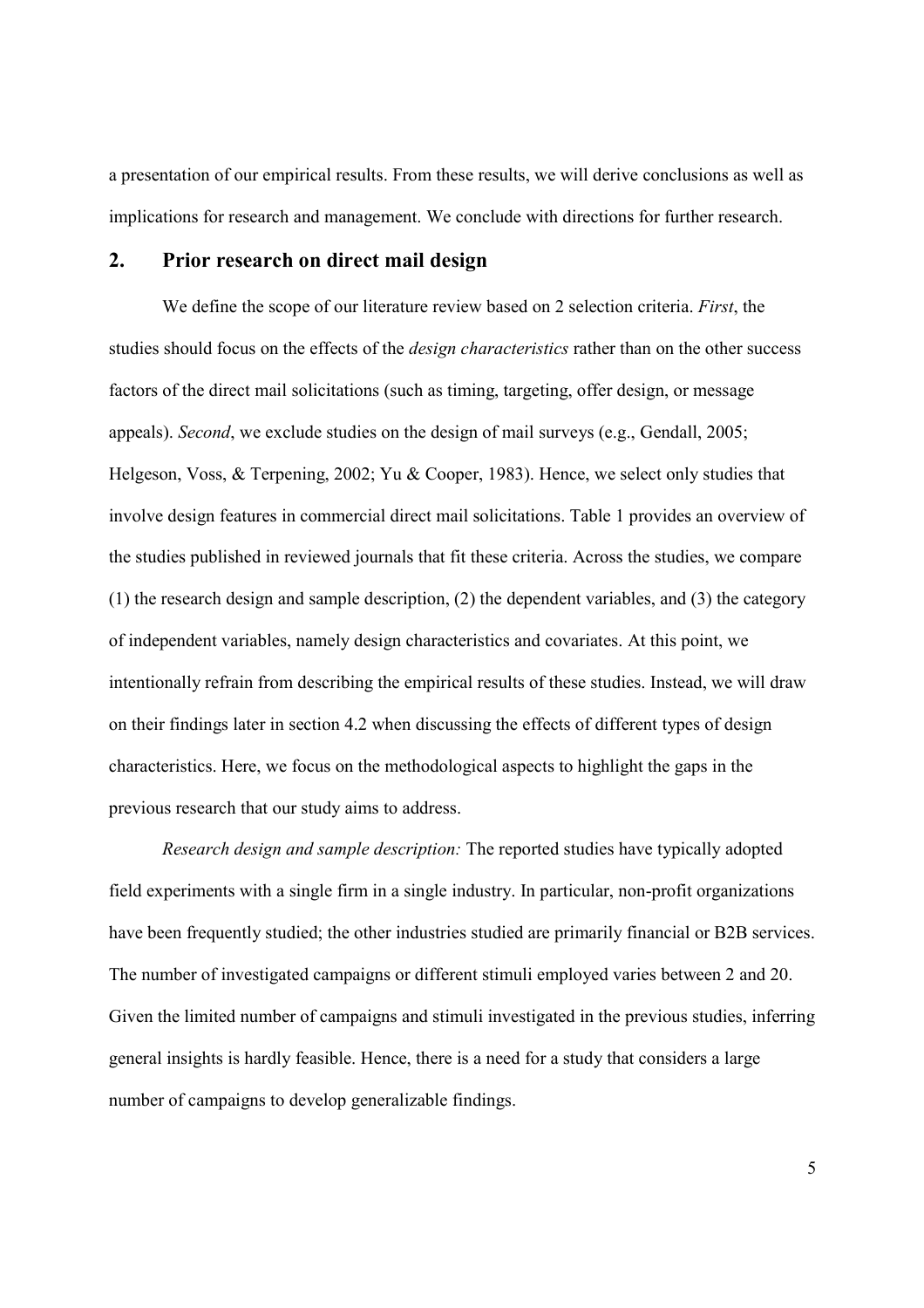a presentation of our empirical results. From these results, we will derive conclusions as well as implications for research and management. We conclude with directions for further research.

### **2. Prior research on direct mail design**

We define the scope of our literature review based on 2 selection criteria. *First*, the studies should focus on the effects of the *design characteristics* rather than on the other success factors of the direct mail solicitations (such as timing, targeting, offer design, or message appeals). *Second*, we exclude studies on the design of mail surveys (e.g., Gendall, 2005; Helgeson, Voss, & Terpening, 2002; Yu & Cooper, 1983). Hence, we select only studies that involve design features in commercial direct mail solicitations. Table 1 provides an overview of the studies published in reviewed journals that fit these criteria. Across the studies, we compare (1) the research design and sample description, (2) the dependent variables, and (3) the category of independent variables, namely design characteristics and covariates. At this point, we intentionally refrain from describing the empirical results of these studies. Instead, we will draw on their findings later in section 4.2 when discussing the effects of different types of design characteristics. Here, we focus on the methodological aspects to highlight the gaps in the previous research that our study aims to address.

*Research design and sample description:* The reported studies have typically adopted field experiments with a single firm in a single industry. In particular, non-profit organizations have been frequently studied; the other industries studied are primarily financial or B2B services. The number of investigated campaigns or different stimuli employed varies between 2 and 20. Given the limited number of campaigns and stimuli investigated in the previous studies, inferring general insights is hardly feasible. Hence, there is a need for a study that considers a large number of campaigns to develop generalizable findings.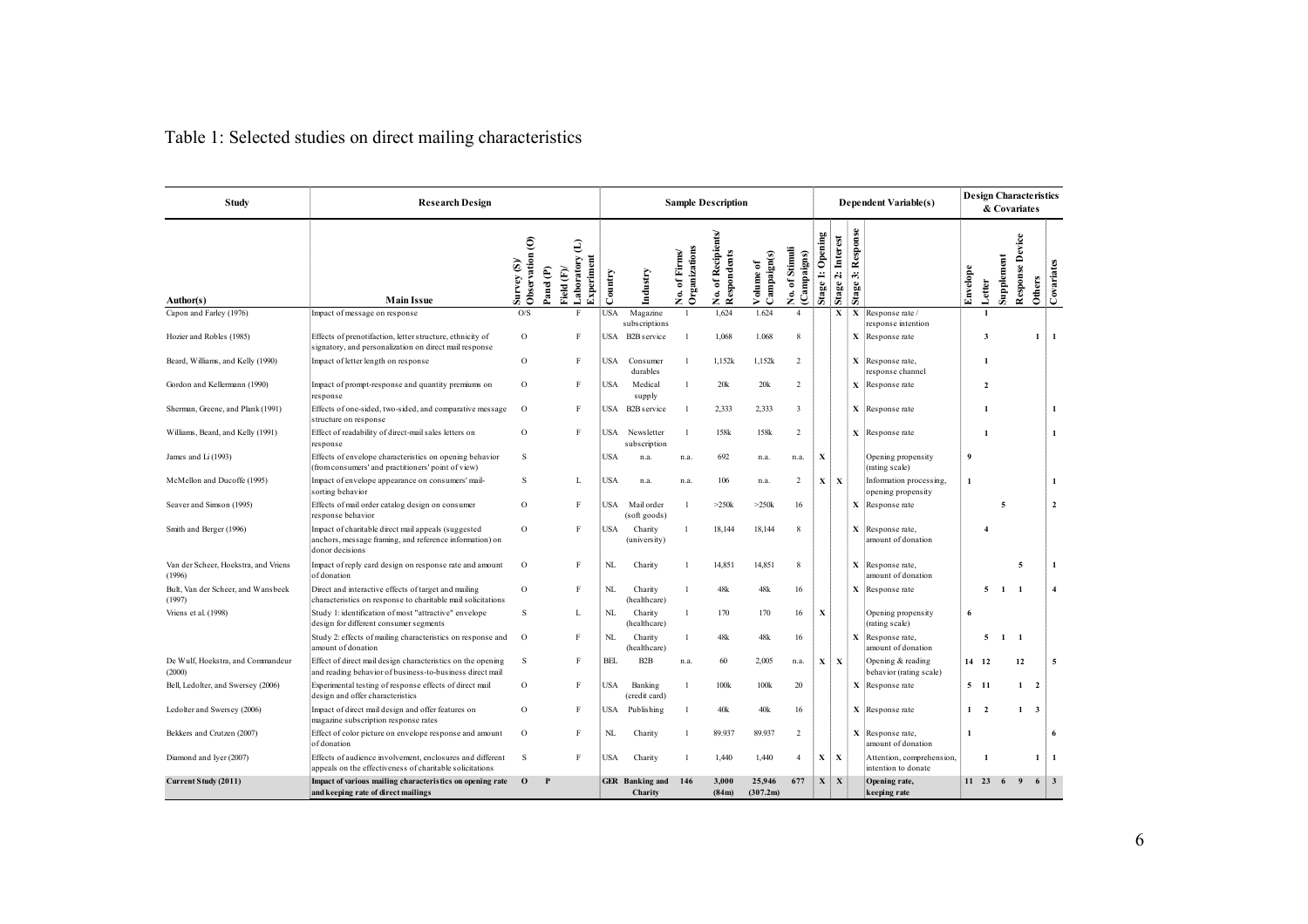### Table 1: Selected studies on direct mailing characteristics

| <b>Study</b>                                   | <b>Research Design</b>                                                                                                            |                                                     |                                                                  | <b>Sample Description</b> |                                   |                               |                                  |                          |                               |                  |                                   |                                      | <b>Dependent Variable(s)</b>                     | <b>Design Characteristics</b><br>& Covariates |                |              |                                |                         |
|------------------------------------------------|-----------------------------------------------------------------------------------------------------------------------------------|-----------------------------------------------------|------------------------------------------------------------------|---------------------------|-----------------------------------|-------------------------------|----------------------------------|--------------------------|-------------------------------|------------------|-----------------------------------|--------------------------------------|--------------------------------------------------|-----------------------------------------------|----------------|--------------|--------------------------------|-------------------------|
| Author(s)                                      | <b>Main Issue</b>                                                                                                                 | $\widehat{\mathsf{e}}$<br>Observation<br>Survey (S) | E<br>Laboratory<br><b>Experiment</b><br>Panel (P)<br>Field $(F)$ | Country                   | Industry                          | Organizations<br>No. of Firms | No. of Recipients<br>Respondents | Campaign(s)<br>Volume of | No. of Stimuli<br>(Campaigns) | Stage 1: Opening | 2: Interest<br>Stage <sup>7</sup> | Response<br>$\ddot{\bm{x}}$<br>Stage |                                                  | Envelope                                      | Letter         | Supplement   | Response Device<br>Others      | Covariates              |
| Capon and Farley (1976)                        | Impact of message on response                                                                                                     | O/S                                                 | F                                                                | USA                       | Magazine<br>subscriptions         |                               | 1,624                            | 1.624                    | $\overline{4}$                |                  | $\mathbf{x}$                      | $\mathbf X$                          | Response rate /<br>response intention            |                                               | $\mathbf{1}$   |              |                                |                         |
| Hozier and Robles (1985)                       | Effects of prenotifaction, letter structure, ethnicity of<br>signatory, and personalization on direct mail response               | $\mathcal O$                                        | F                                                                |                           | USA B2B service                   | $\overline{1}$                | 1,068                            | 1.068                    | 8                             |                  |                                   | X                                    | Response rate                                    |                                               | 3              |              | $\mathbf{1}$                   | -1                      |
| Beard, Williams, and Kelly (1990)              | Impact of letter length on response                                                                                               | $\mathcal O$                                        | F                                                                | USA                       | Consumer<br>durables              |                               | 1,152k                           | 1,152k                   | $\overline{c}$                |                  |                                   | $\mathbf X$                          | Response rate,<br>response channel               |                                               | $\mathbf{1}$   |              |                                |                         |
| Gordon and Kellermann (1990)                   | Impact of prompt-response and quantity premiums on<br>response                                                                    | $\circ$                                             | F                                                                | USA                       | Medical<br>supply                 |                               | 20k                              | 20k                      | $\overline{2}$                |                  |                                   |                                      | Response rate                                    |                                               | $\overline{2}$ |              |                                |                         |
| Sherman, Greene, and Plank (1991)              | Effects of one-sided, two-sided, and comparative message<br>structure on response                                                 | $\circ$                                             | $\mathbf F$                                                      |                           | USA B2B service                   |                               | 2,333                            | 2,333                    | $\overline{3}$                |                  |                                   |                                      | X Response rate                                  |                                               | $\mathbf{1}$   |              |                                | $\mathbf{1}$            |
| Williams, Beard, and Kelly (1991)              | Effect of readability of direct-mail sales letters on<br>response                                                                 | $\mathcal{O}$                                       | $\rm F$                                                          | USA                       | News letter<br>subscription       | $\overline{1}$                | 158k                             | 158k                     | $\overline{2}$                |                  |                                   |                                      | X Response rate                                  |                                               | 1              |              |                                | $\mathbf{1}$            |
| James and Li (1993)                            | Effects of envelope characteristics on opening behavior<br>(from consumers' and practitioners' point of view)                     | S                                                   |                                                                  | USA                       | n.a.                              | n.a.                          | 692                              | n.a.                     | n.a.                          | X                |                                   |                                      | Opening propensity<br>(rating scale)             | 9                                             |                |              |                                |                         |
| McMellon and Ducoffe (1995)                    | Impact of envelope appearance on consumers' mail-<br>sorting behavior                                                             | S                                                   | L                                                                | USA                       | n.a.                              | n.a.                          | 106                              | n.a.                     | $\overline{2}$                |                  | $X$ $X$                           |                                      | Information processing,<br>opening propensity    |                                               |                |              |                                | 1                       |
| Seaver and Simson (1995)                       | Effects of mail order catalog design on consumer<br>response behavior                                                             | $\mathcal O$                                        | F                                                                | USA                       | Mail order<br>(soft goods)        | $\overline{1}$                | $>250k$                          | $>250k$                  | 16                            |                  |                                   | X                                    | Response rate                                    |                                               |                | 5            |                                | $\overline{2}$          |
| Smith and Berger (1996)                        | Impact of charitable direct mail appeals (suggested<br>anchors, message framing, and reference information) on<br>donor decisions | $\circ$                                             | F                                                                | USA                       | Charity<br>(university)           |                               | 18,144                           | 18,144                   | 8                             |                  |                                   | X                                    | Response rate,<br>amount of donation             |                                               |                |              |                                |                         |
| Van der Scheer, Hoekstra, and Vriens<br>(1996) | Impact of reply card design on response rate and amount<br>of donation                                                            | $\mathcal O$                                        | $\overline{F}$                                                   | $\rm NL$                  | Charity                           | $\mathbf{1}$                  | 14,851                           | 14,851                   | 8                             |                  |                                   | X                                    | Response rate,<br>amount of donation             |                                               |                |              | 5                              | 1                       |
| Bult, Van der Scheer, and Wansbeek<br>(1997)   | Direct and interactive effects of target and mailing<br>characteristics on response to charitable mail solicitations              | $\circ$                                             | F                                                                | NL                        | Charity<br>(healthcare)           |                               | 48k                              | 48k                      | 16                            |                  |                                   | X                                    | Response rate                                    |                                               | 5              | $\mathbf{1}$ | $\mathbf{1}$                   | $\overline{\mathbf{4}}$ |
| Vriens et al. (1998)                           | Study 1: identification of most "attractive" envelope<br>design for different consumer segments                                   | S                                                   | L                                                                | NL                        | Charity<br>(healthcare)           |                               | 170                              | 170                      | 16                            | $\mathbf X$      |                                   |                                      | Opening propensity<br>(rating scale)             | 6                                             |                |              |                                |                         |
|                                                | Study 2: effects of mailing characteristics on response and<br>amount of donation                                                 | $\circ$                                             | $\rm F$                                                          | NL                        | Charity<br>(healthcare)           |                               | 48k                              | 48k                      | 16                            |                  |                                   | X                                    | Response rate,<br>amount of donation             |                                               | 5              | $\mathbf{1}$ | $\mathbf{1}$                   |                         |
| De Wulf, Hoekstra, and Commandeur<br>(2000)    | Effect of direct mail design characteristics on the opening<br>and reading behavior of business-to-business direct mail           | S                                                   | F                                                                | BEL                       | B <sub>2</sub> B                  | n.a.                          | 60                               | 2,005                    | n.a.                          |                  | $X \perp X$                       |                                      | Opening $&$ reading<br>behavior (rating scale)   |                                               | 14 12          |              | 12                             | 5                       |
| Bell, Ledolter, and Swersey (2006)             | Experimental testing of response effects of direct mail<br>design and offer characteristics                                       | $\circ$                                             | F                                                                | USA                       | Banking<br>(credit card)          | $\mathbf{1}$                  | 100k                             | 100k                     | 20                            |                  |                                   | X                                    | Response rate                                    |                                               | $5 - 11$       |              | $\mathbf{1}$<br>$\overline{2}$ |                         |
| Ledolter and Swersey (2006)                    | Impact of direct mail design and offer features on<br>magazine subscription response rates                                        | $\Omega$                                            | F                                                                | USA                       | Publishing                        | $\mathbf{1}$                  | 40k                              | 40k                      | 16                            |                  |                                   | X                                    | Response rate                                    |                                               | $1 \quad 2$    |              | 3<br>1                         |                         |
| Bekkers and Crutzen (2007)                     | Effect of color picture on envelope response and amount<br>of donation                                                            | $\mathcal{O}$                                       | $\rm F$                                                          | NL                        | Charity                           |                               | 89.937                           | 89.937                   | $\overline{c}$                |                  |                                   | X                                    | Response rate,<br>amount of donation             | 1                                             |                |              |                                | 6                       |
| Diamond and Iver (2007)                        | Effects of audience involvement, enclosures and different<br>appeals on the effectiveness of charitable solicitations             | S                                                   | F                                                                | USA                       | Charity                           | $\mathbf{1}$                  | 1,440                            | 1,440                    | $\overline{4}$                | $X + X$          |                                   |                                      | Attention, comprehension,<br>intention to donate |                                               | $\mathbf{1}$   |              | $\mathbf{1}$                   | -1                      |
| Current Study (2011)                           | Impact of various mailing characteristics on opening rate<br>and keeping rate of direct mailings                                  | $\bf{o}$                                            | P                                                                |                           | <b>GER</b> Banking and<br>Charity | 146                           | 3,000<br>(84m)                   | 25,946<br>(307.2m)       | 677                           |                  | $X$ $X$                           |                                      | Opening rate,<br>keeping rate                    |                                               | $11 \t 23$     | 6            | 6                              | $\overline{\mathbf{3}}$ |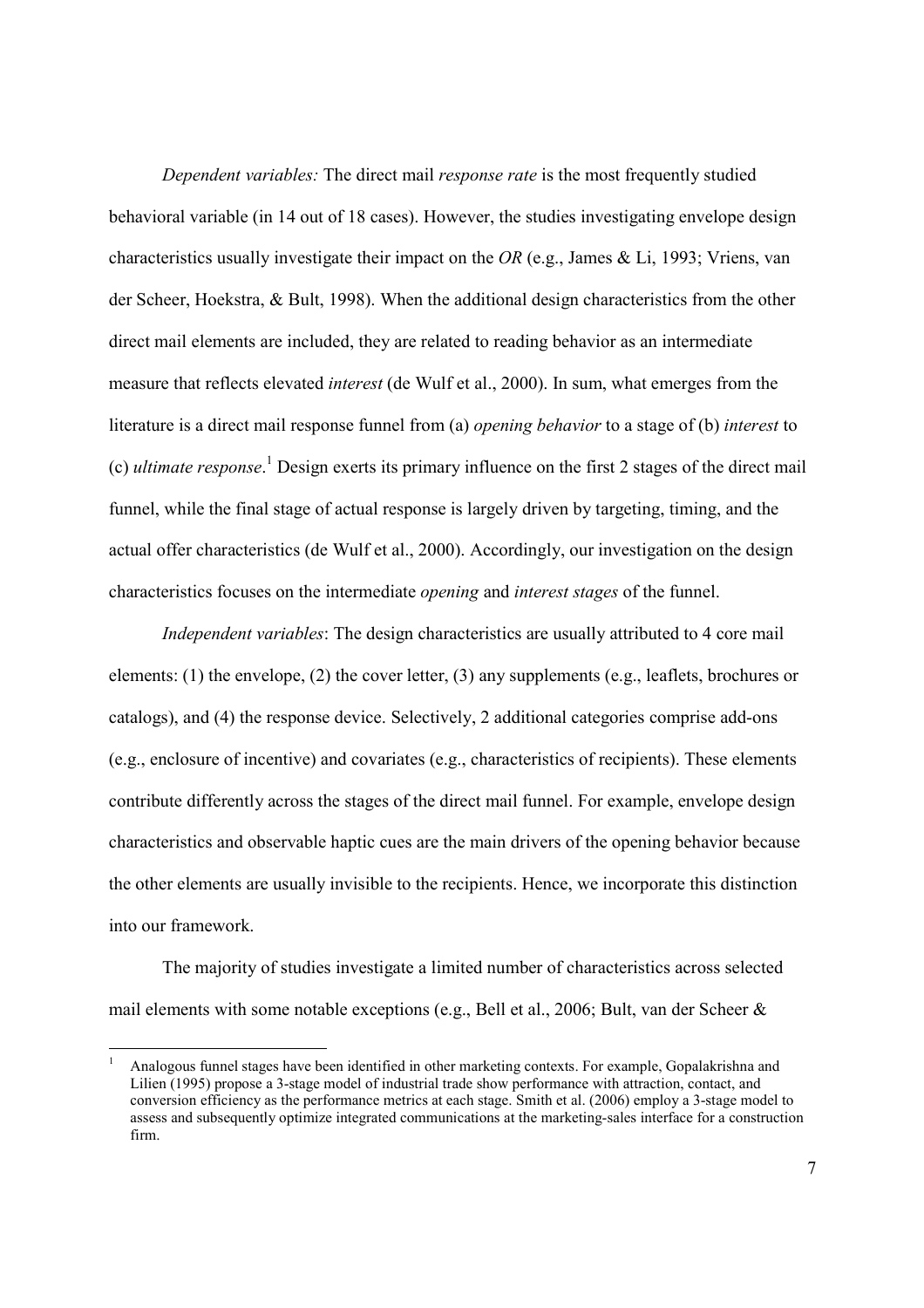*Dependent variables:* The direct mail *response rate* is the most frequently studied behavioral variable (in 14 out of 18 cases). However, the studies investigating envelope design characteristics usually investigate their impact on the *OR* (e.g., James & Li, 1993; Vriens, van der Scheer, Hoekstra, & Bult, 1998). When the additional design characteristics from the other direct mail elements are included, they are related to reading behavior as an intermediate measure that reflects elevated *interest* (de Wulf et al., 2000). In sum, what emerges from the literature is a direct mail response funnel from (a) *opening behavior* to a stage of (b) *interest* to (c) *ultimate response*. 1 Design exerts its primary influence on the first 2 stages of the direct mail funnel, while the final stage of actual response is largely driven by targeting, timing, and the actual offer characteristics (de Wulf et al., 2000). Accordingly, our investigation on the design characteristics focuses on the intermediate *opening* and *interest stages* of the funnel.

*Independent variables*: The design characteristics are usually attributed to 4 core mail elements: (1) the envelope, (2) the cover letter, (3) any supplements (e.g., leaflets, brochures or catalogs), and (4) the response device. Selectively, 2 additional categories comprise add-ons (e.g., enclosure of incentive) and covariates (e.g., characteristics of recipients). These elements contribute differently across the stages of the direct mail funnel. For example, envelope design characteristics and observable haptic cues are the main drivers of the opening behavior because the other elements are usually invisible to the recipients. Hence, we incorporate this distinction into our framework.

The majority of studies investigate a limited number of characteristics across selected mail elements with some notable exceptions (e.g., Bell et al., 2006; Bult, van der Scheer &

-

<sup>1</sup> Analogous funnel stages have been identified in other marketing contexts. For example, Gopalakrishna and Lilien (1995) propose a 3-stage model of industrial trade show performance with attraction, contact, and conversion efficiency as the performance metrics at each stage. Smith et al. (2006) employ a 3-stage model to assess and subsequently optimize integrated communications at the marketing-sales interface for a construction firm.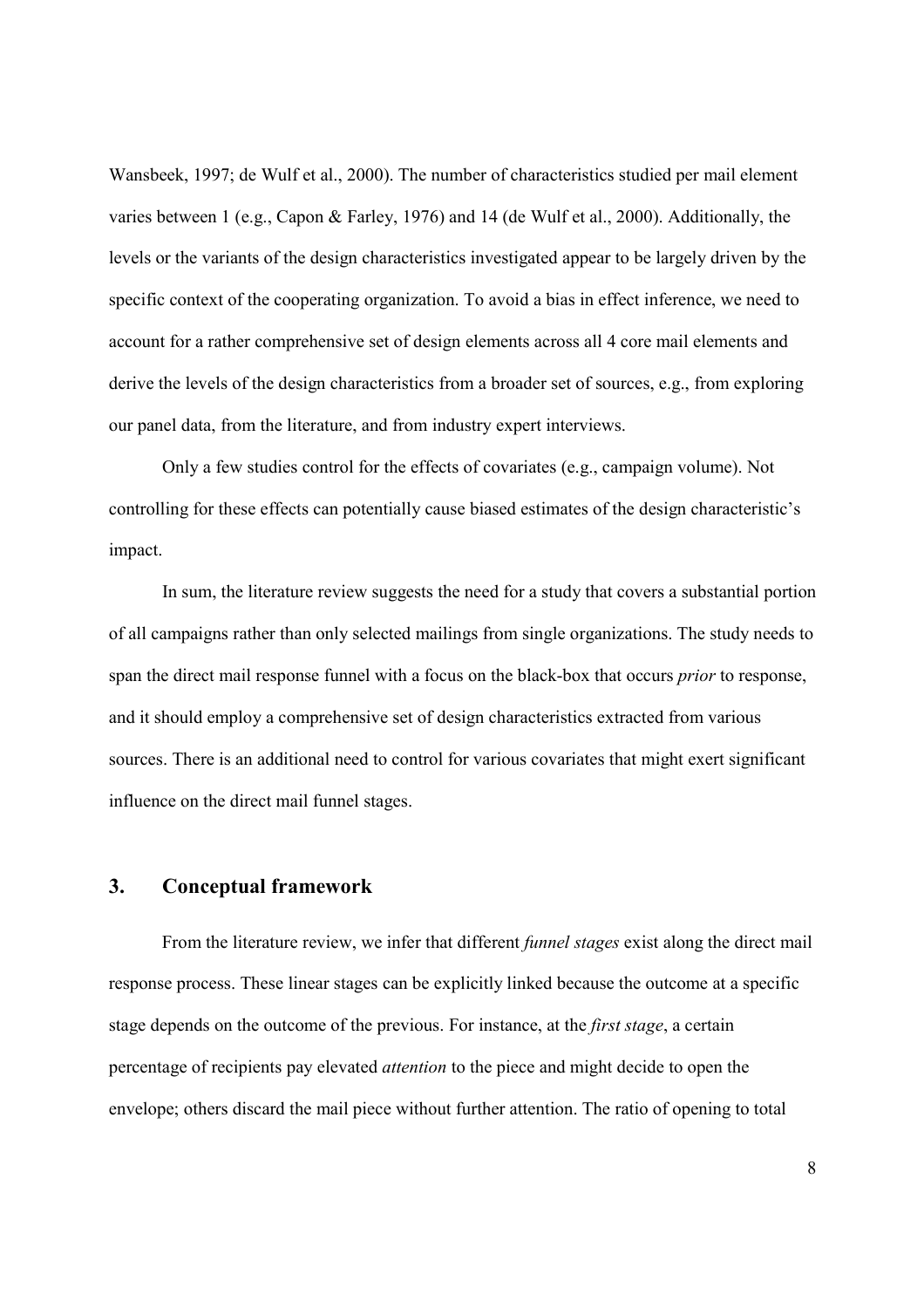Wansbeek, 1997; de Wulf et al., 2000). The number of characteristics studied per mail element varies between 1 (e.g., Capon & Farley, 1976) and 14 (de Wulf et al., 2000). Additionally, the levels or the variants of the design characteristics investigated appear to be largely driven by the specific context of the cooperating organization. To avoid a bias in effect inference, we need to account for a rather comprehensive set of design elements across all 4 core mail elements and derive the levels of the design characteristics from a broader set of sources, e.g., from exploring our panel data, from the literature, and from industry expert interviews.

Only a few studies control for the effects of covariates (e.g., campaign volume). Not controlling for these effects can potentially cause biased estimates of the design characteristic's impact.

In sum, the literature review suggests the need for a study that covers a substantial portion of all campaigns rather than only selected mailings from single organizations. The study needs to span the direct mail response funnel with a focus on the black-box that occurs *prior* to response, and it should employ a comprehensive set of design characteristics extracted from various sources. There is an additional need to control for various covariates that might exert significant influence on the direct mail funnel stages.

### **3. Conceptual framework**

From the literature review, we infer that different *funnel stages* exist along the direct mail response process. These linear stages can be explicitly linked because the outcome at a specific stage depends on the outcome of the previous. For instance, at the *first stage*, a certain percentage of recipients pay elevated *attention* to the piece and might decide to open the envelope; others discard the mail piece without further attention. The ratio of opening to total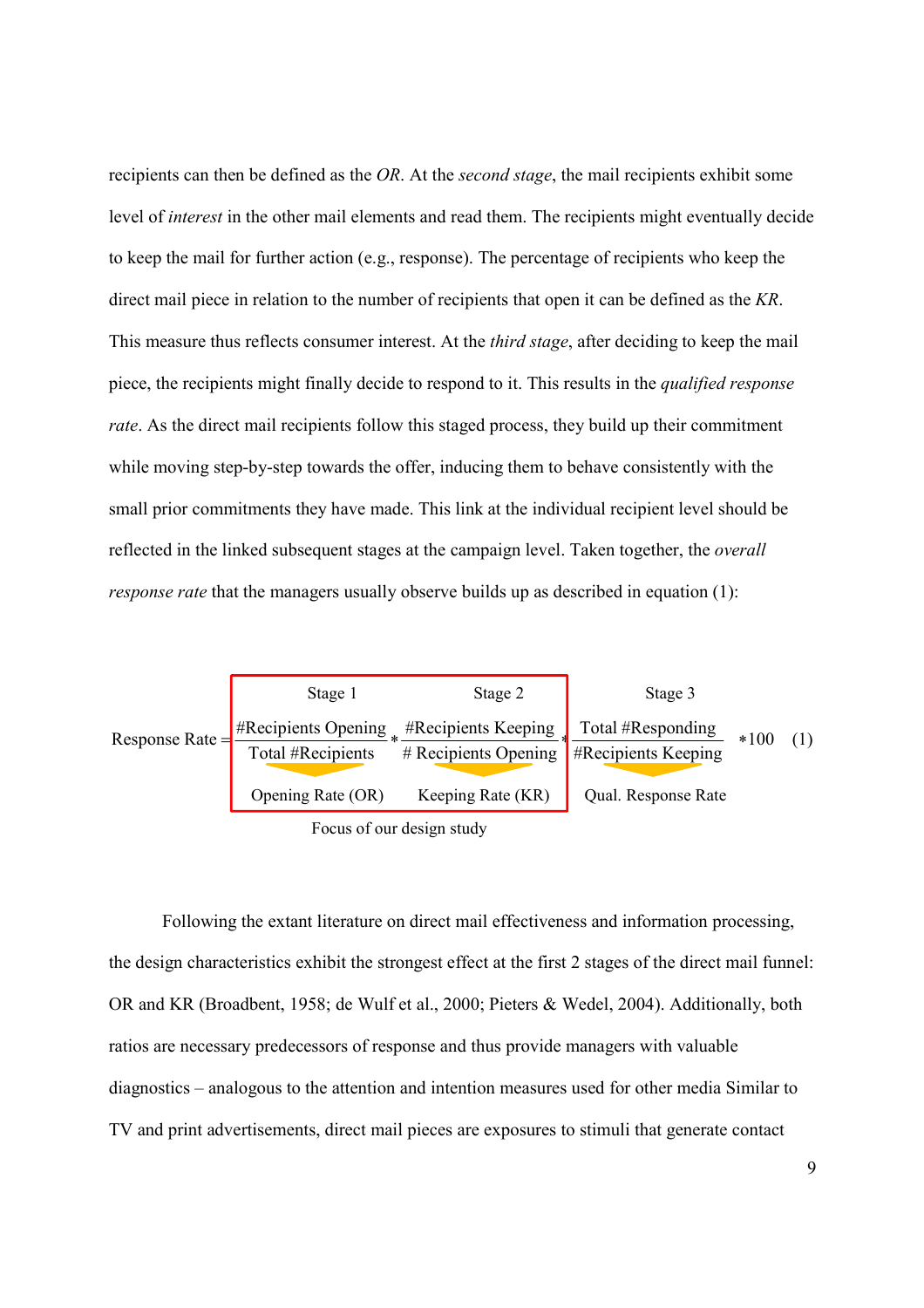recipients can then be defined as the *OR*. At the *second stage*, the mail recipients exhibit some level of *interest* in the other mail elements and read them. The recipients might eventually decide to keep the mail for further action (e.g., response). The percentage of recipients who keep the direct mail piece in relation to the number of recipients that open it can be defined as the *KR*. This measure thus reflects consumer interest. At the *third stage*, after deciding to keep the mail piece, the recipients might finally decide to respond to it. This results in the *qualified response rate*. As the direct mail recipients follow this staged process, they build up their commitment while moving step-by-step towards the offer, inducing them to behave consistently with the small prior commitments they have made. This link at the individual recipient level should be reflected in the linked subsequent stages at the campaign level. Taken together, the *overall response rate* that the managers usually observe builds up as described in equation (1):



Following the extant literature on direct mail effectiveness and information processing, the design characteristics exhibit the strongest effect at the first 2 stages of the direct mail funnel: OR and KR (Broadbent, 1958; de Wulf et al., 2000; Pieters & Wedel, 2004). Additionally, both ratios are necessary predecessors of response and thus provide managers with valuable diagnostics – analogous to the attention and intention measures used for other media Similar to TV and print advertisements, direct mail pieces are exposures to stimuli that generate contact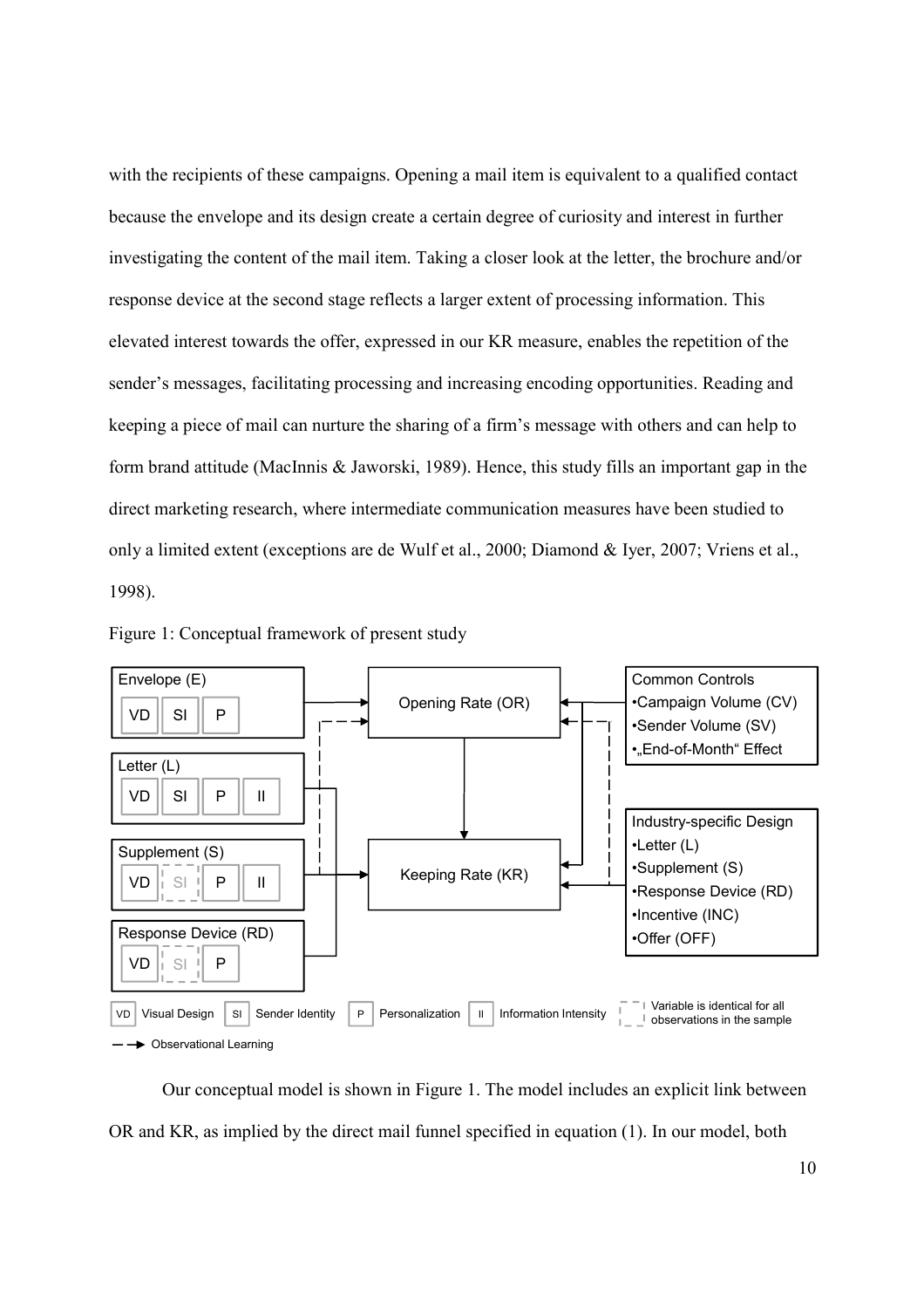with the recipients of these campaigns. Opening a mail item is equivalent to a qualified contact because the envelope and its design create a certain degree of curiosity and interest in further investigating the content of the mail item. Taking a closer look at the letter, the brochure and/or response device at the second stage reflects a larger extent of processing information. This elevated interest towards the offer, expressed in our KR measure, enables the repetition of the sender's messages, facilitating processing and increasing encoding opportunities. Reading and keeping a piece of mail can nurture the sharing of a firm's message with others and can help to form brand attitude (MacInnis & Jaworski, 1989). Hence, this study fills an important gap in the direct marketing research, where intermediate communication measures have been studied to only a limited extent (exceptions are de Wulf et al., 2000; Diamond & Iyer, 2007; Vriens et al., 1998).





Our conceptual model is shown in Figure 1. The model includes an explicit link between OR and KR, as implied by the direct mail funnel specified in equation (1). In our model, both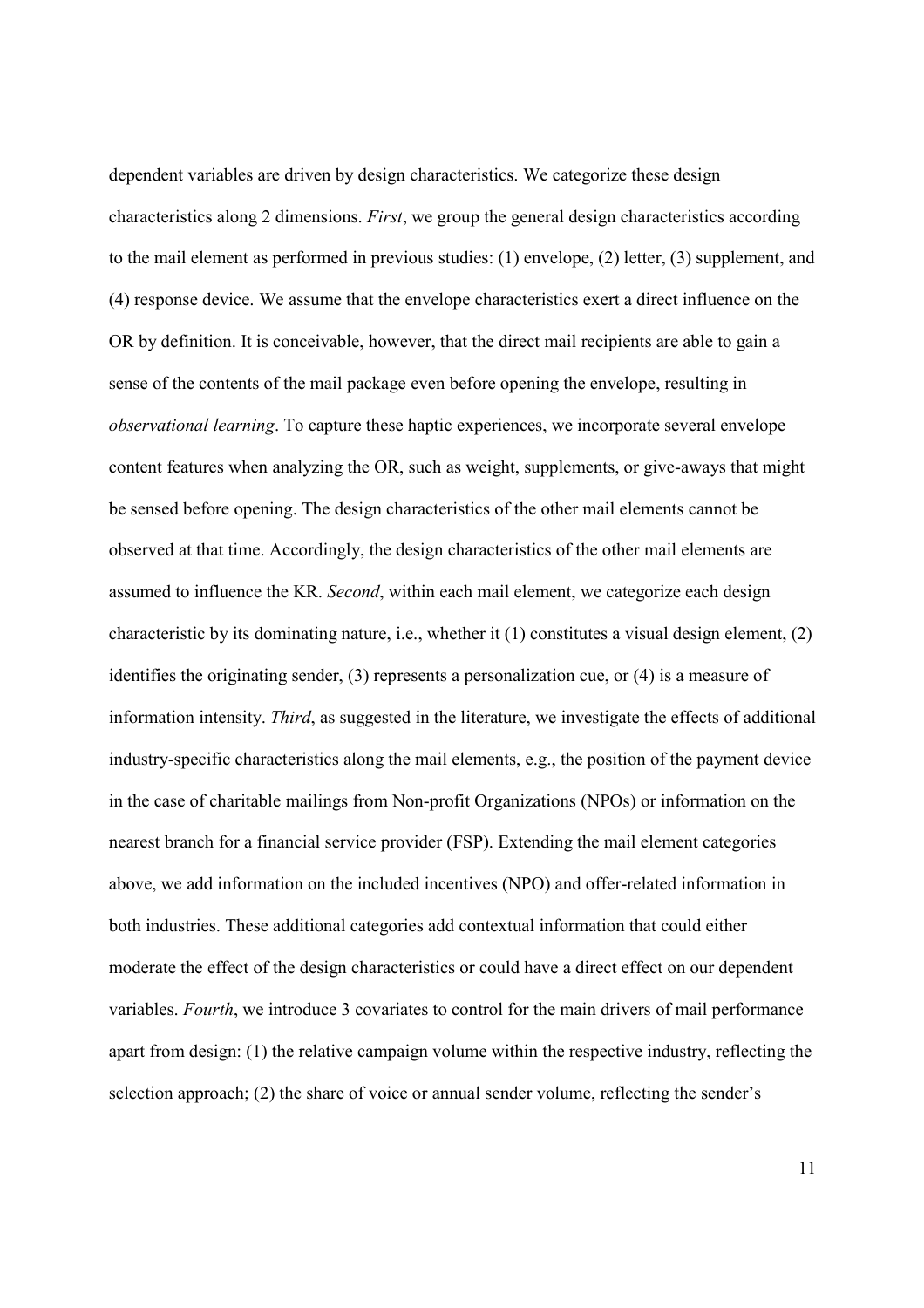dependent variables are driven by design characteristics. We categorize these design characteristics along 2 dimensions. *First*, we group the general design characteristics according to the mail element as performed in previous studies: (1) envelope, (2) letter, (3) supplement, and (4) response device. We assume that the envelope characteristics exert a direct influence on the OR by definition. It is conceivable, however, that the direct mail recipients are able to gain a sense of the contents of the mail package even before opening the envelope, resulting in *observational learning*. To capture these haptic experiences, we incorporate several envelope content features when analyzing the OR, such as weight, supplements, or give-aways that might be sensed before opening. The design characteristics of the other mail elements cannot be observed at that time. Accordingly, the design characteristics of the other mail elements are assumed to influence the KR. *Second*, within each mail element, we categorize each design characteristic by its dominating nature, i.e., whether it (1) constitutes a visual design element, (2) identifies the originating sender, (3) represents a personalization cue, or (4) is a measure of information intensity. *Third*, as suggested in the literature, we investigate the effects of additional industry-specific characteristics along the mail elements, e.g., the position of the payment device in the case of charitable mailings from Non-profit Organizations (NPOs) or information on the nearest branch for a financial service provider (FSP). Extending the mail element categories above, we add information on the included incentives (NPO) and offer-related information in both industries. These additional categories add contextual information that could either moderate the effect of the design characteristics or could have a direct effect on our dependent variables. *Fourth*, we introduce 3 covariates to control for the main drivers of mail performance apart from design: (1) the relative campaign volume within the respective industry, reflecting the selection approach; (2) the share of voice or annual sender volume, reflecting the sender's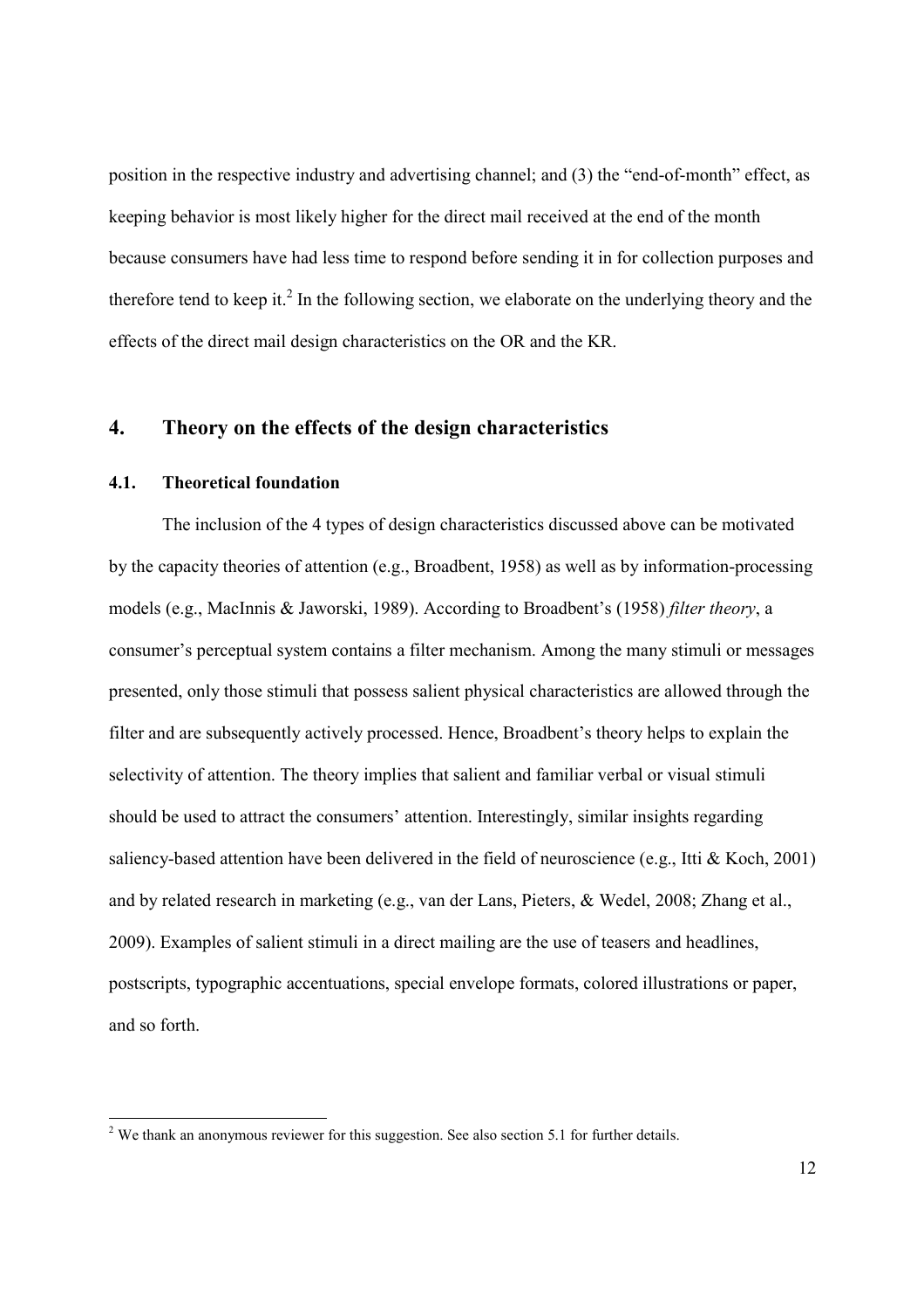position in the respective industry and advertising channel; and (3) the "end-of-month" effect, as keeping behavior is most likely higher for the direct mail received at the end of the month because consumers have had less time to respond before sending it in for collection purposes and therefore tend to keep it.<sup>2</sup> In the following section, we elaborate on the underlying theory and the effects of the direct mail design characteristics on the OR and the KR.

### **4. Theory on the effects of the design characteristics**

#### **4.1. Theoretical foundation**

The inclusion of the 4 types of design characteristics discussed above can be motivated by the capacity theories of attention (e.g., Broadbent, 1958) as well as by information-processing models (e.g., MacInnis & Jaworski, 1989). According to Broadbent's (1958) *filter theory*, a consumer's perceptual system contains a filter mechanism. Among the many stimuli or messages presented, only those stimuli that possess salient physical characteristics are allowed through the filter and are subsequently actively processed. Hence, Broadbent's theory helps to explain the selectivity of attention. The theory implies that salient and familiar verbal or visual stimuli should be used to attract the consumers' attention. Interestingly, similar insights regarding saliency-based attention have been delivered in the field of neuroscience (e.g., Itti & Koch, 2001) and by related research in marketing (e.g., van der Lans, Pieters, & Wedel, 2008; Zhang et al., 2009). Examples of salient stimuli in a direct mailing are the use of teasers and headlines, postscripts, typographic accentuations, special envelope formats, colored illustrations or paper, and so forth.

<sup>&</sup>lt;sup>2</sup> We thank an anonymous reviewer for this suggestion. See also section 5.1 for further details.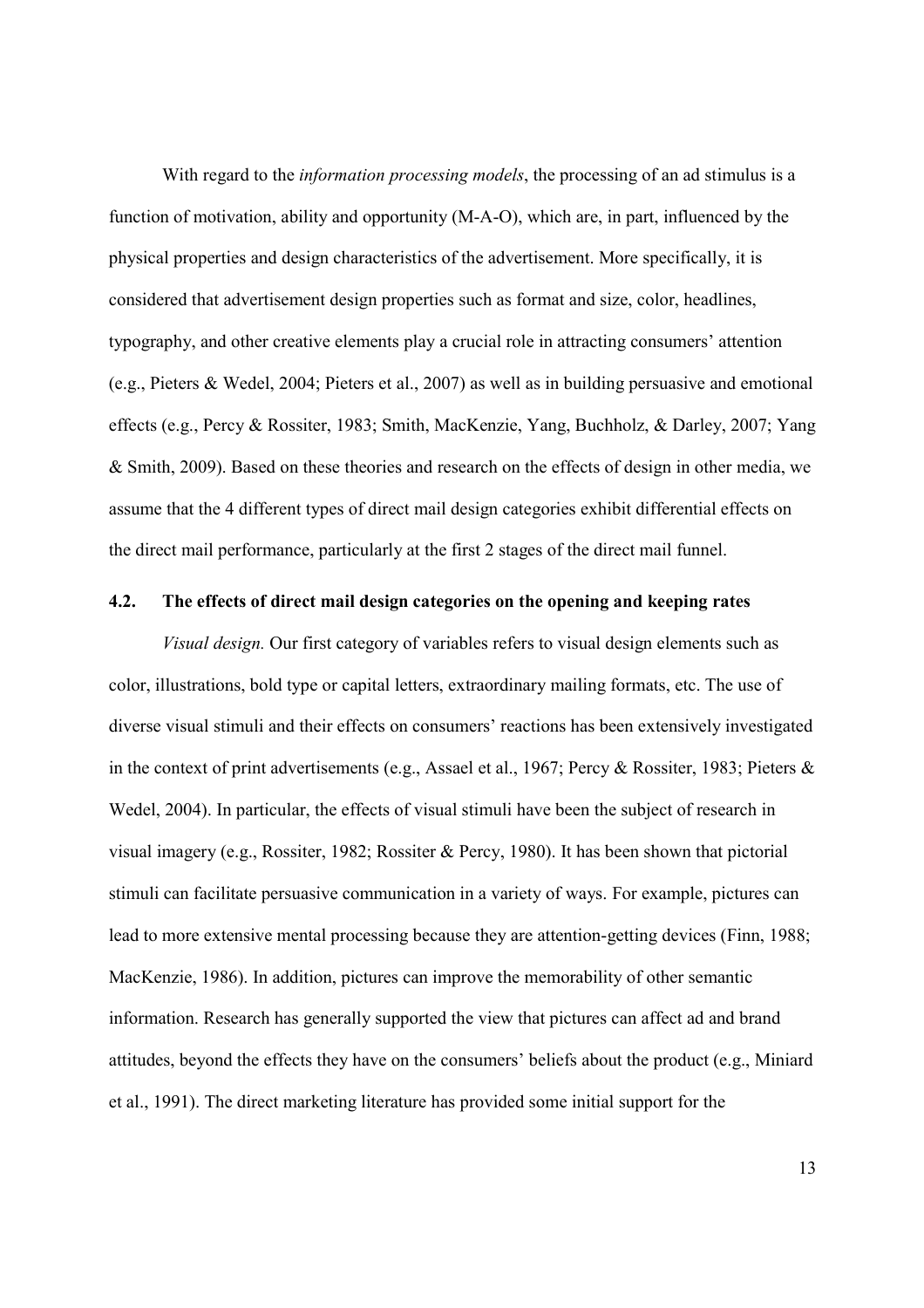With regard to the *information processing models*, the processing of an ad stimulus is a function of motivation, ability and opportunity (M-A-O), which are, in part, influenced by the physical properties and design characteristics of the advertisement. More specifically, it is considered that advertisement design properties such as format and size, color, headlines, typography, and other creative elements play a crucial role in attracting consumers' attention (e.g., Pieters & Wedel, 2004; Pieters et al., 2007) as well as in building persuasive and emotional effects (e.g., Percy & Rossiter, 1983; Smith, MacKenzie, Yang, Buchholz, & Darley, 2007; Yang & Smith, 2009). Based on these theories and research on the effects of design in other media, we assume that the 4 different types of direct mail design categories exhibit differential effects on the direct mail performance, particularly at the first 2 stages of the direct mail funnel.

#### **4.2. The effects of direct mail design categories on the opening and keeping rates**

*Visual design.* Our first category of variables refers to visual design elements such as color, illustrations, bold type or capital letters, extraordinary mailing formats, etc. The use of diverse visual stimuli and their effects on consumers' reactions has been extensively investigated in the context of print advertisements (e.g., Assael et al., 1967; Percy & Rossiter, 1983; Pieters & Wedel, 2004). In particular, the effects of visual stimuli have been the subject of research in visual imagery (e.g., Rossiter, 1982; Rossiter & Percy, 1980). It has been shown that pictorial stimuli can facilitate persuasive communication in a variety of ways. For example, pictures can lead to more extensive mental processing because they are attention-getting devices (Finn, 1988; MacKenzie, 1986). In addition, pictures can improve the memorability of other semantic information. Research has generally supported the view that pictures can affect ad and brand attitudes, beyond the effects they have on the consumers' beliefs about the product (e.g., Miniard et al., 1991). The direct marketing literature has provided some initial support for the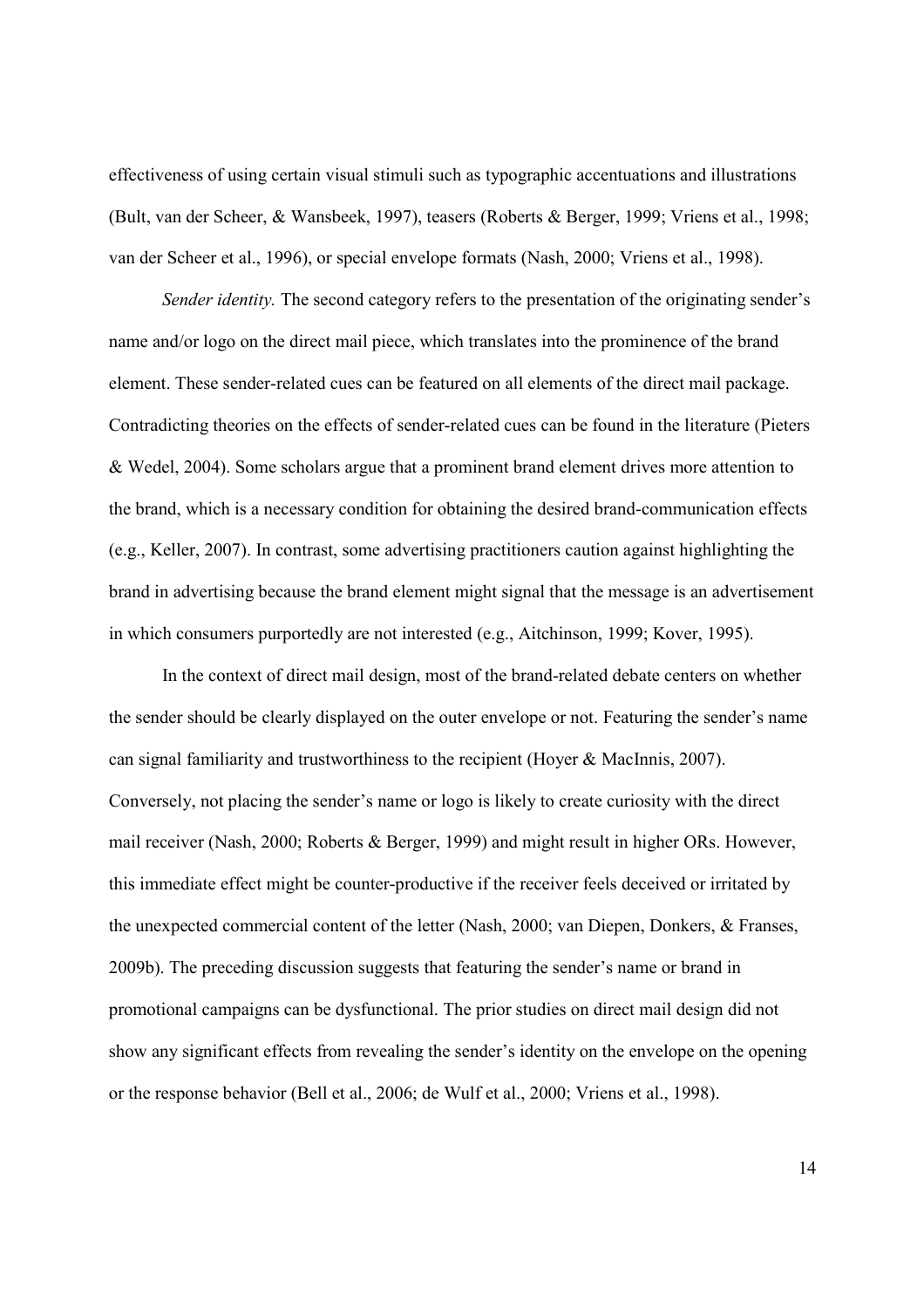effectiveness of using certain visual stimuli such as typographic accentuations and illustrations (Bult, van der Scheer, & Wansbeek, 1997), teasers (Roberts & Berger, 1999; Vriens et al., 1998; van der Scheer et al., 1996), or special envelope formats (Nash, 2000; Vriens et al., 1998).

*Sender identity.* The second category refers to the presentation of the originating sender's name and/or logo on the direct mail piece, which translates into the prominence of the brand element. These sender-related cues can be featured on all elements of the direct mail package. Contradicting theories on the effects of sender-related cues can be found in the literature (Pieters & Wedel, 2004). Some scholars argue that a prominent brand element drives more attention to the brand, which is a necessary condition for obtaining the desired brand-communication effects (e.g., Keller, 2007). In contrast, some advertising practitioners caution against highlighting the brand in advertising because the brand element might signal that the message is an advertisement in which consumers purportedly are not interested (e.g., Aitchinson, 1999; Kover, 1995).

In the context of direct mail design, most of the brand-related debate centers on whether the sender should be clearly displayed on the outer envelope or not. Featuring the sender's name can signal familiarity and trustworthiness to the recipient (Hoyer & MacInnis, 2007). Conversely, not placing the sender's name or logo is likely to create curiosity with the direct mail receiver (Nash, 2000; Roberts & Berger, 1999) and might result in higher ORs. However, this immediate effect might be counter-productive if the receiver feels deceived or irritated by the unexpected commercial content of the letter (Nash, 2000; van Diepen, Donkers, & Franses, 2009b). The preceding discussion suggests that featuring the sender's name or brand in promotional campaigns can be dysfunctional. The prior studies on direct mail design did not show any significant effects from revealing the sender's identity on the envelope on the opening or the response behavior (Bell et al., 2006; de Wulf et al., 2000; Vriens et al., 1998).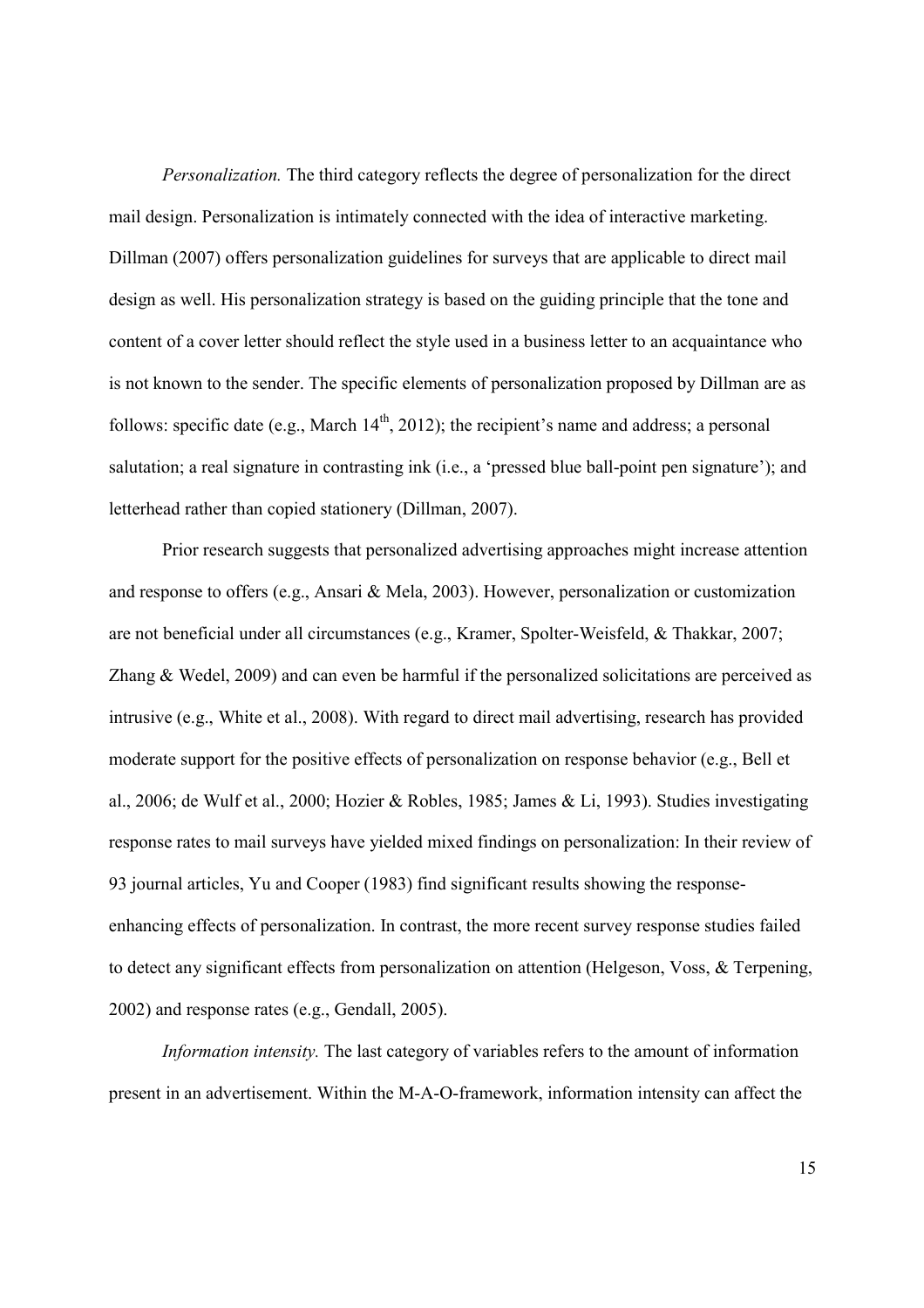*Personalization.* The third category reflects the degree of personalization for the direct mail design. Personalization is intimately connected with the idea of interactive marketing. Dillman (2007) offers personalization guidelines for surveys that are applicable to direct mail design as well. His personalization strategy is based on the guiding principle that the tone and content of a cover letter should reflect the style used in a business letter to an acquaintance who is not known to the sender. The specific elements of personalization proposed by Dillman are as follows: specific date (e.g., March  $14<sup>th</sup>$ , 2012); the recipient's name and address; a personal salutation; a real signature in contrasting ink (i.e., a 'pressed blue ball-point pen signature'); and letterhead rather than copied stationery (Dillman, 2007).

Prior research suggests that personalized advertising approaches might increase attention and response to offers (e.g., Ansari & Mela, 2003). However, personalization or customization are not beneficial under all circumstances (e.g., Kramer, Spolter-Weisfeld, & Thakkar, 2007; Zhang & Wedel, 2009) and can even be harmful if the personalized solicitations are perceived as intrusive (e.g., White et al., 2008). With regard to direct mail advertising, research has provided moderate support for the positive effects of personalization on response behavior (e.g., Bell et al., 2006; de Wulf et al., 2000; Hozier & Robles, 1985; James & Li, 1993). Studies investigating response rates to mail surveys have yielded mixed findings on personalization: In their review of 93 journal articles, Yu and Cooper (1983) find significant results showing the responseenhancing effects of personalization. In contrast, the more recent survey response studies failed to detect any significant effects from personalization on attention (Helgeson, Voss, & Terpening, 2002) and response rates (e.g., Gendall, 2005).

*Information intensity.* The last category of variables refers to the amount of information present in an advertisement. Within the M-A-O-framework, information intensity can affect the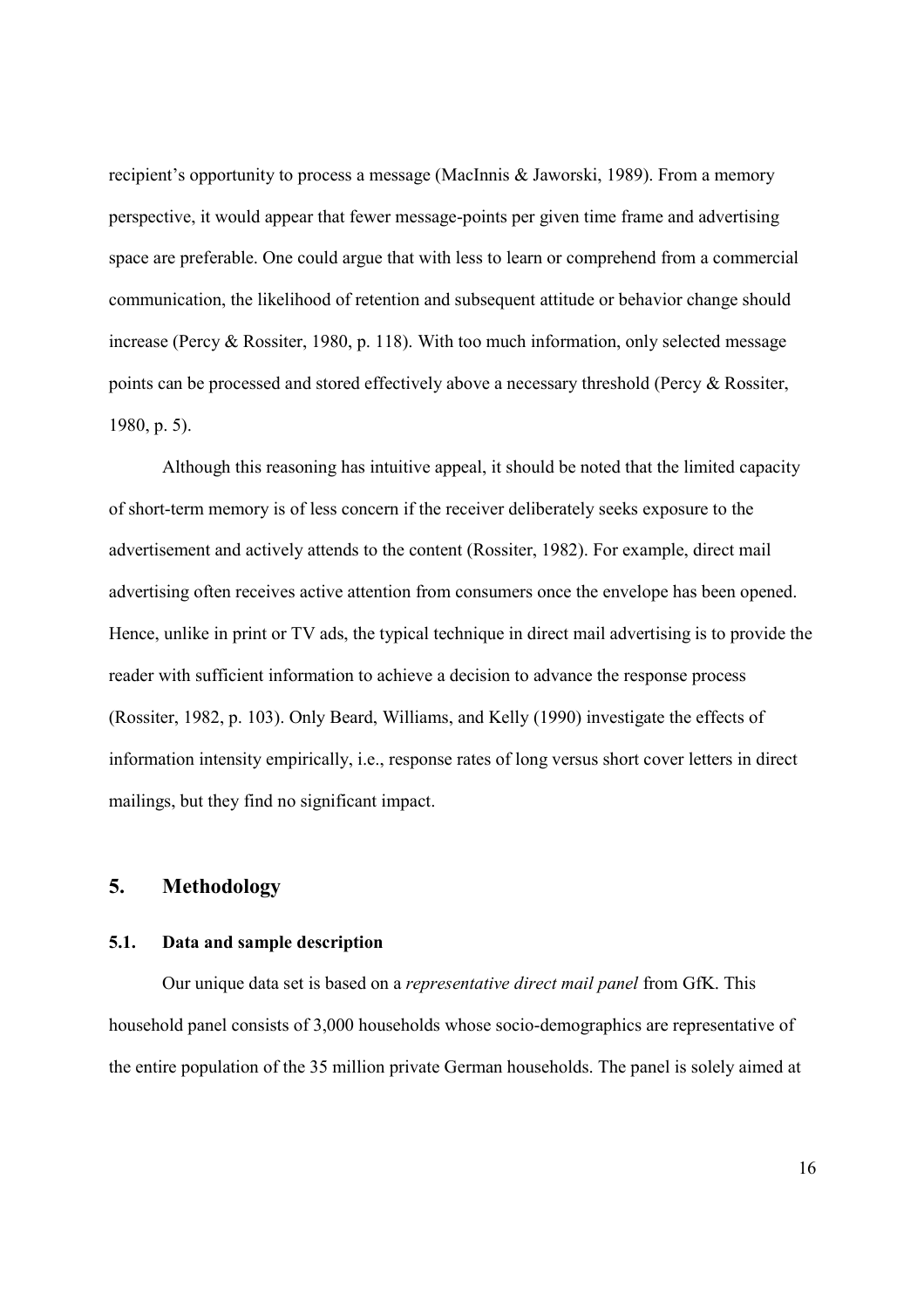recipient's opportunity to process a message (MacInnis & Jaworski, 1989). From a memory perspective, it would appear that fewer message-points per given time frame and advertising space are preferable. One could argue that with less to learn or comprehend from a commercial communication, the likelihood of retention and subsequent attitude or behavior change should increase (Percy & Rossiter, 1980, p. 118). With too much information, only selected message points can be processed and stored effectively above a necessary threshold (Percy & Rossiter, 1980, p. 5).

Although this reasoning has intuitive appeal, it should be noted that the limited capacity of short-term memory is of less concern if the receiver deliberately seeks exposure to the advertisement and actively attends to the content (Rossiter, 1982). For example, direct mail advertising often receives active attention from consumers once the envelope has been opened. Hence, unlike in print or TV ads, the typical technique in direct mail advertising is to provide the reader with sufficient information to achieve a decision to advance the response process (Rossiter, 1982, p. 103). Only Beard, Williams, and Kelly (1990) investigate the effects of information intensity empirically, i.e., response rates of long versus short cover letters in direct mailings, but they find no significant impact.

### **5. Methodology**

#### **5.1. Data and sample description**

Our unique data set is based on a *representative direct mail panel* from GfK. This household panel consists of 3,000 households whose socio-demographics are representative of the entire population of the 35 million private German households. The panel is solely aimed at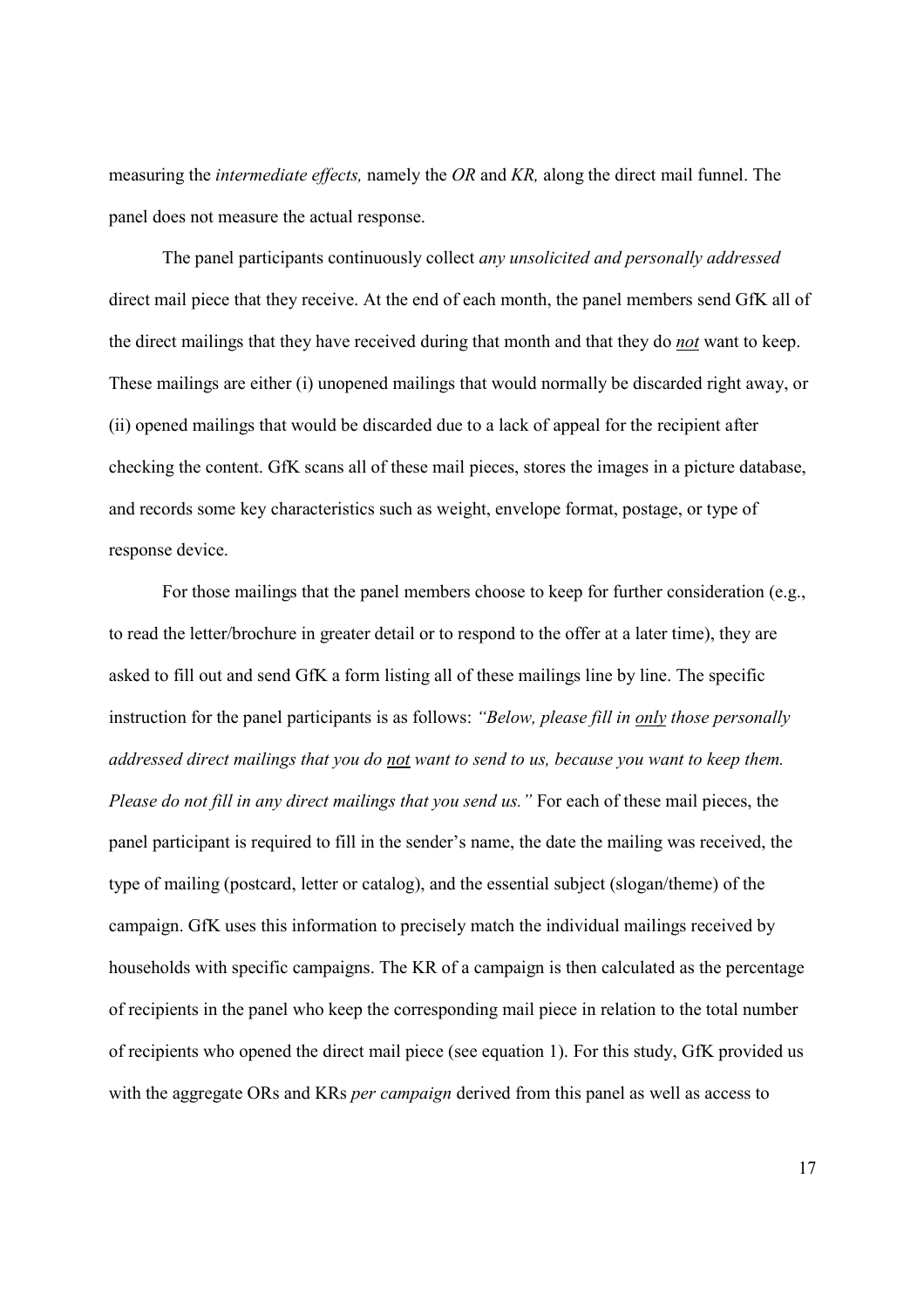measuring the *intermediate effects,* namely the *OR* and *KR,* along the direct mail funnel. The panel does not measure the actual response.

The panel participants continuously collect *any unsolicited and personally addressed*  direct mail piece that they receive. At the end of each month, the panel members send GfK all of the direct mailings that they have received during that month and that they do *not* want to keep. These mailings are either (i) unopened mailings that would normally be discarded right away, or (ii) opened mailings that would be discarded due to a lack of appeal for the recipient after checking the content. GfK scans all of these mail pieces, stores the images in a picture database, and records some key characteristics such as weight, envelope format, postage, or type of response device.

For those mailings that the panel members choose to keep for further consideration (e.g., to read the letter/brochure in greater detail or to respond to the offer at a later time), they are asked to fill out and send GfK a form listing all of these mailings line by line. The specific instruction for the panel participants is as follows: *"Below, please fill in only those personally addressed direct mailings that you do not want to send to us, because you want to keep them. Please do not fill in any direct mailings that you send us."* For each of these mail pieces, the panel participant is required to fill in the sender's name, the date the mailing was received, the type of mailing (postcard, letter or catalog), and the essential subject (slogan/theme) of the campaign. GfK uses this information to precisely match the individual mailings received by households with specific campaigns. The KR of a campaign is then calculated as the percentage of recipients in the panel who keep the corresponding mail piece in relation to the total number of recipients who opened the direct mail piece (see equation 1). For this study, GfK provided us with the aggregate ORs and KRs *per campaign* derived from this panel as well as access to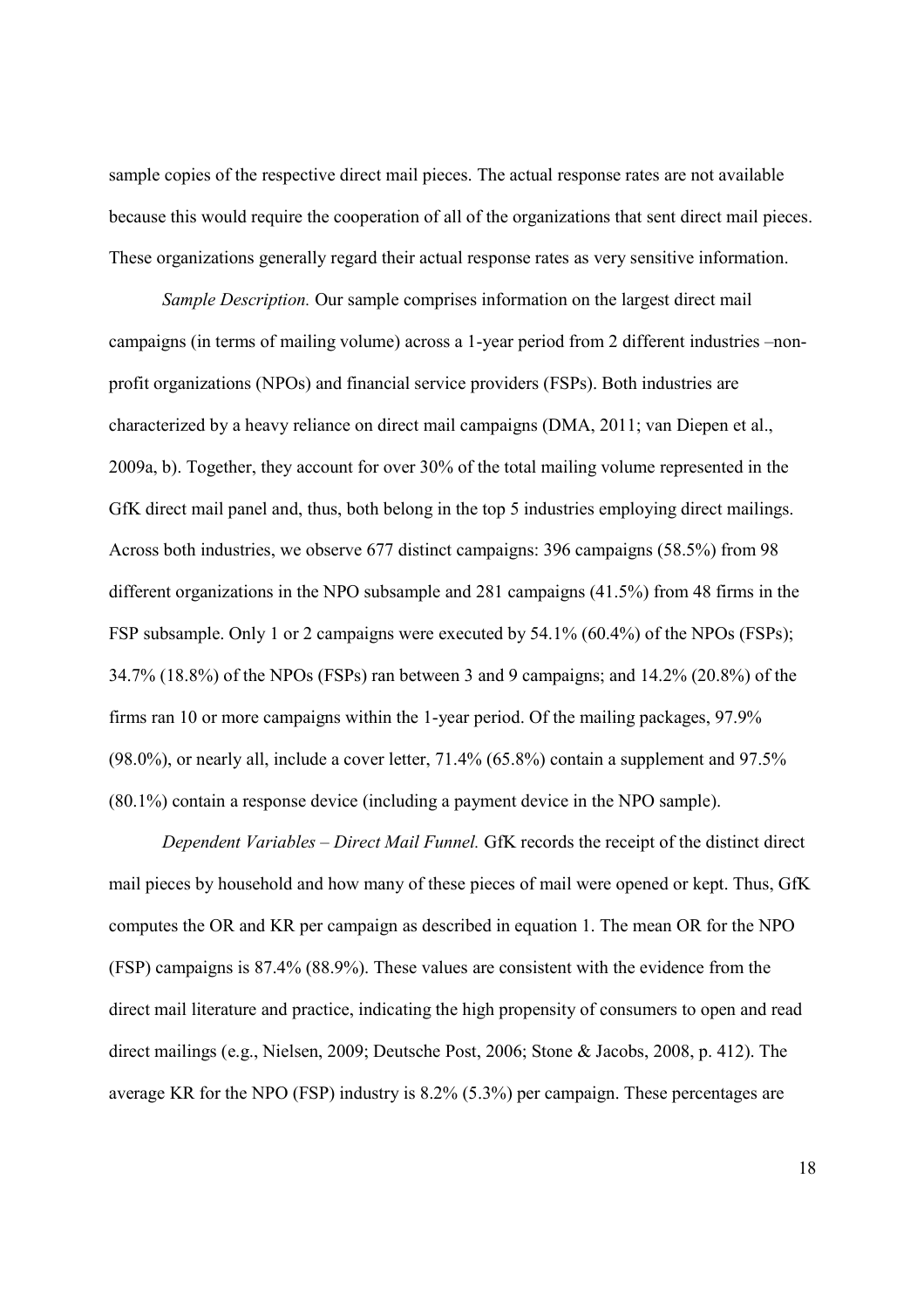sample copies of the respective direct mail pieces. The actual response rates are not available because this would require the cooperation of all of the organizations that sent direct mail pieces. These organizations generally regard their actual response rates as very sensitive information.

*Sample Description.* Our sample comprises information on the largest direct mail campaigns (in terms of mailing volume) across a 1-year period from 2 different industries –nonprofit organizations (NPOs) and financial service providers (FSPs). Both industries are characterized by a heavy reliance on direct mail campaigns (DMA, 2011; van Diepen et al., 2009a, b). Together, they account for over 30% of the total mailing volume represented in the GfK direct mail panel and, thus, both belong in the top 5 industries employing direct mailings. Across both industries, we observe 677 distinct campaigns: 396 campaigns (58.5%) from 98 different organizations in the NPO subsample and 281 campaigns (41.5%) from 48 firms in the FSP subsample. Only 1 or 2 campaigns were executed by 54.1% (60.4%) of the NPOs (FSPs); 34.7% (18.8%) of the NPOs (FSPs) ran between 3 and 9 campaigns; and 14.2% (20.8%) of the firms ran 10 or more campaigns within the 1-year period. Of the mailing packages, 97.9% (98.0%), or nearly all, include a cover letter, 71.4% (65.8%) contain a supplement and 97.5% (80.1%) contain a response device (including a payment device in the NPO sample).

*Dependent Variables – Direct Mail Funnel.* GfK records the receipt of the distinct direct mail pieces by household and how many of these pieces of mail were opened or kept. Thus, GfK computes the OR and KR per campaign as described in equation 1. The mean OR for the NPO (FSP) campaigns is 87.4% (88.9%). These values are consistent with the evidence from the direct mail literature and practice, indicating the high propensity of consumers to open and read direct mailings (e.g., Nielsen, 2009; Deutsche Post, 2006; Stone & Jacobs, 2008, p. 412). The average KR for the NPO (FSP) industry is 8.2% (5.3%) per campaign. These percentages are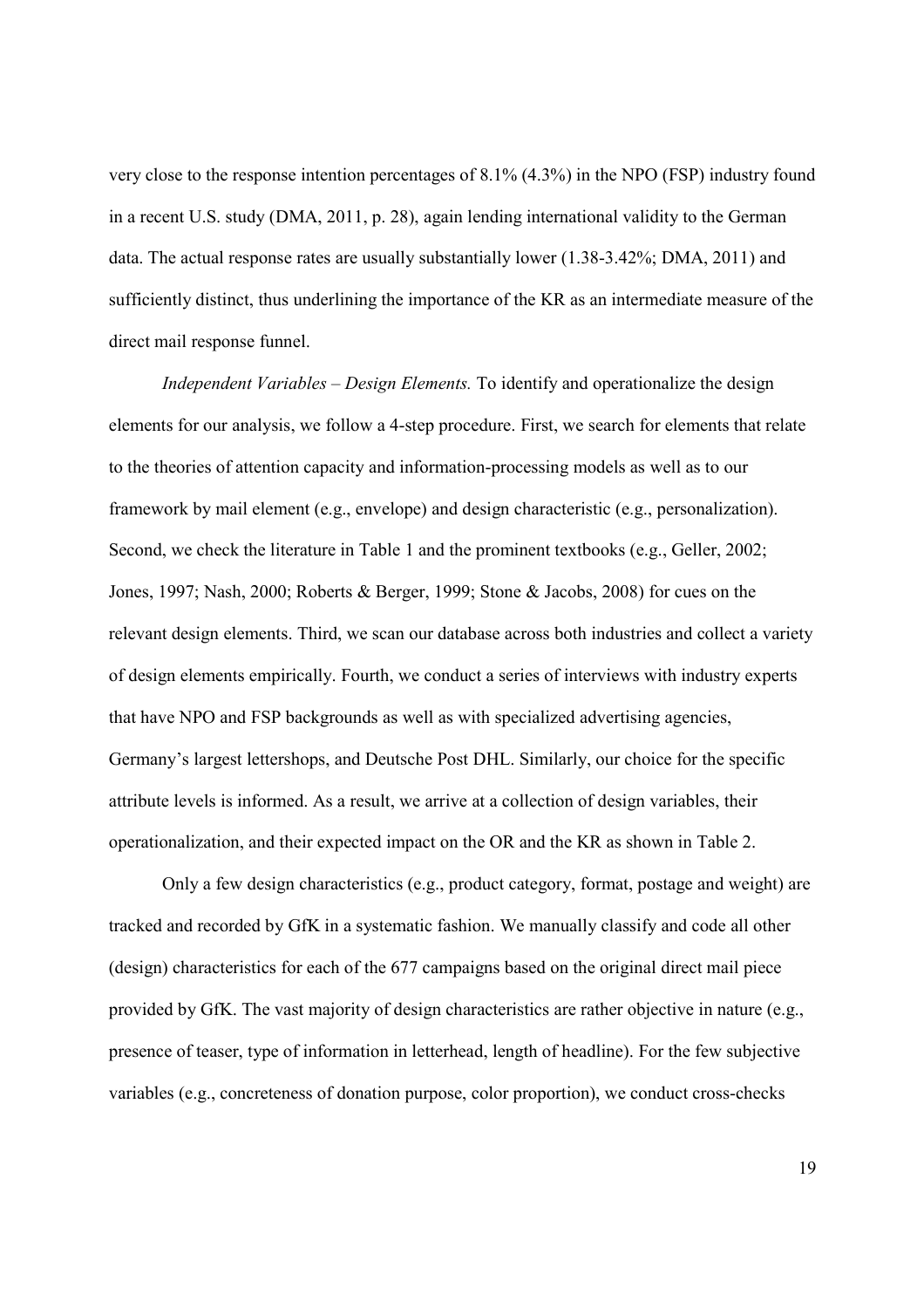very close to the response intention percentages of 8.1% (4.3%) in the NPO (FSP) industry found in a recent U.S. study (DMA, 2011, p. 28), again lending international validity to the German data. The actual response rates are usually substantially lower (1.38-3.42%; DMA, 2011) and sufficiently distinct, thus underlining the importance of the KR as an intermediate measure of the direct mail response funnel.

*Independent Variables – Design Elements.* To identify and operationalize the design elements for our analysis, we follow a 4-step procedure. First, we search for elements that relate to the theories of attention capacity and information-processing models as well as to our framework by mail element (e.g., envelope) and design characteristic (e.g., personalization). Second, we check the literature in Table 1 and the prominent textbooks (e.g., Geller, 2002; Jones, 1997; Nash, 2000; Roberts & Berger, 1999; Stone & Jacobs, 2008) for cues on the relevant design elements. Third, we scan our database across both industries and collect a variety of design elements empirically. Fourth, we conduct a series of interviews with industry experts that have NPO and FSP backgrounds as well as with specialized advertising agencies, Germany's largest lettershops, and Deutsche Post DHL. Similarly, our choice for the specific attribute levels is informed. As a result, we arrive at a collection of design variables, their operationalization, and their expected impact on the OR and the KR as shown in Table 2.

Only a few design characteristics (e.g., product category, format, postage and weight) are tracked and recorded by GfK in a systematic fashion. We manually classify and code all other (design) characteristics for each of the 677 campaigns based on the original direct mail piece provided by GfK. The vast majority of design characteristics are rather objective in nature (e.g., presence of teaser, type of information in letterhead, length of headline). For the few subjective variables (e.g., concreteness of donation purpose, color proportion), we conduct cross-checks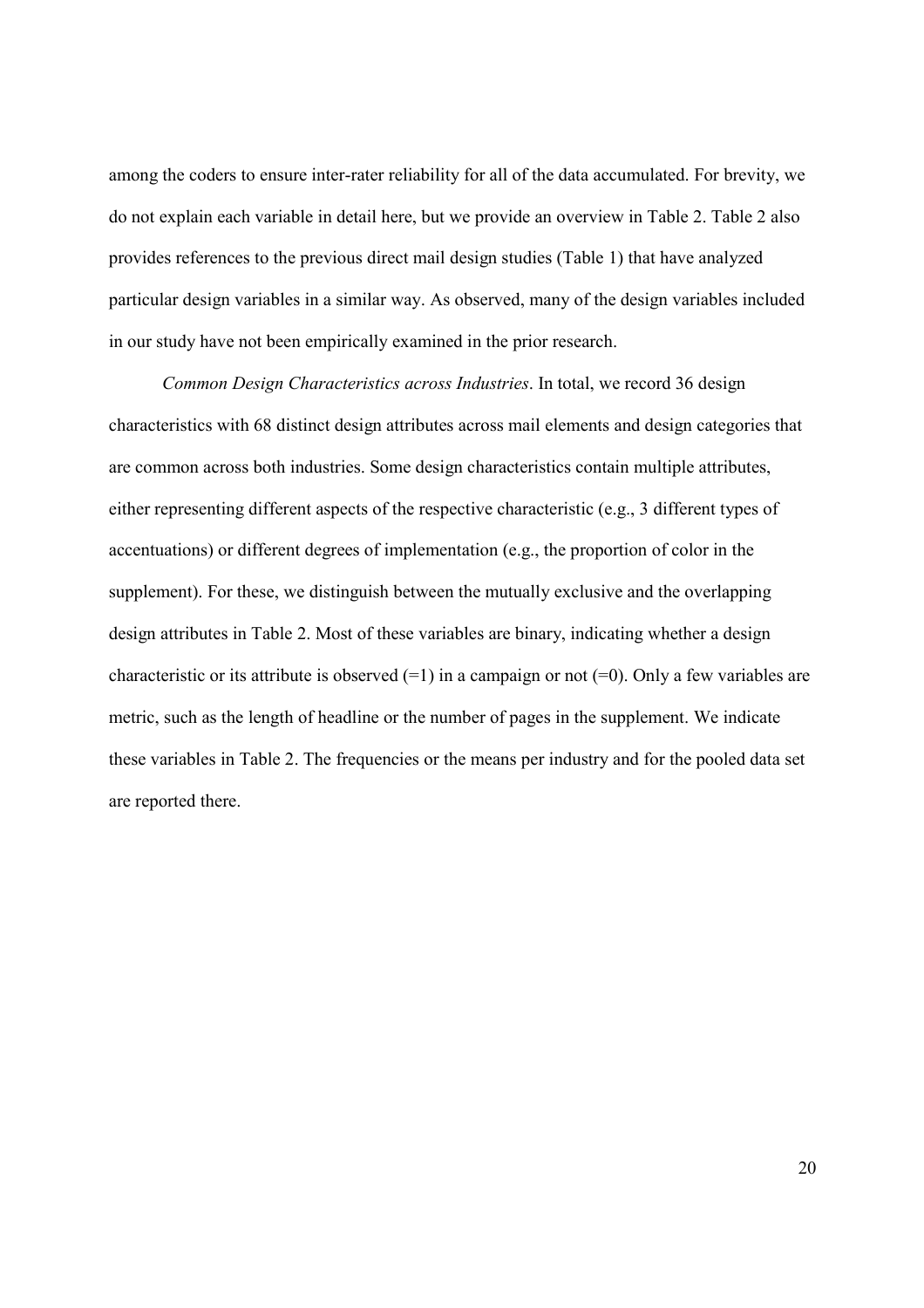among the coders to ensure inter-rater reliability for all of the data accumulated. For brevity, we do not explain each variable in detail here, but we provide an overview in Table 2. Table 2 also provides references to the previous direct mail design studies (Table 1) that have analyzed particular design variables in a similar way. As observed, many of the design variables included in our study have not been empirically examined in the prior research.

*Common Design Characteristics across Industries*. In total, we record 36 design characteristics with 68 distinct design attributes across mail elements and design categories that are common across both industries. Some design characteristics contain multiple attributes, either representing different aspects of the respective characteristic (e.g., 3 different types of accentuations) or different degrees of implementation (e.g., the proportion of color in the supplement). For these, we distinguish between the mutually exclusive and the overlapping design attributes in Table 2. Most of these variables are binary, indicating whether a design characteristic or its attribute is observed  $(=1)$  in a campaign or not  $(=0)$ . Only a few variables are metric, such as the length of headline or the number of pages in the supplement. We indicate these variables in Table 2. The frequencies or the means per industry and for the pooled data set are reported there.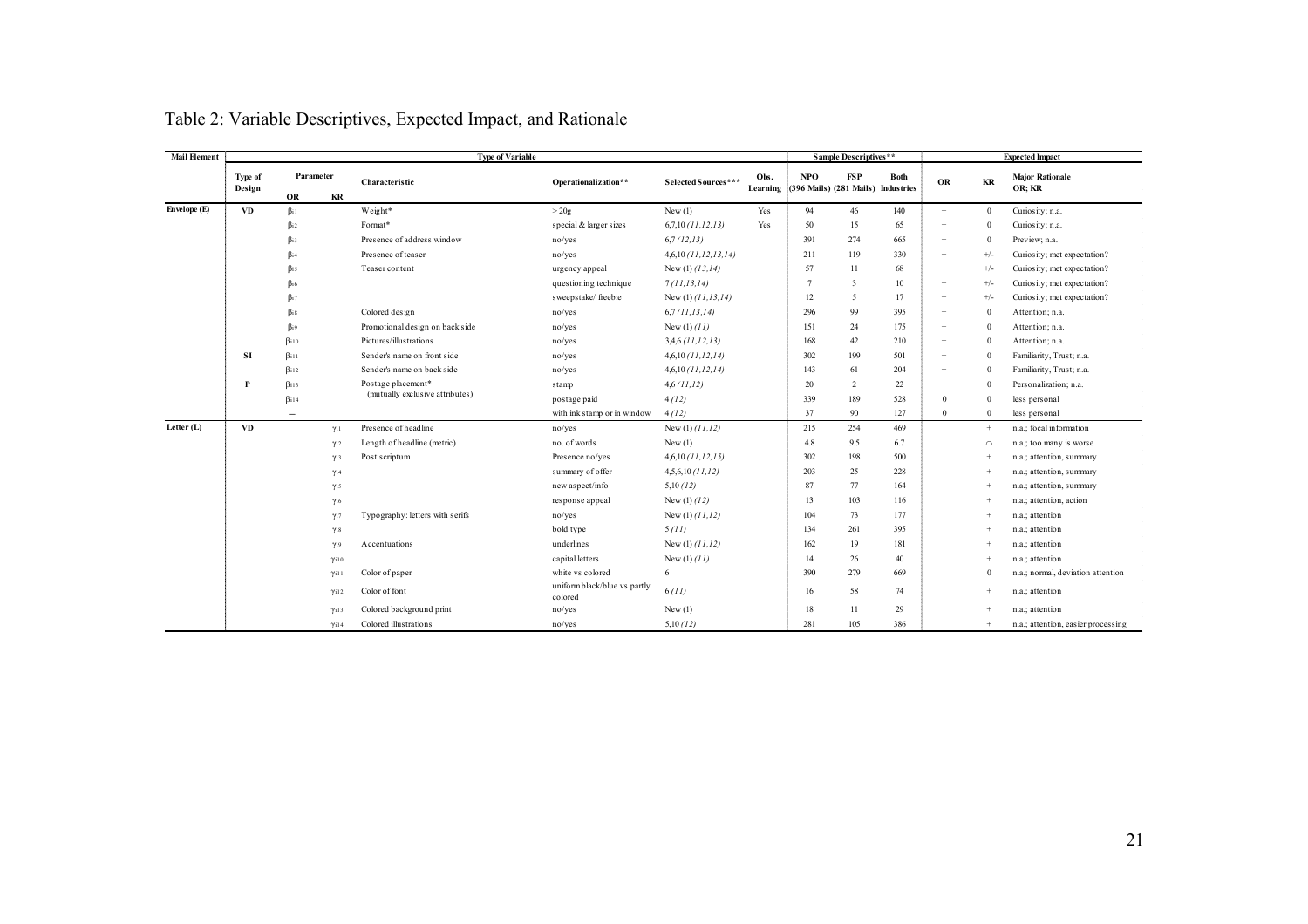| <b>Mail Element</b> |                   |                          |                  | <b>Type of Variable</b>         |                                         |                         |                  |                | <b>Sample Descriptives**</b>                     |      |              |                | <b>Expected Impact</b>             |
|---------------------|-------------------|--------------------------|------------------|---------------------------------|-----------------------------------------|-------------------------|------------------|----------------|--------------------------------------------------|------|--------------|----------------|------------------------------------|
|                     | Type of<br>Design | Parameter<br>OR          | KR               | Characteristic                  | Operationalization**                    | Selected Sources***     | Obs.<br>Learning | <b>NPO</b>     | <b>FSP</b><br>(396 Mails) (281 Mails) Industries | Both | OR           | KR             | <b>Major Rationale</b><br>OR: KR   |
| Envelope (E)        | <b>VD</b>         | $\beta_{i1}$             |                  | Weight*                         | >20g                                    | New(1)                  | Yes              | 94             | 46                                               | 140  | $+$          | $\overline{0}$ | Curiosity; n.a.                    |
|                     |                   | $\beta$ <sub>i2</sub>    |                  | Format*                         | special & larger sizes                  | $6,7,10$ ( $11,12,13$ ) | Yes              | 50             | 15                                               | 65   | $+$          | $\mathbf{0}$   | Curiosity; n.a.                    |
|                     |                   | $\beta$ <sub>i3</sub>    |                  | Presence of address window      | no/yes                                  | 6,7(12,13)              |                  | 391            | 274                                              | 665  | $+$          | $\mathbf{0}$   | Preview; n.a.                      |
|                     |                   | $\beta$ <sub>i4</sub>    |                  | Presence of teaser              | no/yes                                  | $4,6,10$ (11,12,13,14)  |                  | 211            | 119                                              | 330  | $\ddot{}$    | $+/-$          | Curiosity; met expectation?        |
|                     |                   | $\beta$ is               |                  | Teaser content                  | urgency appeal                          | New (1) $(13,14)$       |                  | 57             | 11                                               | 68   | $+$          | $+/-$          | Curiosity; met expectation?        |
|                     |                   | $\beta$ i6               |                  |                                 | questioning technique                   | 7(11, 13, 14)           |                  | $\overline{7}$ | 3                                                | 10   | $\ddot{}$    | $+/-$          | Curiosity; met expectation?        |
|                     |                   | $\beta$ <sub>i7</sub>    |                  |                                 | sweepstake/freebie                      | New (1) $(11, 13, 14)$  |                  | 12             | .5                                               | 17   | $+$          | $+/-$          | Curiosity; met expectation?        |
|                     |                   | $\beta$ is               |                  | Colored design                  | no/yes                                  | $6,7$ (11,13,14)        |                  | 296            | 99                                               | 395  | $+$          | $\mathbf{0}$   | Attention; n.a.                    |
|                     |                   | $\beta$ <sub>i9</sub>    |                  | Promotional design on back side | no/yes                                  | New (1) $(11)$          |                  | 151            | 24                                               | 175  | $+$          | $\mathbf{0}$   | Attention; n.a.                    |
|                     |                   | $\beta_{110}$            |                  | Pictures/illustrations          | no/yes                                  | $3,4,6$ (11,12,13)      |                  | 168            | 42                                               | 210  | $+$          | $\mathbf{0}$   | Attention; n.a.                    |
|                     | SI                | $\beta$ ill              |                  | Sender's name on front side     | no/yes                                  | $4,6,10$ ( $11,12,14$ ) |                  | 302            | 199                                              | 501  | $\ddot{}$    | $\Omega$       | Familiarity, Trust; n.a.           |
|                     |                   | $\beta$ i12              |                  | Sender's name on back side      | no/yes                                  | $4,6,10$ ( $11,12,14$ ) |                  | 143            | 61                                               | 204  | $+$          | $\mathbf{0}$   | Familiarity, Trust; n.a.           |
|                     | P                 | $\beta$ i13              |                  | Postage placement*              | stamp                                   | 4,6(11,12)              |                  | 20             | 2                                                | 22   | $\ddot{}$    | $\mathbf{0}$   | Personalization; n.a.              |
|                     |                   | $\beta_{114}$            |                  | (mutually exclusive attributes) | postage paid                            | 4(12)                   |                  | 339            | 189                                              | 528  | $\mathbf{0}$ | $\Omega$       | less personal                      |
|                     |                   | $\overline{\phantom{0}}$ |                  |                                 | with ink stamp or in window             | 4(12)                   |                  | 37             | 90                                               | 127  | $\mathbf{0}$ | $\mathbf{0}$   | less personal                      |
| Letter (L)          | <b>VD</b>         |                          | $Y_{11}$         | Presence of headline            | no/yes                                  | New (1) $(11, 12)$      |                  | 215            | 254                                              | 469  |              | $+$            | n.a.; focal information            |
|                     |                   |                          | $Y_{12}$         | Length of headline (metric)     | no. of words                            | New(1)                  |                  | 4.8            | 9.5                                              | 6.7  |              | $\cap$         | n.a.; too many is worse            |
|                     |                   |                          | Yi3              | Post scriptum                   | Presence no/yes                         | $4,6,10$ (11,12,15)     |                  | 302            | 198                                              | 500  |              | $\ddot{}$      | n.a.; attention, summary           |
|                     |                   |                          | Y <sub>i4</sub>  |                                 | summary of offer                        | $4,5,6,10$ (11,12)      |                  | 203            | 25                                               | 228  |              | $\ddot{}$      | n.a.; attention, summary           |
|                     |                   |                          | Yi5              |                                 | new aspect/info                         | 5,10(12)                |                  | 87             | 77                                               | 164  |              | $\ddot{}$      | n.a.; attention, summary           |
|                     |                   |                          | $Y_i$ 6          |                                 | response appeal                         | New (1) $(12)$          |                  | 13             | 103                                              | 116  |              | $\ddot{}$      | n.a.; attention, action            |
|                     |                   |                          | Y <sub>i</sub> 7 | Typography: letters with serifs | no/yes                                  | New (1) $(11, 12)$      |                  | 104            | 73                                               | 177  |              | $\ddot{}$      | n.a.; attention                    |
|                     |                   |                          | $Y_{18}$         |                                 | bold type                               | 5(11)                   |                  | 134            | 261                                              | 395  |              | $\ddot{}$      | n.a.; attention                    |
|                     |                   |                          | $Y_{19}$         | Accentuations                   | underlines                              | New (1) $(11, 12)$      |                  | 162            | 19                                               | 181  |              | $\ddot{}$      | n.a.; attention                    |
|                     |                   |                          | $\gamma$ i10     |                                 | capital letters                         | New (1) $(11)$          |                  | 14             | 26                                               | 40   |              | $\ddot{}$      | n.a.; attention                    |
|                     |                   |                          | $\gamma$ ill     | Color of paper                  | white vs colored                        | 6                       |                  | 390            | 279                                              | 669  |              | $\Omega$       | n.a.; normal, deviation attention  |
|                     |                   |                          | Yi12             | Color of font                   | uniform black/blue vs partly<br>colored | 6(11)                   |                  | 16             | 58                                               | 74   |              | $\ddot{}$      | n.a.; attention                    |
|                     |                   |                          | Yi13             | Colored background print        | no/yes                                  | New(1)                  |                  | 18             | 11                                               | 29   |              | $\ddot{}$      | n.a.; attention                    |
|                     |                   |                          | Yi14             | Colored illustrations           | no/ves                                  | 5,10(12)                |                  | 281            | 105                                              | 386  |              |                | n.a.; attention, easier processing |

Table 2: Variable Descriptives, Expected Impact, and Rationale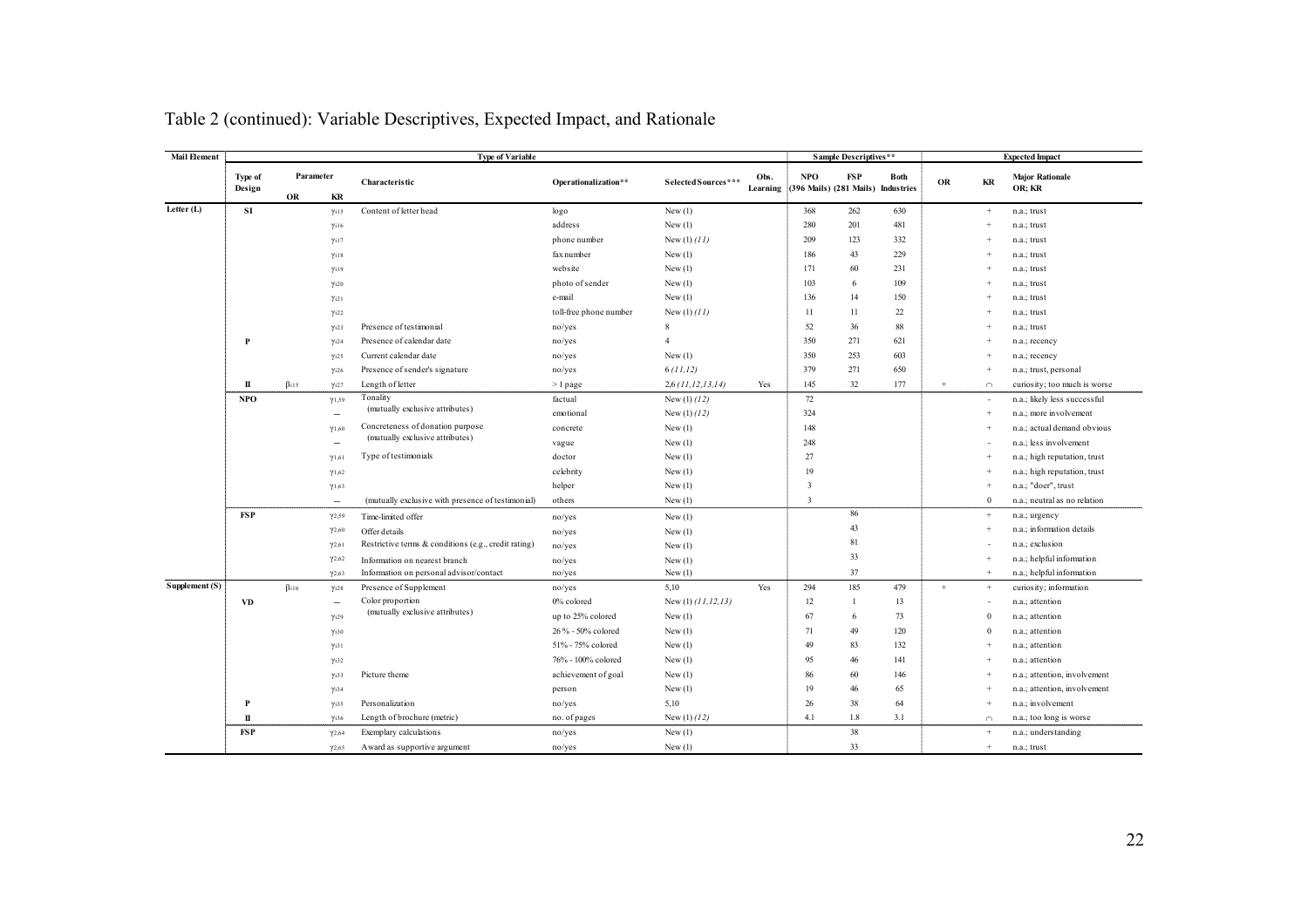| <b>Mail Element</b> |                   |                 |                          | <b>Type of Variable</b>                              |                        |                        |                  |                                                  | <b>Sample Descriptives**</b> |      |                   |                                  | <b>Expected Impact</b>           |
|---------------------|-------------------|-----------------|--------------------------|------------------------------------------------------|------------------------|------------------------|------------------|--------------------------------------------------|------------------------------|------|-------------------|----------------------------------|----------------------------------|
|                     | Type of<br>Design | Parameter<br>OR | KR                       | Characteristic                                       | Operationalization**   | Selected Sources***    | Obs.<br>Learning | <b>NPO</b><br>(396 Mails) (281 Mails) Industries | <b>FSP</b>                   | Both | OR                | KR                               | <b>Major Rationale</b><br>OR; KR |
| Letter (L)          | <b>SI</b>         |                 | Yi15                     | Content of letter head                               | logo                   | New(1)                 |                  | 368                                              | 262                          | 630  |                   | $\begin{array}{c} + \end{array}$ | n.a.; trust                      |
|                     |                   |                 | Yi16                     |                                                      | address                | New(1)                 |                  | 280                                              | 201                          | 481  |                   | $\ddot{}$                        | n.a.; trust                      |
|                     |                   |                 | Yi17                     |                                                      | phone number           | New $(1)$ $(11)$       |                  | 209                                              | 123                          | 332  |                   | $\ddot{}$                        | n.a.; trust                      |
|                     |                   |                 | Yi18                     |                                                      | fax number             | New(1)                 |                  | 186                                              | 43                           | 229  |                   | $\overline{1}$                   | n.a.; trust                      |
|                     |                   |                 | $\gamma$ i19             |                                                      | website                | New(1)                 |                  | 171                                              | 60                           | 231  |                   | $\ddot{}$                        | n.a.; trust                      |
|                     |                   |                 | Yi20                     |                                                      | photo of sender        | New(1)                 |                  | 103                                              | 6                            | 109  |                   | $\ddot{}$                        | n.a.; trust                      |
|                     |                   |                 | $Y_{121}$                |                                                      | e-mail                 | New(1)                 |                  | 136                                              | 14                           | 150  |                   | $\ddot{}$                        | n.a.; trust                      |
|                     |                   |                 | Yi22                     |                                                      | toll-free phone number | New (1) $(11)$         |                  | 11                                               | 11                           | 22   |                   | $\ddot{}$                        | n.a.; trust                      |
|                     |                   |                 | Yi23                     | Presence of testimonial                              | no/yes                 | 8                      |                  | 52                                               | 36                           | 88   |                   | ÷                                | n.a.; trust                      |
|                     | P                 |                 | Y <sub>i</sub> 24        | Presence of calendar date                            | no/yes                 | $\overline{4}$         |                  | 350                                              | 271                          | 621  |                   | $\ddot{}$                        | n.a.; recency                    |
|                     |                   |                 | Yi25                     | Current calendar date                                | no/yes                 | New(1)                 |                  | 350                                              | 253                          | 603  |                   | $\ddot{}$                        | n.a.; recency                    |
|                     |                   |                 | Yi26                     | Presence of sender's signature                       | no/yes                 | 6(11,12)               |                  | 379                                              | 271                          | 650  |                   | $\ddot{}$                        | n.a.; trust, personal            |
|                     | П                 | $\beta$ i15     | Yi27                     | Length of letter                                     | $>1$ page              | $2,6$ (11,12,13,14)    | Yes              | 145                                              | 32                           | 177  | $\ddot{}$         | $\cap$                           | curiosity; too much is worse     |
|                     | <b>NPO</b>        |                 | Y1,59                    | Tonality                                             | factual                | New (1) $(12)$         |                  | 72                                               |                              |      |                   |                                  | n.a.; likely less successful     |
|                     |                   |                 | $\overline{\phantom{a}}$ | (mutually exclusive attributes)                      | emotional              | New (1) $(12)$         |                  | 324                                              |                              |      |                   | $\ddot{}$                        | n.a.; more involvement           |
|                     |                   |                 | Y1,60                    | Concreteness of donation purpose                     | concrete               | New(1)                 |                  | 148                                              |                              |      |                   |                                  | n.a.; actual demand obvious      |
|                     |                   |                 | $\overline{\phantom{m}}$ | (mutually exclusive attributes)                      | vague                  | New(1)                 |                  | 248                                              |                              |      |                   |                                  | n.a.; less involvement           |
|                     |                   |                 | Y1,61                    | Type of testimonials                                 | doctor                 | New(1)                 |                  | 27                                               |                              |      |                   |                                  | n.a.; high reputation, trust     |
|                     |                   |                 | Y1,62                    |                                                      | celebrity              | New(1)                 |                  | 19                                               |                              |      |                   | $\ddot{}$                        | n.a.; high reputation, trust     |
|                     |                   |                 | Y1,63                    |                                                      | helper                 | New(1)                 |                  | 3                                                |                              |      |                   |                                  | n.a.; "doer", trust              |
|                     |                   |                 | $\overline{\phantom{m}}$ | (mutually exclusive with presence of testimonial)    | others                 | New(1)                 |                  | 3                                                |                              |      |                   | $\mathbf{0}$                     | n.a.; neutral as no relation     |
|                     | <b>FSP</b>        |                 | Y2,59                    | Time-limited offer                                   | no/yes                 | New(1)                 |                  |                                                  | 86                           |      |                   | $\ddot{}$                        | n.a.; urgency                    |
|                     |                   |                 | $\gamma_{2,60}$          | Offer details                                        | no/yes                 | New(1)                 |                  |                                                  | 43                           |      |                   | ÷                                | n.a.; information details        |
|                     |                   |                 | Y <sup>2</sup> ,61       | Restrictive terms & conditions (e.g., credit rating) | no/yes                 | New(1)                 |                  |                                                  | 81                           |      |                   |                                  | n.a.; exclusion                  |
|                     |                   |                 | $\gamma$ 2,\!62          | Information on nearest branch                        | no/yes                 | New(1)                 |                  |                                                  | 33                           |      |                   | ÷                                | n.a.; helpful information        |
|                     |                   |                 | Y2,63                    | Information on personal advisor/contact              | no/yes                 | New(1)                 |                  |                                                  | 37                           |      |                   | $\ddot{}$                        | n.a.; helpful information        |
| Supplement (S)      |                   | $\beta$ i16     | Yi28                     | Presence of Supplement                               | no/yes                 | 5,10                   | Yes              | 294                                              | 185                          | 479  | $\qquad \qquad +$ | $+$                              | curiosity; information           |
|                     | <b>VD</b>         |                 | $\overline{\phantom{a}}$ | Color proportion                                     | 0% colored             | New (1) $(11, 12, 13)$ |                  | 12                                               | 1                            | 13   |                   |                                  | n.a.; attention                  |
|                     |                   |                 | Yi29                     | (mutually exclusive attributes)                      | up to 25% colored      | New(1)                 |                  | 67                                               | 6                            | 73   |                   | $\mathbf{0}$                     | n.a.; attention                  |
|                     |                   |                 | $\gamma$ <sub>130</sub>  |                                                      | 26 % - 50% colored     | New(1)                 |                  | 71                                               | 49                           | 120  |                   | $\Omega$                         | n.a.; attention                  |
|                     |                   |                 | $\gamma$ i31             |                                                      | 51% - 75% colored      | New(1)                 |                  | 49                                               | 83                           | 132  |                   | $\ddot{}$                        | n.a.; attention                  |
|                     |                   |                 | Yi32                     |                                                      | 76% - 100% colored     | New(1)                 |                  | 95                                               | 46                           | 141  |                   | $\ddot{}$                        | n.a.; attention                  |
|                     |                   |                 | Yi33                     | Picture theme                                        | achievement of goal    | New(1)                 |                  | 86                                               | 60                           | 146  |                   | $\ddot{}$                        | n.a.; attention, involvement     |
|                     |                   |                 | Yi34                     |                                                      | person                 | New(1)                 |                  | 19                                               | 46                           | 65   |                   | $\overline{1}$                   | n.a.; attention, involvement     |
|                     | P                 |                 | Yi35                     | Personalization                                      | no/yes                 | 5,10                   |                  | 26                                               | 38                           | 64   |                   | $\ddot{}$                        | n.a.; involvement                |
|                     | П                 |                 | Yi36                     | Length of brochure (metric)                          | no. of pages           | New $(1)$ $(12)$       |                  | 4.1                                              | 1.8                          | 3.1  |                   | $\cap$                           | n.a.; too long is worse          |
|                     | <b>FSP</b>        |                 | Y2,64                    | Exemplary calculations                               | no/yes                 | New(1)                 |                  |                                                  | 38                           |      |                   | $\! + \!\!\!\!$                  | n.a.; understanding              |
|                     |                   |                 | Y2,65                    | A ward as supportive argument                        | no/yes                 | New(1)                 |                  |                                                  | 33                           |      |                   | $+$                              | n.a.; trust                      |

Table 2 (continued): Variable Descriptives, Expected Impact, and Rationale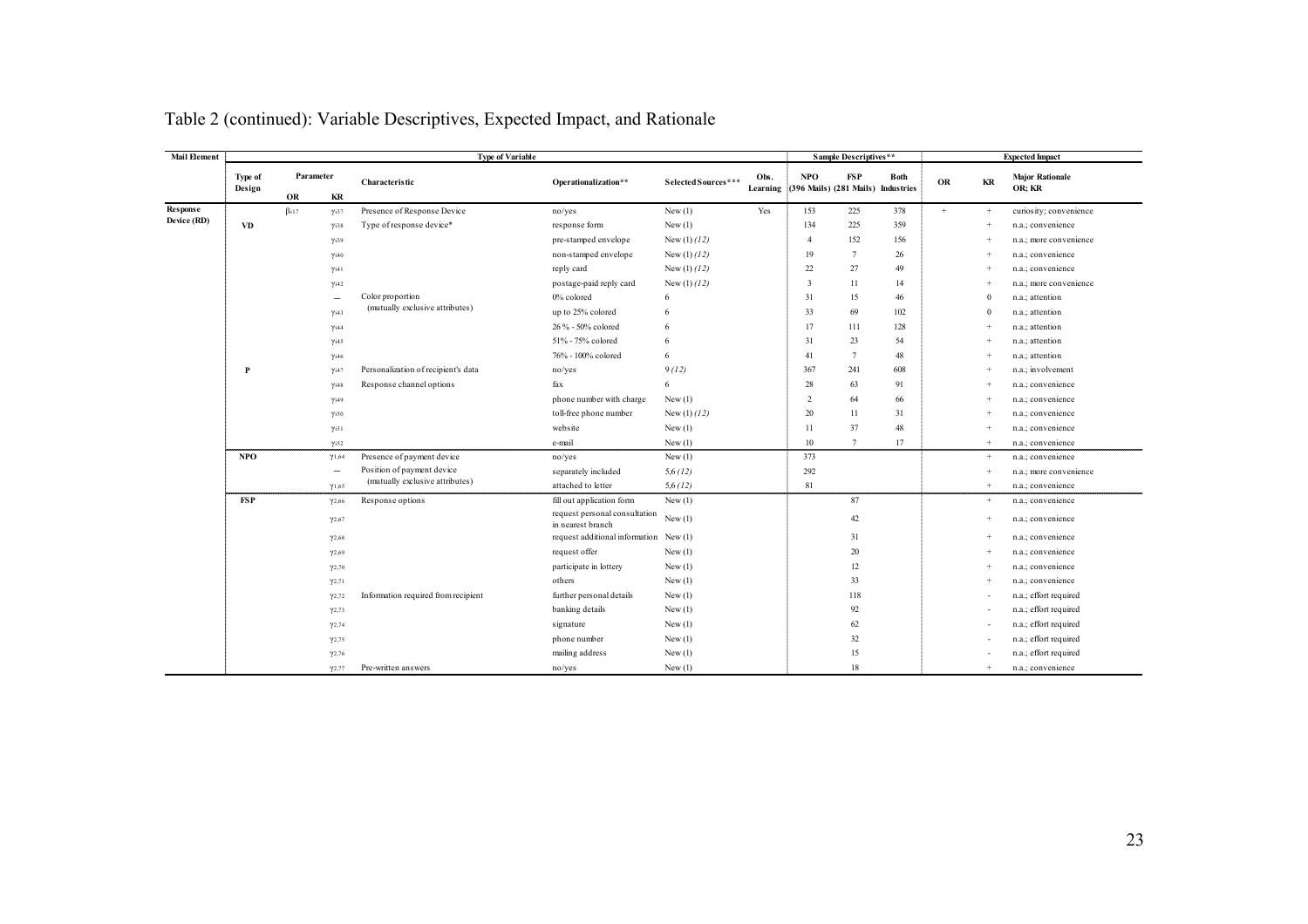| <b>Mail Element</b> |                   |                 |                          | <b>Type of Variable</b>             |                                                    |                     |                  |                                                  | <b>Sample Descriptives**</b> |      |     |                                  | <b>Expected Impact</b>           |
|---------------------|-------------------|-----------------|--------------------------|-------------------------------------|----------------------------------------------------|---------------------|------------------|--------------------------------------------------|------------------------------|------|-----|----------------------------------|----------------------------------|
|                     | Type of<br>Design | Parameter<br>OR | KR                       | Characteristic                      | Operationalization**                               | Selected Sources*** | Obs.<br>Learning | <b>NPO</b><br>(396 Mails) (281 Mails) Industries | <b>FSP</b>                   | Both | OR  | KR                               | <b>Major Rationale</b><br>OR; KR |
| Response            |                   | $\beta$ i17     | Yi37                     | Presence of Response Device         | no/yes                                             | New(1)              | Yes              | 153                                              | 225                          | 378  | $+$ | $\begin{array}{c} + \end{array}$ | curiosity; convenience           |
| Device (RD)         | <b>VD</b>         |                 | $\gamma$ i38             | Type of response device*            | response form                                      | New(1)              |                  | 134                                              | 225                          | 359  |     | $\ddot{}$                        | n.a.; convenience                |
|                     |                   |                 | Yi39                     |                                     | pre-stamped envelope                               | New (1) $(12)$      |                  | $\overline{4}$                                   | 152                          | 156  |     | $\ddot{}$                        | n.a.; more convenience           |
|                     |                   |                 | Y <sub>i</sub> 40        |                                     | non-stamped envelope                               | New (1) $(12)$      |                  | 19                                               | 7                            | 26   |     |                                  | n.a.; convenience                |
|                     |                   |                 | $Y$ i41                  |                                     | reply card                                         | New (1) $(12)$      |                  | 22                                               | 27                           | 49   |     |                                  | n.a.; convenience                |
|                     |                   |                 | Y <sub>i</sub> 42        |                                     | postage-paid reply card                            | New (1) $(12)$      |                  | $\overline{3}$                                   | 11                           | 14   |     |                                  | n.a.; more convenience           |
|                     |                   |                 | $\overline{\phantom{a}}$ | Color proportion                    | 0% colored                                         | 6                   |                  | 31                                               | 15                           | 46   |     | $\mathbf{0}$                     | n.a.; attention                  |
|                     |                   |                 | Yi43                     | (mutually exclusive attributes)     | up to 25% colored                                  | 6                   |                  | 33                                               | 69                           | 102  |     | $\mathbf{0}$                     | n.a.; attention                  |
|                     |                   |                 | Y <sub>i</sub> 44        |                                     | 26 % - 50% colored                                 | 6                   |                  | 17                                               | 111                          | 128  |     | $^{+}$                           | n.a.; attention                  |
|                     |                   |                 | Yi45                     |                                     | 51% - 75% colored                                  | 6                   |                  | 31                                               | 23                           | 54   |     | $^{+}$                           | n.a.; attention                  |
|                     |                   |                 | Yi46                     |                                     | 76% - 100% colored                                 | 6                   |                  | 41                                               | $7\phantom{.0}$              | 48   |     | $\ddot{}$                        | n.a.; attention                  |
|                     | P                 |                 | Yi47                     | Personalization of recipient's data | no/yes                                             | 9(12)               |                  | 367                                              | 241                          | 608  |     | $\ddot{}$                        | n.a.; involvement                |
|                     |                   |                 | Yi48                     | Response channel options            | fax                                                | 6                   |                  | 28                                               | 63                           | 91   |     | $\ddot{}$                        | n.a.; convenience                |
|                     |                   |                 | $Yi$ 49                  |                                     | phone number with charge                           | New(1)              |                  | 2                                                | 64                           | 66   |     | $\ddot{}$                        | n.a.; convenience                |
|                     |                   |                 | Yi50                     |                                     | toll-free phone number                             | New (1) $(12)$      |                  | 20                                               | 11                           | 31   |     | $\ddot{}$                        | n.a.; convenience                |
|                     |                   |                 | $Y$ i51                  |                                     | website                                            | New(1)              |                  | 11                                               | 37                           | 48   |     | $\ddot{}$                        | n.a.; convenience                |
|                     |                   |                 | Yi52                     |                                     | e-mail                                             | New(1)              |                  | 10                                               | 7                            | 17   |     | $+$                              | n.a.; convenience                |
|                     | <b>NPO</b>        |                 | Y1,64                    | Presence of payment device          | no/yes                                             | New(1)              |                  | 373                                              |                              |      |     | $+$                              | n.a.; convenience                |
|                     |                   |                 | $\overline{\phantom{m}}$ | Position of payment device          | separately included                                | 5,6(12)             |                  | 292                                              |                              |      |     | $^{+}$                           | n.a.; more convenience           |
|                     |                   |                 | Y1,65                    | (mutually exclusive attributes)     | attached to letter                                 | 5,6(12)             |                  | 81                                               |                              |      |     | $+$                              | n.a.; convenience                |
|                     | <b>FSP</b>        |                 | Y2,66                    | Response options                    | fill out application form                          | New(1)              |                  |                                                  | 87                           |      |     | $+$                              | n.a.; convenience                |
|                     |                   |                 | Y2,67                    |                                     | request personal consultation<br>in nearest branch | New(1)              |                  |                                                  | 42                           |      |     | $\ddot{}$                        | n.a.; convenience                |
|                     |                   |                 | Y2,68                    |                                     | request additional information New (1)             |                     |                  |                                                  | 31                           |      |     |                                  | n.a.; convenience                |
|                     |                   |                 | Y2,69                    |                                     | request offer                                      | New(1)              |                  |                                                  | 20                           |      |     |                                  | n.a.; convenience                |
|                     |                   |                 | Y2,70                    |                                     | participate in lottery                             | New(1)              |                  |                                                  | 12                           |      |     |                                  | n.a.; convenience                |
|                     |                   |                 | $Y_{2,71}$               |                                     | others                                             | New(1)              |                  |                                                  | 33                           |      |     | $\ddot{}$                        | n.a.; convenience                |
|                     |                   |                 | Y2,72                    | Information required from recipient | further personal details                           | New(1)              |                  |                                                  | 118                          |      |     |                                  | n.a.; effort required            |
|                     |                   |                 | Y2,73                    |                                     | banking details                                    | New(1)              |                  |                                                  | 92                           |      |     |                                  | n.a.; effort required            |
|                     |                   |                 | Y2,74                    |                                     | signature                                          | New(1)              |                  |                                                  | 62                           |      |     |                                  | n.a.; effort required            |
|                     |                   |                 | Y2,75                    |                                     | phone number                                       | New(1)              |                  |                                                  | 32                           |      |     |                                  | n.a.; effort required            |
|                     |                   |                 | Y2,76                    |                                     | mailing address                                    | New(1)              |                  |                                                  | 15                           |      |     |                                  | n.a.; effort required            |
|                     |                   |                 | Y2,77                    | Pre-written answers                 | no/yes                                             | New(1)              |                  |                                                  | 18                           |      |     | $+$                              | n.a.; convenience                |

#### Table 2 (continued): Variable Descriptives, Expected Impact, and Rationale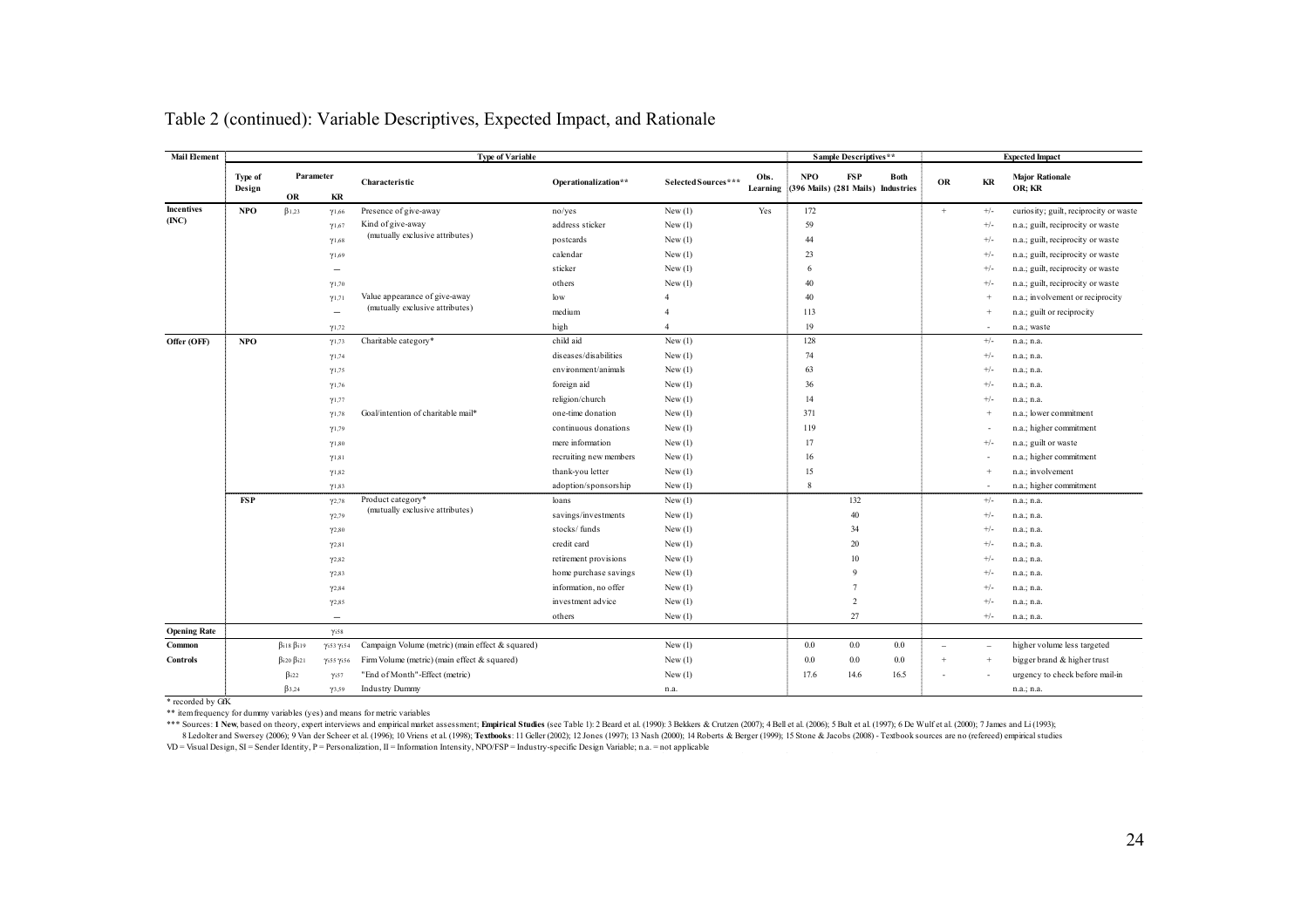| <b>Mail Element</b> |                   |                         |                           | <b>Type of Variable</b>                          |                        |                     |                  |                                                  | <b>Sample Descriptives**</b> |      |                          |                                  | <b>Expected Impact</b>                 |
|---------------------|-------------------|-------------------------|---------------------------|--------------------------------------------------|------------------------|---------------------|------------------|--------------------------------------------------|------------------------------|------|--------------------------|----------------------------------|----------------------------------------|
|                     | Type of<br>Design | Parameter<br>OR         | KR                        | Characteristic                                   | Operationalization**   | Selected Sources*** | Obs.<br>Learning | <b>NPO</b><br>(396 Mails) (281 Mails) Industries | FS P                         | Both | OR                       | KR                               | <b>Major Rationale</b><br>OR; KR       |
| <b>Incentives</b>   | NPO               | $\beta$ <sub>1,23</sub> | Y1,66                     | Presence of give-away                            | no/yes                 | New(1)              | Yes              | 172                                              |                              |      | $\! +$                   | $+/-$                            | curiosity; guilt, reciprocity or waste |
| (INC)               |                   |                         | Y1,67                     | Kind of give-away                                | address sticker        | New(1)              |                  | 59                                               |                              |      |                          | $+/-$                            | n.a.; guilt, reciprocity or waste      |
|                     |                   |                         | Y1,68                     | (mutually exclusive attributes)                  | postcards              | New(1)              |                  | 44                                               |                              |      |                          | $+/-$                            | n.a.; guilt, reciprocity or waste      |
|                     |                   |                         | Y1,69                     |                                                  | calendar               | New(1)              |                  | 23                                               |                              |      |                          | $+/-$                            | n.a.; guilt, reciprocity or waste      |
|                     |                   |                         | $\qquad \qquad -$         |                                                  | sticker                | New(1)              |                  | 6                                                |                              |      |                          | $+/-$                            | n.a.; guilt, reciprocity or waste      |
|                     |                   |                         | Y1,70                     |                                                  | others                 | New(1)              |                  | 40                                               |                              |      |                          | $+/-$                            | n.a.; guilt, reciprocity or waste      |
|                     |                   |                         | Y1,71                     | Value appearance of give-away                    | low                    |                     |                  | 40                                               |                              |      |                          | $\ddot{}$                        | n.a.; involvement or reciprocity       |
|                     |                   |                         | $\overline{\phantom{0}}$  | (mutually exclusive attributes)                  | medium                 | $\overline{4}$      |                  | 113                                              |                              |      |                          | $\ddot{}$                        | n.a.; guilt or reciprocity             |
|                     |                   |                         | Y1,72                     |                                                  | high                   | $\overline{4}$      |                  | 19                                               |                              |      |                          | $\overline{\phantom{a}}$         | n.a.; waste                            |
| Offer (OFF)         | <b>NPO</b>        |                         | Y1,73                     | Charitable category*                             | child aid              | New(1)              |                  | 128                                              |                              |      |                          | $+/-$                            | n.a.; n.a.                             |
|                     |                   |                         | Y1,74                     |                                                  | diseases/disabilities  | New(1)              |                  | 74                                               |                              |      |                          | $+/-$                            | n.a.; n.a.                             |
|                     |                   |                         | Y1,75                     |                                                  | environment/animals    | New(1)              |                  | 63                                               |                              |      |                          | $+/-$                            | n.a.; n.a.                             |
|                     |                   |                         | Y1,76                     |                                                  | foreign aid            | New(1)              |                  | 36                                               |                              |      |                          | $+/-$                            | n.a.: n.a.                             |
|                     |                   |                         | Y1,77                     |                                                  | religion/church        | New(1)              |                  | 14                                               |                              |      |                          | $+/-$                            | n.a.; n.a.                             |
|                     |                   |                         | Y1,78                     | Goal/intention of charitable mail*               | one-time donation      | New(1)              |                  | 371                                              |                              |      |                          | $\ddot{}$                        | n.a.; lower commitment                 |
|                     |                   |                         | Y1,79                     |                                                  | continuous donations   | New(1)              |                  | 119                                              |                              |      |                          |                                  | n.a.; higher commitment                |
|                     |                   |                         | Y1,80                     |                                                  | mere information       | New(1)              |                  | 17                                               |                              |      |                          | $+/-$                            | n.a.; guilt or waste                   |
|                     |                   |                         | Y1,81                     |                                                  | recruiting new members | New(1)              |                  | 16                                               |                              |      |                          |                                  | n.a.; higher commitment                |
|                     |                   |                         | Y1,82                     |                                                  | thank-you letter       | New(1)              |                  | 15                                               |                              |      |                          | $\ddot{}$                        | n.a.; involvement                      |
|                     |                   |                         | Y1,83                     |                                                  | adoption/sponsorship   | New(1)              |                  | $\mathbf{8}$                                     |                              |      |                          |                                  | n.a.; higher commitment                |
|                     | <b>FSP</b>        |                         | Y2,78                     | Product category*                                | loans                  | New(1)              |                  |                                                  | 132                          |      |                          | $+/-$                            | n.a.; n.a.                             |
|                     |                   |                         | Y2,79                     | (mutually exclusive attributes)                  | savings/investments    | New(1)              |                  |                                                  | 40                           |      |                          | $+/-$                            | n.a.; n.a.                             |
|                     |                   |                         | Y2,80                     |                                                  | stocks/funds           | New(1)              |                  |                                                  | 34                           |      |                          | $^{+/-}$                         | n.a.; n.a.                             |
|                     |                   |                         | $Y^2, 81$                 |                                                  | credit card            | New(1)              |                  |                                                  | 20                           |      |                          | $+/-$                            | n.a.; n.a.                             |
|                     |                   |                         | Y2,82                     |                                                  | retirement provisions  | New(1)              |                  |                                                  | 10                           |      |                          | $+/-$                            | n.a.; n.a.                             |
|                     |                   |                         | Y2,83                     |                                                  | home purchase savings  | New(1)              |                  |                                                  | $\mathbf Q$                  |      |                          | $^{+/-}$                         | n.a.; n.a.                             |
|                     |                   |                         | Y2,84                     |                                                  | information, no offer  | New(1)              |                  |                                                  | $\overline{7}$               |      |                          | $+/-$                            | n.a.; n.a.                             |
|                     |                   |                         | Y2,85                     |                                                  | investment advice      | New(1)              |                  |                                                  | $\overline{2}$               |      |                          | $+/-$                            | n.a.; n.a.                             |
|                     |                   |                         | $\overline{\phantom{m}}$  |                                                  | others                 | New(1)              |                  |                                                  | 27                           |      |                          | $+/-$                            | n.a.: n.a.                             |
| <b>Opening Rate</b> |                   |                         | $\gamma$ i58              |                                                  |                        |                     |                  |                                                  |                              |      |                          |                                  |                                        |
| <b>Common</b>       |                   | $\beta$ i18 $\beta$ i19 | $\gamma$ i53 $\gamma$ i54 | Campaign Volume (metric) (main effect & squared) |                        | New(1)              |                  | 0.0                                              | 0.0                          | 0.0  | $\overline{\phantom{a}}$ | $\overline{\phantom{a}}$         | higher volume less targeted            |
| <b>Controls</b>     |                   | $\beta$ i20 $\beta$ i21 | $\gamma$ i55 $\gamma$ i56 | Firm Volume (metric) (main effect & squared)     |                        | New(1)              |                  | 0.0                                              | 0.0                          | 0.0  | $\! + \!\!\!\!$          | $\begin{array}{c} + \end{array}$ | bigger brand & higher trust            |
|                     |                   | $\beta$ <sub>122</sub>  | Yi57                      | "End of Month"-Effect (metric)                   |                        | New(1)              |                  | 17.6                                             | 14.6                         | 16.5 |                          |                                  | urgency to check before mail-in        |
| $\cdots$            |                   | $\beta$ 3.24            | 73,59                     | <b>Industry Dummy</b>                            |                        | n.a.                |                  |                                                  |                              |      |                          |                                  | n.a.; n.a.                             |

### Table 2 (continued): Variable Descriptives, Expected Impact, and Rationale

\* recorded by GfK

\*\* item frequency for dummy variables (yes) and means for metric variables

VD = Visual Design, SI = Sender Identity, P = Personalization, II = Information Intensity, NPO/FSP = Industry-specific Design Variable; n.a. = not applicable\*\*\* Sources: 1 New, based on theory, expert interviews and empirical market assessment; Empirical Studies (see Table 1): 2 Beard et al. (1990): 3 Bekkers & Crutzen (2007); 4 Bell et al. (1906); 5 Bult et al. (1997); 6 De W 8 Ledolter and Swersey (2006); 9 Van der Scheer et al. (1996); 10 Viens et al. (1998); Textbooks: 11 Geller (2002); 12 Jones (1997); 13 Nash (2000); 14 Roberts & Berger (1999); 15 Stone & Jacobs (2008) - Textbook sources a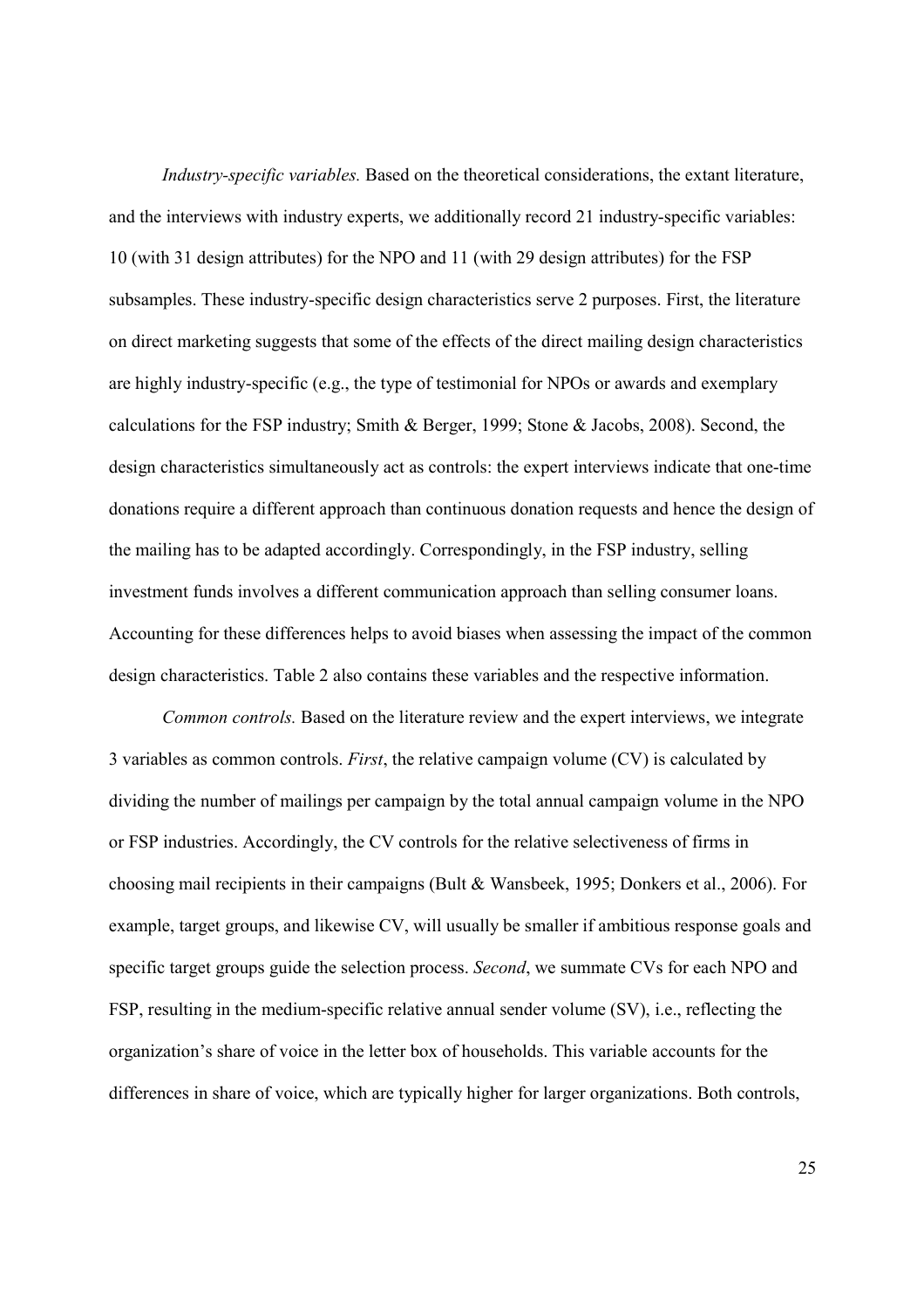*Industry-specific variables.* Based on the theoretical considerations, the extant literature, and the interviews with industry experts, we additionally record 21 industry-specific variables: 10 (with 31 design attributes) for the NPO and 11 (with 29 design attributes) for the FSP subsamples. These industry-specific design characteristics serve 2 purposes. First, the literature on direct marketing suggests that some of the effects of the direct mailing design characteristics are highly industry-specific (e.g., the type of testimonial for NPOs or awards and exemplary calculations for the FSP industry; Smith & Berger, 1999; Stone & Jacobs, 2008). Second, the design characteristics simultaneously act as controls: the expert interviews indicate that one-time donations require a different approach than continuous donation requests and hence the design of the mailing has to be adapted accordingly. Correspondingly, in the FSP industry, selling investment funds involves a different communication approach than selling consumer loans. Accounting for these differences helps to avoid biases when assessing the impact of the common design characteristics. Table 2 also contains these variables and the respective information.

*Common controls.* Based on the literature review and the expert interviews, we integrate 3 variables as common controls. *First*, the relative campaign volume (CV) is calculated by dividing the number of mailings per campaign by the total annual campaign volume in the NPO or FSP industries. Accordingly, the CV controls for the relative selectiveness of firms in choosing mail recipients in their campaigns (Bult & Wansbeek, 1995; Donkers et al., 2006). For example, target groups, and likewise CV, will usually be smaller if ambitious response goals and specific target groups guide the selection process. *Second*, we summate CVs for each NPO and FSP, resulting in the medium-specific relative annual sender volume (SV), i.e., reflecting the organization's share of voice in the letter box of households. This variable accounts for the differences in share of voice, which are typically higher for larger organizations. Both controls,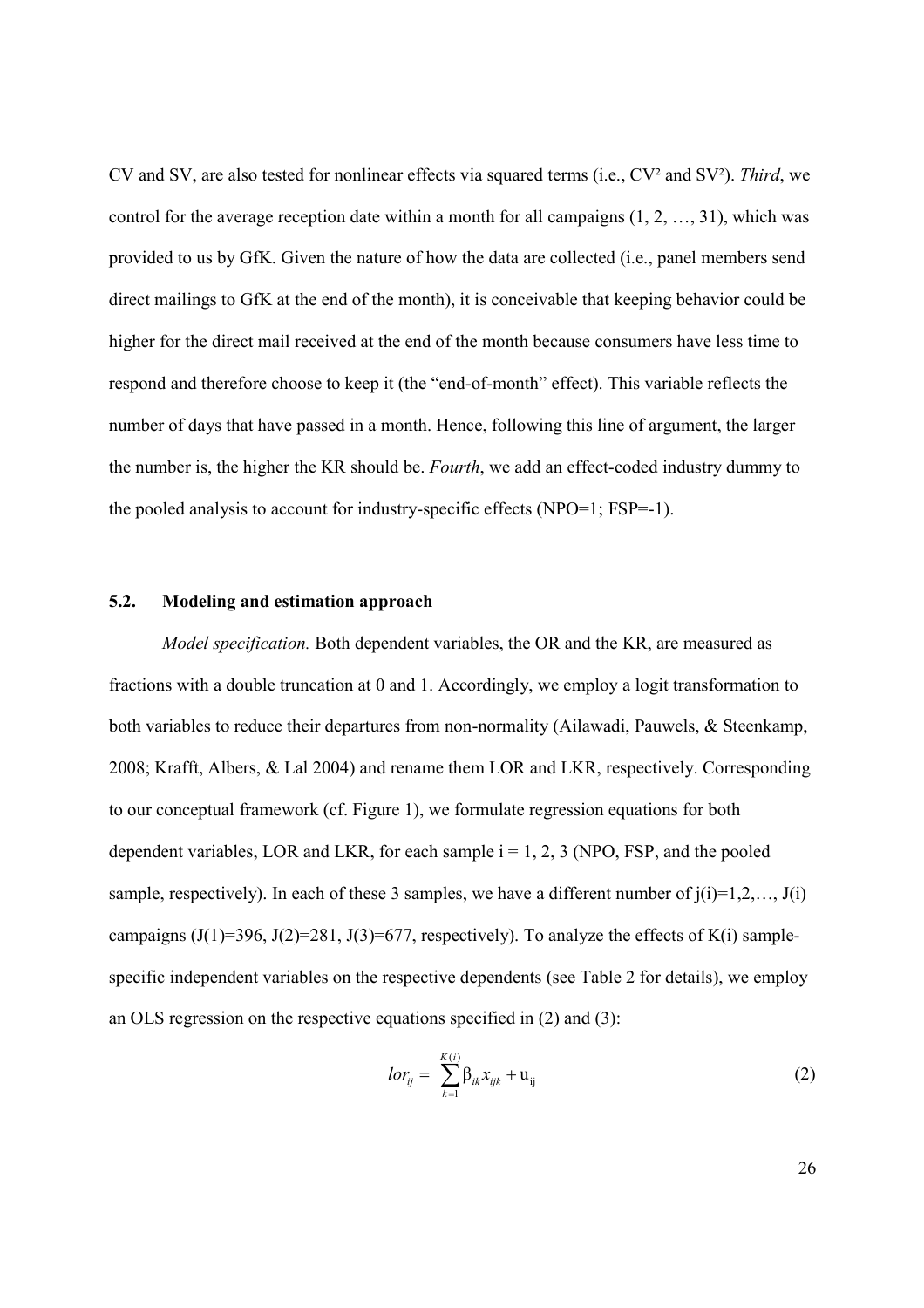CV and SV, are also tested for nonlinear effects via squared terms (i.e., CV² and SV²). *Third*, we control for the average reception date within a month for all campaigns (1, 2, …, 31), which was provided to us by GfK. Given the nature of how the data are collected (i.e., panel members send direct mailings to GfK at the end of the month), it is conceivable that keeping behavior could be higher for the direct mail received at the end of the month because consumers have less time to respond and therefore choose to keep it (the "end-of-month" effect). This variable reflects the number of days that have passed in a month. Hence, following this line of argument, the larger the number is, the higher the KR should be. *Fourth*, we add an effect-coded industry dummy to the pooled analysis to account for industry-specific effects (NPO=1; FSP=-1).

### **5.2. Modeling and estimation approach**

*Model specification.* Both dependent variables, the OR and the KR, are measured as fractions with a double truncation at 0 and 1. Accordingly, we employ a logit transformation to both variables to reduce their departures from non-normality (Ailawadi, Pauwels, & Steenkamp, 2008; Krafft, Albers, & Lal 2004) and rename them LOR and LKR, respectively. Corresponding to our conceptual framework (cf. Figure 1), we formulate regression equations for both dependent variables, LOR and LKR, for each sample  $i = 1, 2, 3$  (NPO, FSP, and the pooled sample, respectively). In each of these 3 samples, we have a different number of  $j(i)=1,2,..., J(i)$ campaigns  $(J(1)=396, J(2)=281, J(3)=677$ , respectively). To analyze the effects of K(i) samplespecific independent variables on the respective dependents (see Table 2 for details), we employ an OLS regression on the respective equations specified in (2) and (3):

$$
lor_{ij} = \sum_{k=1}^{K(i)} \beta_{ik} x_{ijk} + u_{ij}
$$
 (2)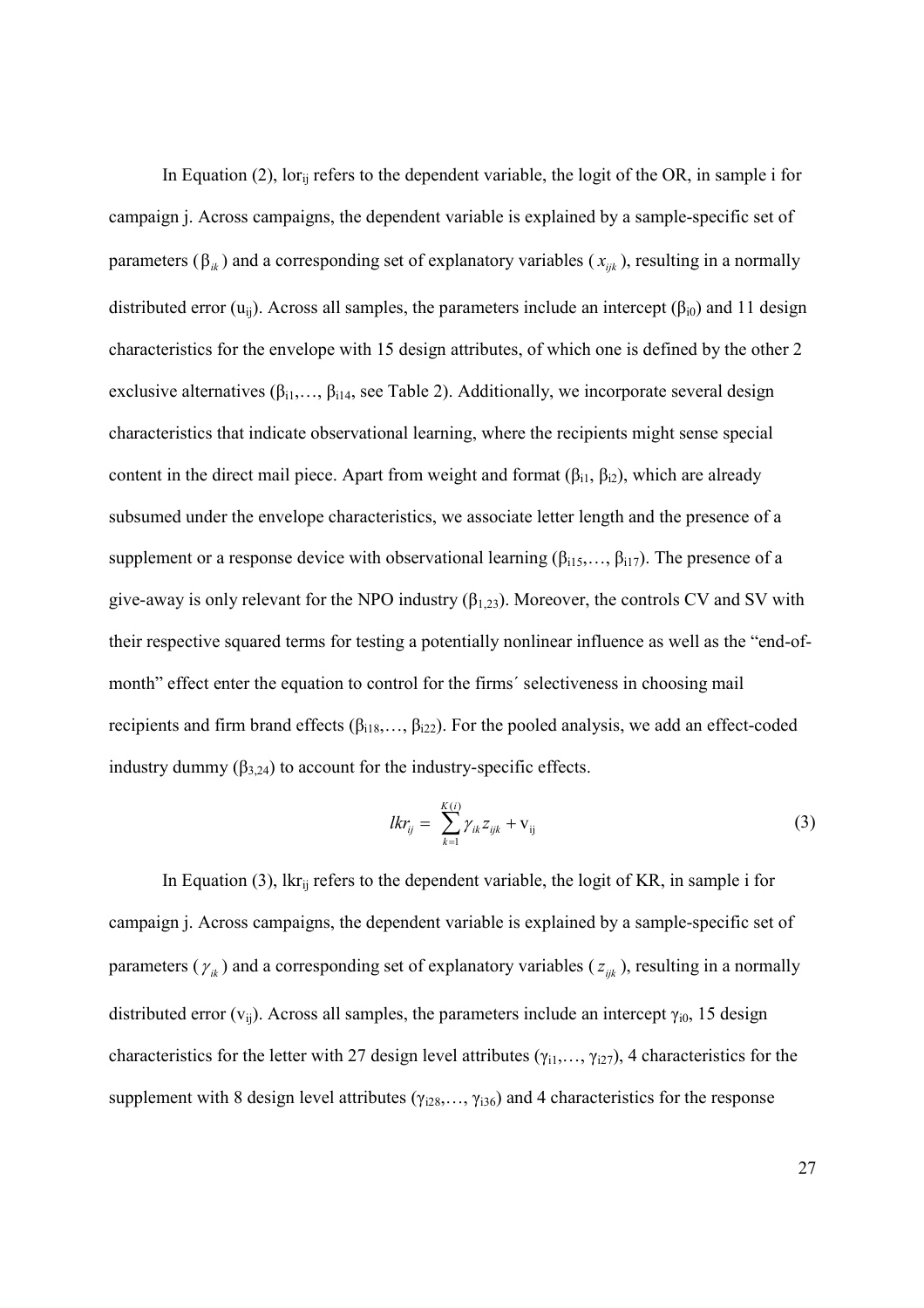In Equation (2), lor<sub>ij</sub> refers to the dependent variable, the logit of the OR, in sample i for campaign j. Across campaigns, the dependent variable is explained by a sample-specific set of parameters ( $\beta_{ik}$ ) and a corresponding set of explanatory variables ( $x_{ijk}$ ), resulting in a normally distributed error ( $u_{ii}$ ). Across all samples, the parameters include an intercept ( $\beta_{i0}$ ) and 11 design characteristics for the envelope with 15 design attributes, of which one is defined by the other 2 exclusive alternatives ( $\beta_{i1},...,\beta_{i14}$ , see Table 2). Additionally, we incorporate several design characteristics that indicate observational learning, where the recipients might sense special content in the direct mail piece. Apart from weight and format  $(\beta_{i1}, \beta_{i2})$ , which are already subsumed under the envelope characteristics, we associate letter length and the presence of a supplement or a response device with observational learning  $(\beta_{i15},...,\beta_{i17})$ . The presence of a give-away is only relevant for the NPO industry  $(\beta_{1,23})$ . Moreover, the controls CV and SV with their respective squared terms for testing a potentially nonlinear influence as well as the "end-ofmonth" effect enter the equation to control for the firms´ selectiveness in choosing mail recipients and firm brand effects ( $\beta_{118},...,\beta_{122}$ ). For the pooled analysis, we add an effect-coded industry dummy  $(\beta_{3,24})$  to account for the industry-specific effects.

$$
lkr_{ij} = \sum_{k=1}^{K(i)} \gamma_{ik} z_{ijk} + \mathbf{v}_{ij}
$$
 (3)

In Equation (3), lkr<sub>ij</sub> refers to the dependent variable, the logit of KR, in sample i for campaign j. Across campaigns, the dependent variable is explained by a sample-specific set of parameters ( $\gamma_{ik}$ ) and a corresponding set of explanatory variables ( $z_{ijk}$ ), resulting in a normally distributed error ( $v_{ij}$ ). Across all samples, the parameters include an intercept  $\gamma_{i0}$ , 15 design characteristics for the letter with 27 design level attributes ( $\gamma_{i1},...,\gamma_{i27}$ ), 4 characteristics for the supplement with 8 design level attributes ( $\gamma_{i28},...,\gamma_{i36}$ ) and 4 characteristics for the response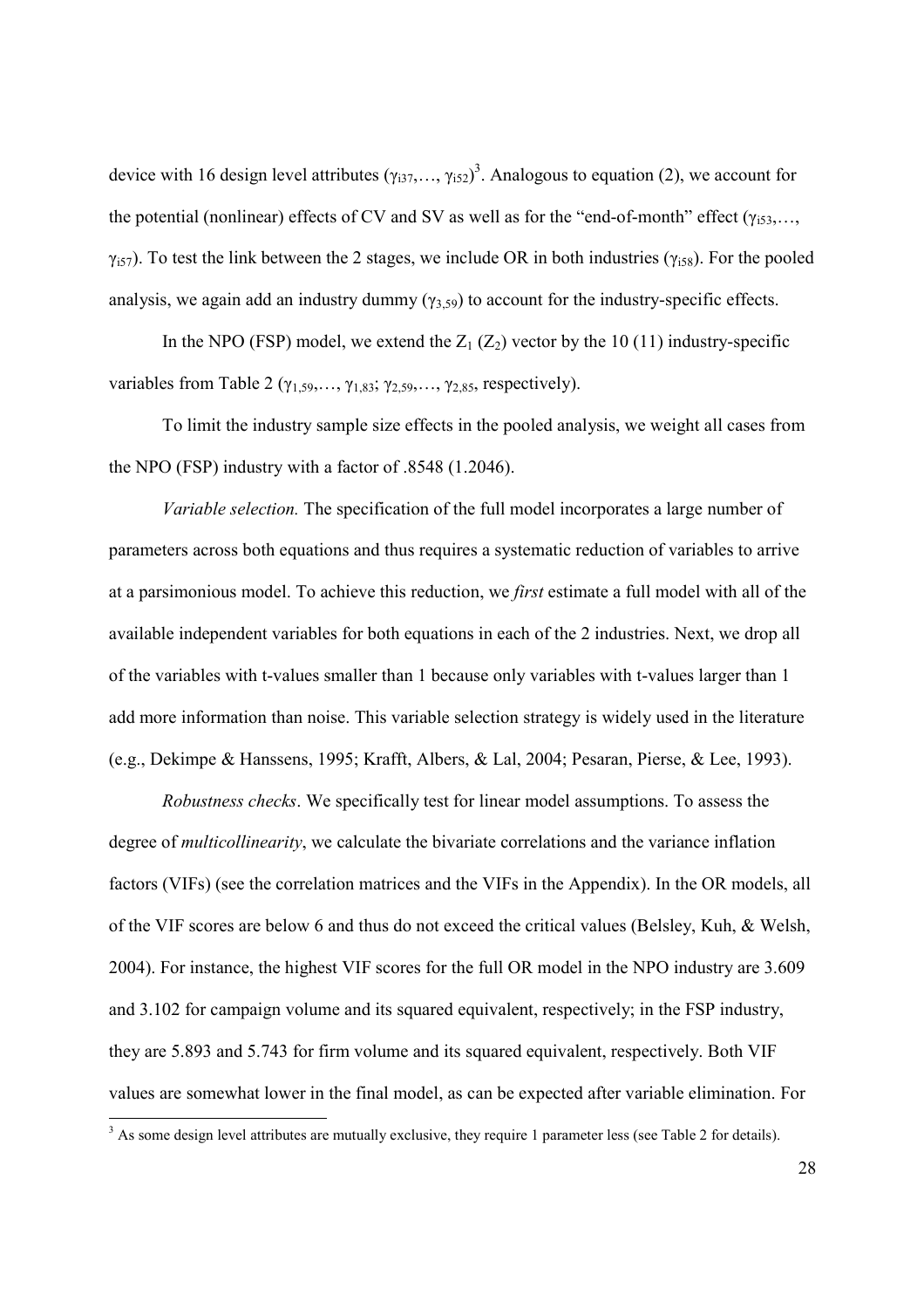device with 16 design level attributes  $(\gamma_{i37},...,\gamma_{i52})^3$ . Analogous to equation (2), we account for the potential (nonlinear) effects of CV and SV as well as for the "end-of-month" effect ( $\gamma_{i53},...$ ,  $\gamma_{157}$ ). To test the link between the 2 stages, we include OR in both industries ( $\gamma_{158}$ ). For the pooled analysis, we again add an industry dummy  $(\gamma_{3.59})$  to account for the industry-specific effects.

In the NPO (FSP) model, we extend the  $Z_1$  ( $Z_2$ ) vector by the 10 (11) industry-specific variables from Table 2 ( $\gamma_{1,59},...,\gamma_{1,83};\gamma_{2,59},...,\gamma_{2,85}$ , respectively).

To limit the industry sample size effects in the pooled analysis, we weight all cases from the NPO (FSP) industry with a factor of .8548 (1.2046).

*Variable selection.* The specification of the full model incorporates a large number of parameters across both equations and thus requires a systematic reduction of variables to arrive at a parsimonious model. To achieve this reduction, we *first* estimate a full model with all of the available independent variables for both equations in each of the 2 industries. Next, we drop all of the variables with t-values smaller than 1 because only variables with t-values larger than 1 add more information than noise. This variable selection strategy is widely used in the literature (e.g., Dekimpe & Hanssens, 1995; Krafft, Albers, & Lal, 2004; Pesaran, Pierse, & Lee, 1993).

*Robustness checks*. We specifically test for linear model assumptions. To assess the degree of *multicollinearity*, we calculate the bivariate correlations and the variance inflation factors (VIFs) (see the correlation matrices and the VIFs in the Appendix). In the OR models, all of the VIF scores are below 6 and thus do not exceed the critical values (Belsley, Kuh, & Welsh, 2004). For instance, the highest VIF scores for the full OR model in the NPO industry are 3.609 and 3.102 for campaign volume and its squared equivalent, respectively; in the FSP industry, they are 5.893 and 5.743 for firm volume and its squared equivalent, respectively. Both VIF values are somewhat lower in the final model, as can be expected after variable elimination. For

<sup>&</sup>lt;sup>3</sup> As some design level attributes are mutually exclusive, they require 1 parameter less (see Table 2 for details).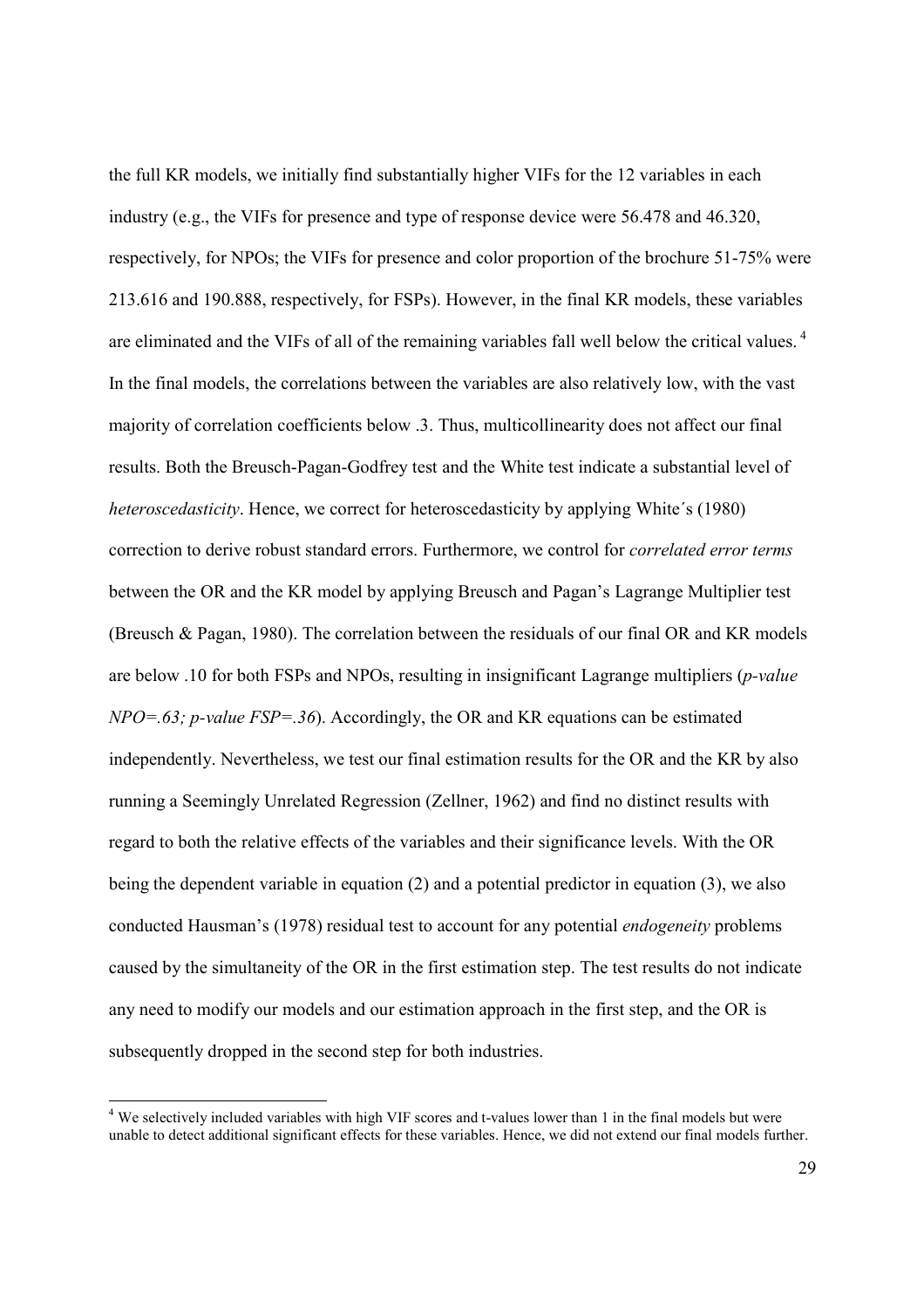the full KR models, we initially find substantially higher VIFs for the 12 variables in each industry (e.g., the VIFs for presence and type of response device were 56.478 and 46.320, respectively, for NPOs; the VIFs for presence and color proportion of the brochure 51-75% were 213.616 and 190.888, respectively, for FSPs). However, in the final KR models, these variables are eliminated and the VIFs of all of the remaining variables fall well below the critical values.<sup>4</sup> In the final models, the correlations between the variables are also relatively low, with the vast majority of correlation coefficients below .3. Thus, multicollinearity does not affect our final results. Both the Breusch-Pagan-Godfrey test and the White test indicate a substantial level of *heteroscedasticity*. Hence, we correct for heteroscedasticity by applying White´s (1980) correction to derive robust standard errors. Furthermore, we control for *correlated error terms* between the OR and the KR model by applying Breusch and Pagan's Lagrange Multiplier test (Breusch & Pagan, 1980). The correlation between the residuals of our final OR and KR models are below .10 for both FSPs and NPOs, resulting in insignificant Lagrange multipliers (*p-value NPO=.63; p-value FSP=.36*). Accordingly, the OR and KR equations can be estimated independently. Nevertheless, we test our final estimation results for the OR and the KR by also running a Seemingly Unrelated Regression (Zellner, 1962) and find no distinct results with regard to both the relative effects of the variables and their significance levels. With the OR being the dependent variable in equation (2) and a potential predictor in equation (3), we also conducted Hausman's (1978) residual test to account for any potential *endogeneity* problems caused by the simultaneity of the OR in the first estimation step. The test results do not indicate any need to modify our models and our estimation approach in the first step, and the OR is subsequently dropped in the second step for both industries.

<sup>&</sup>lt;sup>4</sup> We selectively included variables with high VIF scores and t-values lower than 1 in the final models but were unable to detect additional significant effects for these variables. Hence, we did not extend our final models further.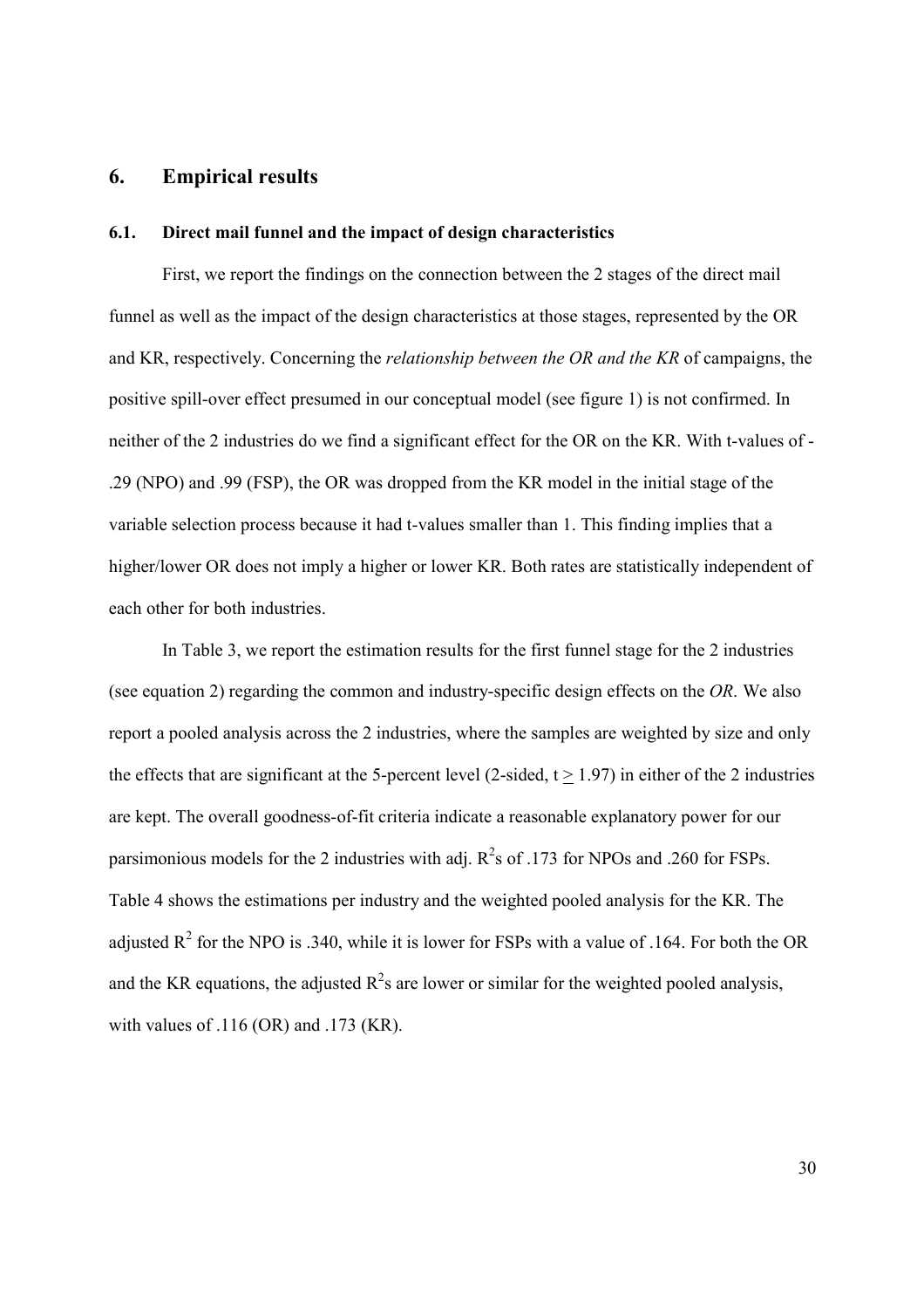#### **6. Empirical results**

#### **6.1. Direct mail funnel and the impact of design characteristics**

First, we report the findings on the connection between the 2 stages of the direct mail funnel as well as the impact of the design characteristics at those stages, represented by the OR and KR, respectively. Concerning the *relationship between the OR and the KR* of campaigns, the positive spill-over effect presumed in our conceptual model (see figure 1) is not confirmed. In neither of the 2 industries do we find a significant effect for the OR on the KR. With t-values of - .29 (NPO) and .99 (FSP), the OR was dropped from the KR model in the initial stage of the variable selection process because it had t-values smaller than 1. This finding implies that a higher/lower OR does not imply a higher or lower KR. Both rates are statistically independent of each other for both industries.

In Table 3, we report the estimation results for the first funnel stage for the 2 industries (see equation 2) regarding the common and industry-specific design effects on the *OR*. We also report a pooled analysis across the 2 industries, where the samples are weighted by size and only the effects that are significant at the 5-percent level (2-sided,  $t > 1.97$ ) in either of the 2 industries are kept. The overall goodness-of-fit criteria indicate a reasonable explanatory power for our parsimonious models for the 2 industries with adj.  $R^2$ s of .173 for NPOs and .260 for FSPs. Table 4 shows the estimations per industry and the weighted pooled analysis for the KR. The adjusted  $R^2$  for the NPO is .340, while it is lower for FSPs with a value of .164. For both the OR and the KR equations, the adjusted  $R^2$ s are lower or similar for the weighted pooled analysis, with values of .116 (OR) and .173 (KR).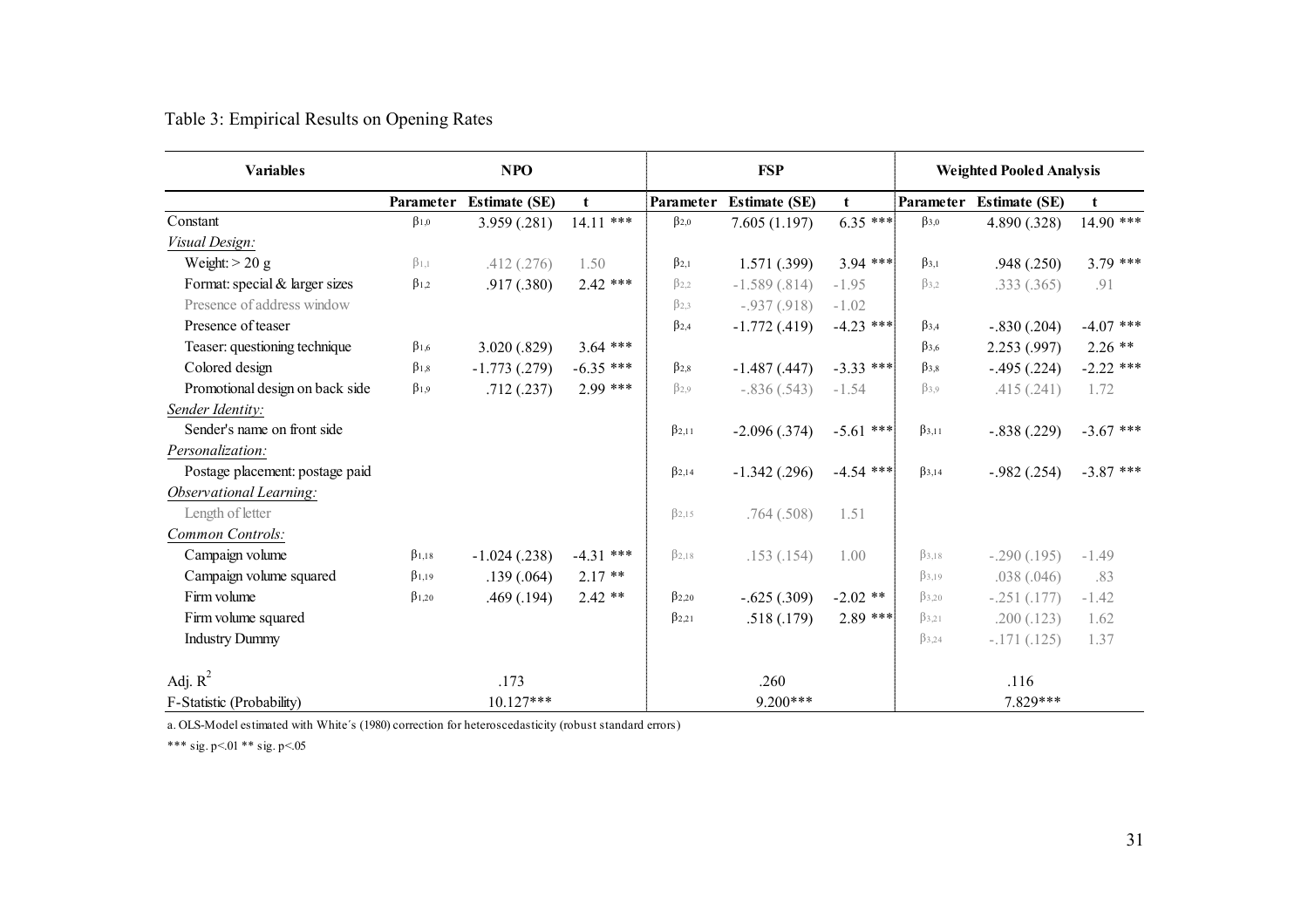#### Table 3: Empirical Results on Opening Rates

| <b>Variables</b><br>Weight: $> 20 g$<br>Format: special & larger sizes<br>Presence of address window<br>Presence of teaser<br>Teaser: questioning technique<br>Colored design<br>Sender's name on front side<br>Length of letter<br>Campaign volume<br>Campaign volume squared<br>Firm volume<br>Firm volume squared<br><b>Industry Dummy</b> |                | <b>NPO</b>           |             |                | <b>FSP</b>              |             |                | <b>Weighted Pooled Analysis</b> |             |  |  |  |
|-----------------------------------------------------------------------------------------------------------------------------------------------------------------------------------------------------------------------------------------------------------------------------------------------------------------------------------------------|----------------|----------------------|-------------|----------------|-------------------------|-------------|----------------|---------------------------------|-------------|--|--|--|
|                                                                                                                                                                                                                                                                                                                                               | Parameter      | <b>Estimate (SE)</b> | t           |                | Parameter Estimate (SE) | t           |                | Parameter Estimate (SE)         | t           |  |  |  |
| Constant                                                                                                                                                                                                                                                                                                                                      | $\beta_{1,0}$  | 3.959 (.281)         | $14.11$ *** | $\beta_{2,0}$  | 7.605(1.197)            | $6.35$ ***  | $\beta_{3,0}$  | 4.890 (.328)                    | 14.90 ***   |  |  |  |
| Visual Design:                                                                                                                                                                                                                                                                                                                                |                |                      |             |                |                         |             |                |                                 |             |  |  |  |
|                                                                                                                                                                                                                                                                                                                                               | $\beta_{1,1}$  | .412(.276)           | 1.50        | $\beta_{2,1}$  | 1.571(.399)             | $3.94$ ***  | $\beta_{3,1}$  | .948(.250)                      | $3.79$ ***  |  |  |  |
|                                                                                                                                                                                                                                                                                                                                               | $\beta_{1,2}$  | .917(.380)           | $2.42$ ***  | $\beta_{2,2}$  | $-1.589(.814)$          | $-1.95$     | $\beta_{3,2}$  | .333(.365)                      | .91         |  |  |  |
|                                                                                                                                                                                                                                                                                                                                               |                |                      |             | $\beta_{2,3}$  | $-.937(.918)$           | $-1.02$     |                |                                 |             |  |  |  |
|                                                                                                                                                                                                                                                                                                                                               |                |                      |             | $\beta_{2,4}$  | $-1.772(0.419)$         | $-4.23$ *** | $\beta_{3,4}$  | $-.830(.204)$                   | $-4.07$ *** |  |  |  |
|                                                                                                                                                                                                                                                                                                                                               | $\beta_{1,6}$  | 3.020(.829)          | $3.64$ ***  |                |                         |             | $\beta_{3,6}$  | 2.253(.997)                     | $2.26$ **   |  |  |  |
|                                                                                                                                                                                                                                                                                                                                               | $\beta_{1,8}$  | $-1.773(.279)$       | $-6.35$ *** | $\beta_{2,8}$  | $-1.487(.447)$          | $-3.33$ *** | $\beta_{3,8}$  | $-.495(.224)$                   | $-2.22$ *** |  |  |  |
| Promotional design on back side                                                                                                                                                                                                                                                                                                               | $\beta_{1,9}$  | .712(.237)           | $2.99$ ***  | $\beta_{2,9}$  | $-.836(.543)$           | $-1.54$     | $\beta_{3,9}$  | .415(.241)                      | 1.72        |  |  |  |
| Sender Identity:                                                                                                                                                                                                                                                                                                                              |                |                      |             |                |                         |             |                |                                 |             |  |  |  |
|                                                                                                                                                                                                                                                                                                                                               |                |                      |             | $\beta_{2,11}$ | $-2.096(.374)$          | $-5.61$ *** | $\beta_{3,11}$ | $-.838(.229)$                   | $-3.67$ *** |  |  |  |
| Personalization:                                                                                                                                                                                                                                                                                                                              |                |                      |             |                |                         |             |                |                                 |             |  |  |  |
| Postage placement: postage paid                                                                                                                                                                                                                                                                                                               |                |                      |             | $\beta_{2,14}$ | $-1.342$ (.296)         | $-4.54$ *** | $\beta_{3,14}$ | $-.982(.254)$                   | $-3.87$ *** |  |  |  |
| Observational Learning:                                                                                                                                                                                                                                                                                                                       |                |                      |             |                |                         |             |                |                                 |             |  |  |  |
|                                                                                                                                                                                                                                                                                                                                               |                |                      |             | $\beta_{2,15}$ | .764(.508)              | 1.51        |                |                                 |             |  |  |  |
| Common Controls:                                                                                                                                                                                                                                                                                                                              |                |                      |             |                |                         |             |                |                                 |             |  |  |  |
|                                                                                                                                                                                                                                                                                                                                               | $\beta_{1,18}$ | $-1.024$ (.238)      | $-4.31$ *** | $\beta_{2,18}$ | .153(.154)              | 1.00        | $\beta_{3,18}$ | $-.290(.195)$                   | $-1.49$     |  |  |  |
|                                                                                                                                                                                                                                                                                                                                               | $\beta_{1,19}$ | .139(.064)           | $2.17**$    |                |                         |             | $\beta_{3,19}$ | .038(.046)                      | .83         |  |  |  |
|                                                                                                                                                                                                                                                                                                                                               | $\beta_{1,20}$ | .469(.194)           | $2.42**$    | $\beta_{2,20}$ | $-.625(.309)$           | $-2.02$ **  | $\beta_{3,20}$ | $-.251(.177)$                   | $-1.42$     |  |  |  |
|                                                                                                                                                                                                                                                                                                                                               |                |                      |             | $\beta_{2,21}$ | .518(.179)              | $2.89$ ***  | $\beta_{3,21}$ | .200(.123)                      | 1.62        |  |  |  |
|                                                                                                                                                                                                                                                                                                                                               |                |                      |             |                |                         |             | $\beta_{3,24}$ | $-.171(.125)$                   | 1.37        |  |  |  |
| Adj. $R^2$                                                                                                                                                                                                                                                                                                                                    |                | .173                 |             |                | .260                    |             |                | .116                            |             |  |  |  |
| F-Statistic (Probability)                                                                                                                                                                                                                                                                                                                     |                | $10.127***$          |             |                | $9.200***$              |             |                | 7.829***                        |             |  |  |  |

a. OLS-Model estimated with White´s (1980) correction for heteroscedasticity (robust standard errors)

\*\*\* sig. p<.01 \*\* sig. p<.05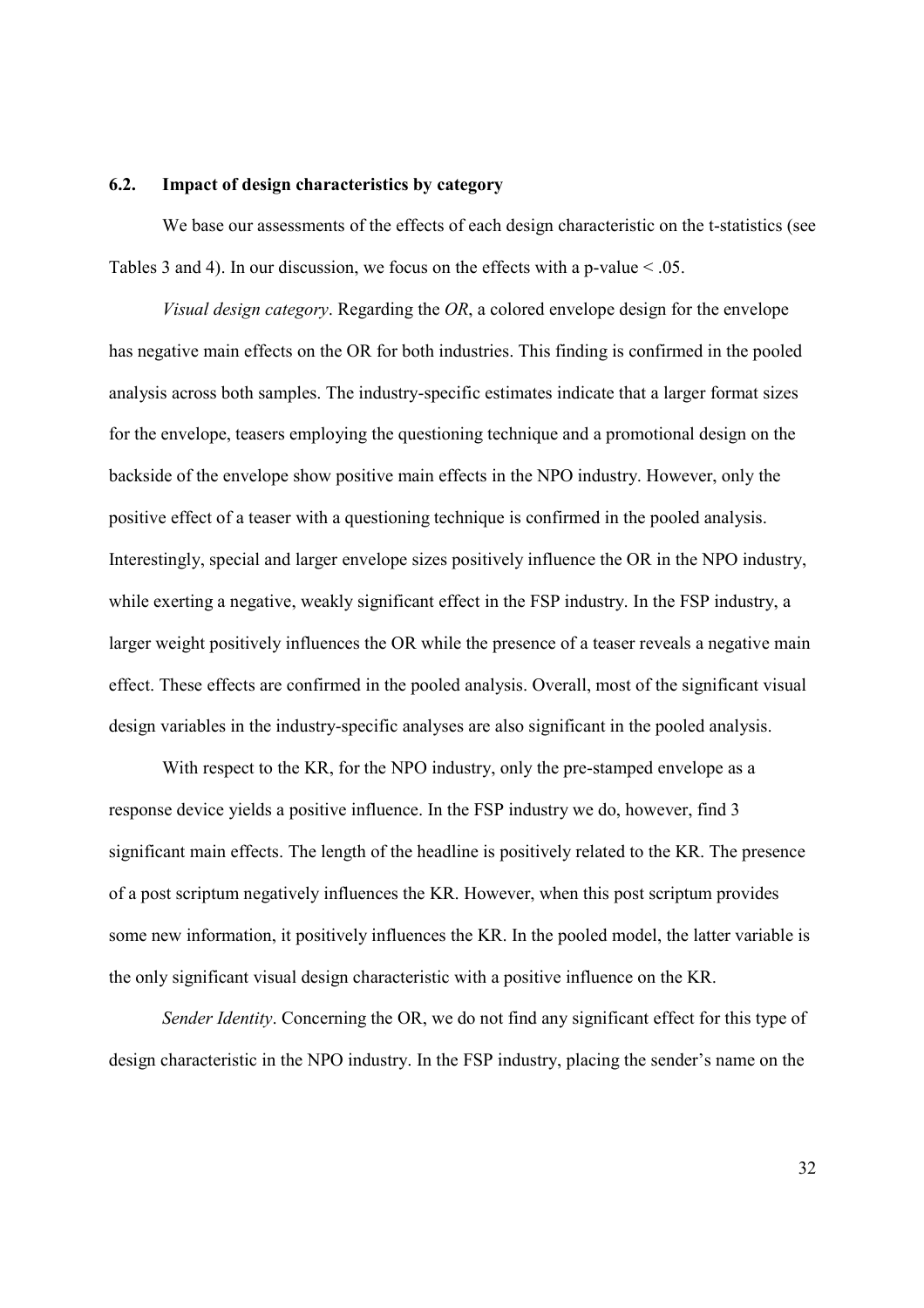#### **6.2. Impact of design characteristics by category**

We base our assessments of the effects of each design characteristic on the t-statistics (see Tables 3 and 4). In our discussion, we focus on the effects with a p-value  $\leq$  0.05.

*Visual design category*. Regarding the *OR*, a colored envelope design for the envelope has negative main effects on the OR for both industries. This finding is confirmed in the pooled analysis across both samples. The industry-specific estimates indicate that a larger format sizes for the envelope, teasers employing the questioning technique and a promotional design on the backside of the envelope show positive main effects in the NPO industry. However, only the positive effect of a teaser with a questioning technique is confirmed in the pooled analysis. Interestingly, special and larger envelope sizes positively influence the OR in the NPO industry, while exerting a negative, weakly significant effect in the FSP industry. In the FSP industry, a larger weight positively influences the OR while the presence of a teaser reveals a negative main effect. These effects are confirmed in the pooled analysis. Overall, most of the significant visual design variables in the industry-specific analyses are also significant in the pooled analysis.

With respect to the KR, for the NPO industry, only the pre-stamped envelope as a response device yields a positive influence. In the FSP industry we do, however, find 3 significant main effects. The length of the headline is positively related to the KR. The presence of a post scriptum negatively influences the KR. However, when this post scriptum provides some new information, it positively influences the KR. In the pooled model, the latter variable is the only significant visual design characteristic with a positive influence on the KR.

*Sender Identity*. Concerning the OR, we do not find any significant effect for this type of design characteristic in the NPO industry. In the FSP industry, placing the sender's name on the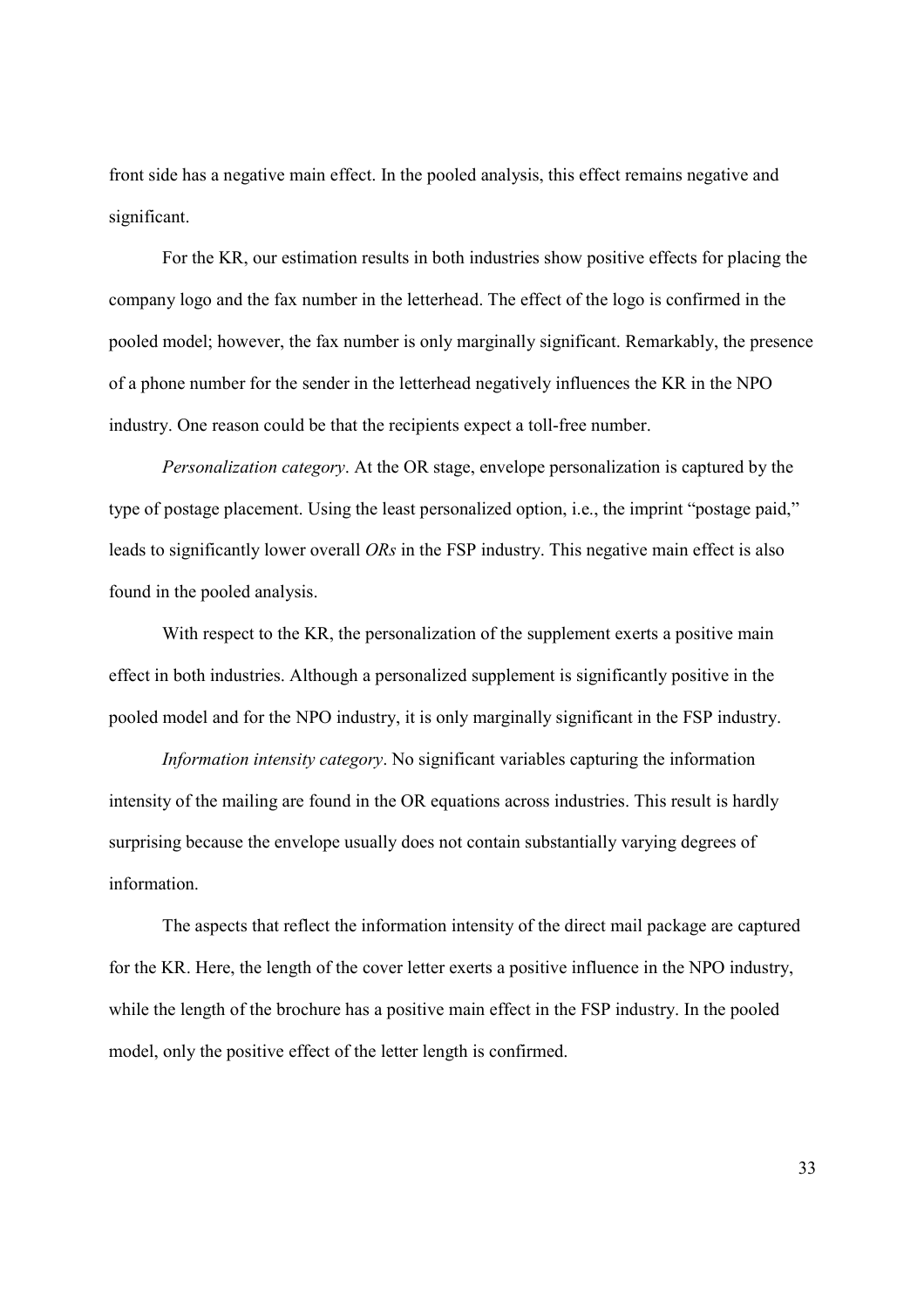front side has a negative main effect. In the pooled analysis, this effect remains negative and significant.

For the KR, our estimation results in both industries show positive effects for placing the company logo and the fax number in the letterhead. The effect of the logo is confirmed in the pooled model; however, the fax number is only marginally significant. Remarkably, the presence of a phone number for the sender in the letterhead negatively influences the KR in the NPO industry. One reason could be that the recipients expect a toll-free number.

*Personalization category*. At the OR stage, envelope personalization is captured by the type of postage placement. Using the least personalized option, i.e., the imprint "postage paid," leads to significantly lower overall *ORs* in the FSP industry. This negative main effect is also found in the pooled analysis.

With respect to the KR, the personalization of the supplement exerts a positive main effect in both industries. Although a personalized supplement is significantly positive in the pooled model and for the NPO industry, it is only marginally significant in the FSP industry.

*Information intensity category*. No significant variables capturing the information intensity of the mailing are found in the OR equations across industries. This result is hardly surprising because the envelope usually does not contain substantially varying degrees of information.

The aspects that reflect the information intensity of the direct mail package are captured for the KR. Here, the length of the cover letter exerts a positive influence in the NPO industry, while the length of the brochure has a positive main effect in the FSP industry. In the pooled model, only the positive effect of the letter length is confirmed.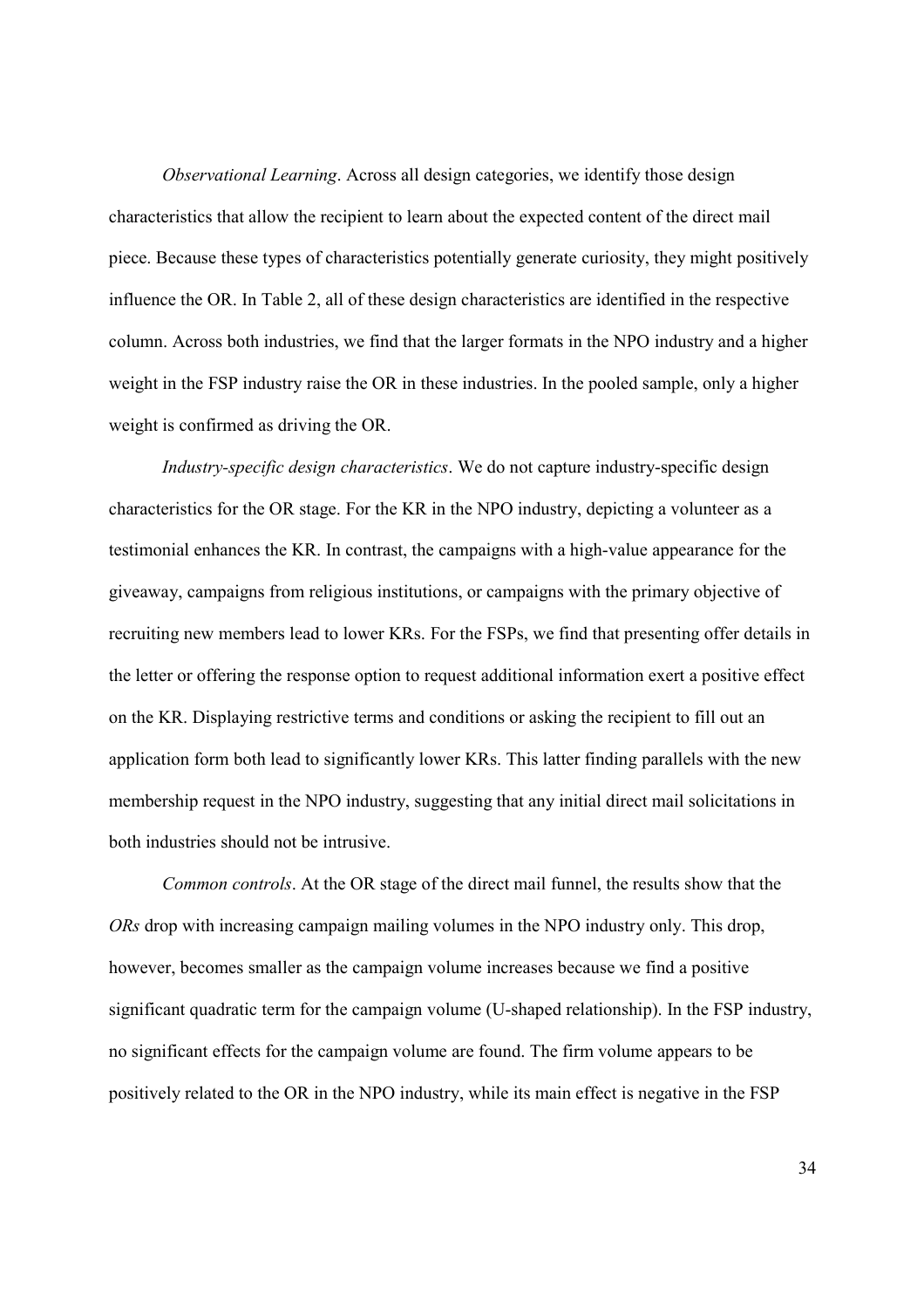*Observational Learning*. Across all design categories, we identify those design characteristics that allow the recipient to learn about the expected content of the direct mail piece. Because these types of characteristics potentially generate curiosity, they might positively influence the OR. In Table 2, all of these design characteristics are identified in the respective column. Across both industries, we find that the larger formats in the NPO industry and a higher weight in the FSP industry raise the OR in these industries. In the pooled sample, only a higher weight is confirmed as driving the OR.

*Industry-specific design characteristics*. We do not capture industry-specific design characteristics for the OR stage. For the KR in the NPO industry, depicting a volunteer as a testimonial enhances the KR. In contrast, the campaigns with a high-value appearance for the giveaway, campaigns from religious institutions, or campaigns with the primary objective of recruiting new members lead to lower KRs. For the FSPs, we find that presenting offer details in the letter or offering the response option to request additional information exert a positive effect on the KR. Displaying restrictive terms and conditions or asking the recipient to fill out an application form both lead to significantly lower KRs. This latter finding parallels with the new membership request in the NPO industry, suggesting that any initial direct mail solicitations in both industries should not be intrusive.

*Common controls*. At the OR stage of the direct mail funnel, the results show that the *ORs* drop with increasing campaign mailing volumes in the NPO industry only. This drop, however, becomes smaller as the campaign volume increases because we find a positive significant quadratic term for the campaign volume (U-shaped relationship). In the FSP industry, no significant effects for the campaign volume are found. The firm volume appears to be positively related to the OR in the NPO industry, while its main effect is negative in the FSP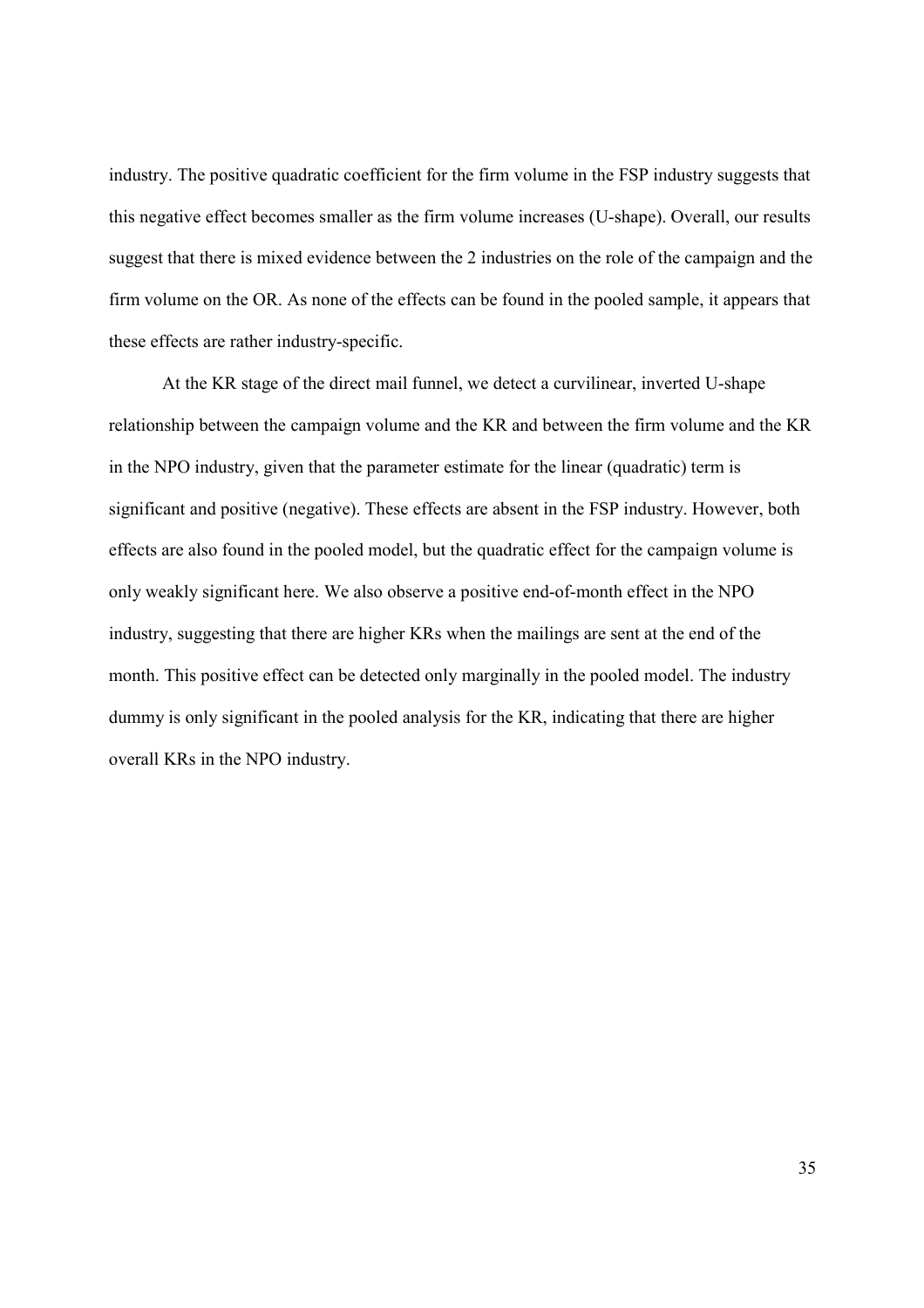industry. The positive quadratic coefficient for the firm volume in the FSP industry suggests that this negative effect becomes smaller as the firm volume increases (U-shape). Overall, our results suggest that there is mixed evidence between the 2 industries on the role of the campaign and the firm volume on the OR. As none of the effects can be found in the pooled sample, it appears that these effects are rather industry-specific.

At the KR stage of the direct mail funnel, we detect a curvilinear, inverted U-shape relationship between the campaign volume and the KR and between the firm volume and the KR in the NPO industry, given that the parameter estimate for the linear (quadratic) term is significant and positive (negative). These effects are absent in the FSP industry. However, both effects are also found in the pooled model, but the quadratic effect for the campaign volume is only weakly significant here. We also observe a positive end-of-month effect in the NPO industry, suggesting that there are higher KRs when the mailings are sent at the end of the month. This positive effect can be detected only marginally in the pooled model. The industry dummy is only significant in the pooled analysis for the KR, indicating that there are higher overall KRs in the NPO industry.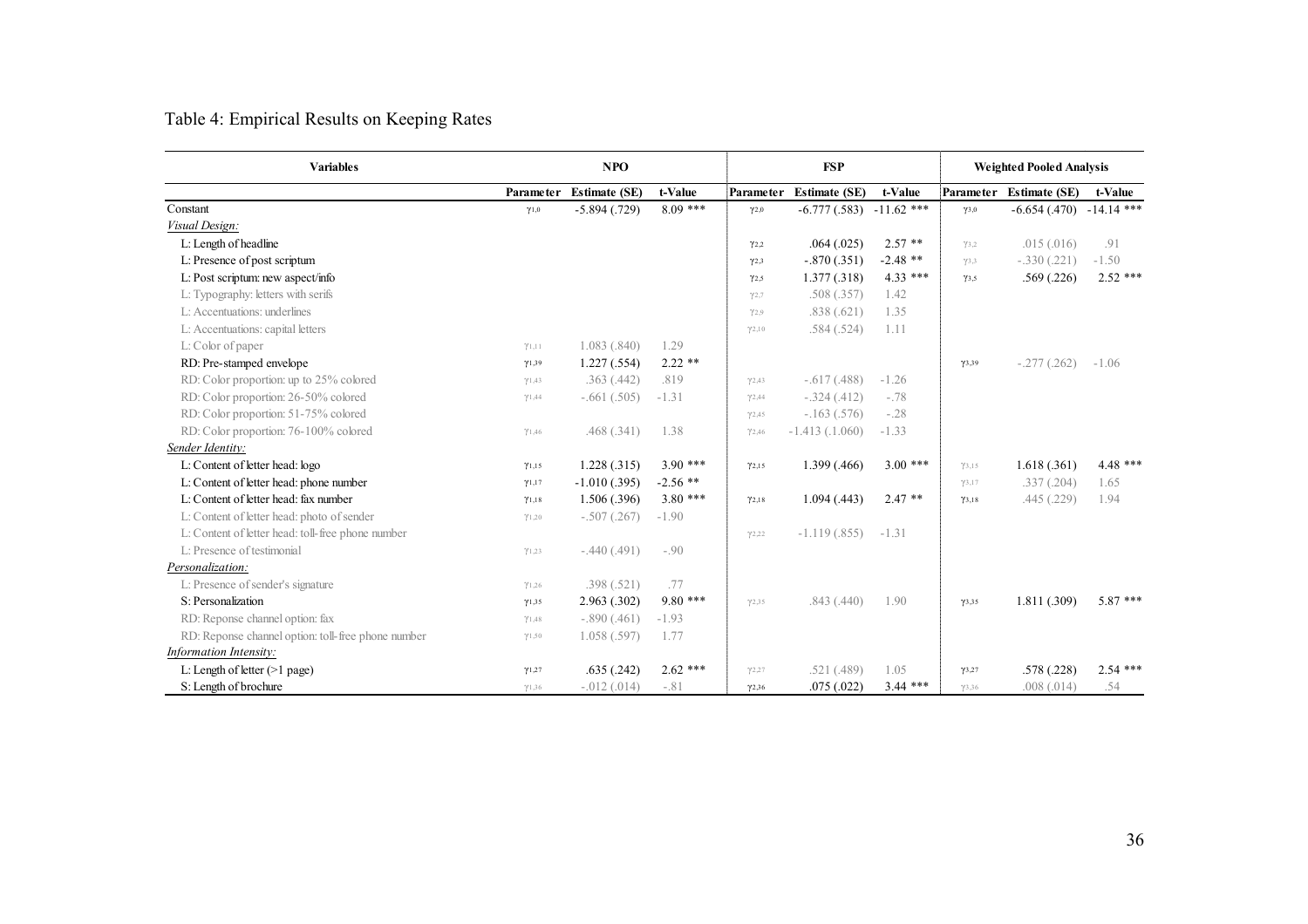#### Table 4: Empirical Results on Keeping Rates

| <b>Variables</b>                                   |           | <b>NPO</b>           |            |                  | <b>FSP</b>              |              | <b>Weighted Pooled Analysis</b> |                         |              |  |
|----------------------------------------------------|-----------|----------------------|------------|------------------|-------------------------|--------------|---------------------------------|-------------------------|--------------|--|
|                                                    | Parameter | <b>Estimate (SE)</b> | t-Value    |                  | Parameter Estimate (SE) | t-Value      |                                 | Parameter Estimate (SE) | t-Value      |  |
| Constant                                           | Y1,0      | $-5.894$ (.729)      | $8.09***$  | Y2,0             | $-6.777(.583)$          | $-11.62$ *** | $\gamma$ 3,0                    | $-6.654(.470)$          | $-14.14$ *** |  |
| Visual Design:                                     |           |                      |            |                  |                         |              |                                 |                         |              |  |
| L: Length of headline                              |           |                      |            | Y <sub>2,2</sub> | .064(.025)              | $2.57**$     | $\gamma_{3,2}$                  | .015(.016)              | .91          |  |
| L: Presence of post scriptum                       |           |                      |            | $\gamma_{2,3}$   | $-.870(.351)$           | $-2.48$ **   | Y3.3                            | $-.330(.221)$           | $-1.50$      |  |
| L: Post scriptum: new aspect/info                  |           |                      |            | Y2,5             | 1.377(.318)             | $4.33***$    | Y3,5                            | .569(.226)              | $2.52$ ***   |  |
| L: Typography: letters with serifs                 |           |                      |            | Y2.7             | .508(.357)              | 1.42         |                                 |                         |              |  |
| L: Accentuations: underlines                       |           |                      |            | Y2.9             | .838(.621)              | 1.35         |                                 |                         |              |  |
| L: Accentuations: capital letters                  |           |                      |            | 72,10            | .584(.524)              | 1.11         |                                 |                         |              |  |
| L: Color of paper                                  | Y1,11     | 1.083(.840)          | 1.29       |                  |                         |              |                                 |                         |              |  |
| RD: Pre-stamped envelope                           | Y1,39     | 1.227(.554)          | $2.22**$   |                  |                         |              | $\gamma$ 3,39                   | $-.277(.262)$           | $-1.06$      |  |
| RD: Color proportion: up to 25% colored            | Y1,43     | .363(.442)           | .819       | Y2,43            | $-.617(.488)$           | $-1.26$      |                                 |                         |              |  |
| RD: Color proportion: 26-50% colored               | Y1,44     | $-.661(.505)$        | $-1.31$    | Y2,44            | $-.324(.412)$           | $-.78$       |                                 |                         |              |  |
| RD: Color proportion: 51-75% colored               |           |                      |            | Y2,45            | $-.163(.576)$           | $-.28$       |                                 |                         |              |  |
| RD: Color proportion: 76-100% colored              | Y1,46     | .468(.341)           | 1.38       | 72,46            | $-1.413(0.1.060)$       | $-1.33$      |                                 |                         |              |  |
| Sender Identity:                                   |           |                      |            |                  |                         |              |                                 |                         |              |  |
| L: Content of letter head: logo                    | Y1,15     | 1.228(.315)          | $3.90***$  | $Y^{2,15}$       | 1.399 (.466)            | $3.00$ ***   | Y3,15                           | 1.618(.361)             | $4.48$ ***   |  |
| L: Content of letter head: phone number            | Y1,17     | $-1.010$ (.395)      | $-2.56$ ** |                  |                         |              | $\gamma$ 3,17                   | .337(.204)              | 1.65         |  |
| L: Content of letter head: fax number              | Y1,18     | 1.506(.396)          | $3.80***$  | Y2,18            | 1.094(0.443)            | $2.47**$     | $\gamma_{3,18}$                 | .445(.229)              | 1.94         |  |
| L: Content of letter head: photo of sender         | Y1,20     | $-.507(.267)$        | $-1.90$    |                  |                         |              |                                 |                         |              |  |
| L: Content of letter head: toll-free phone number  |           |                      |            | $Y_{2,22}$       | $-1.119(.855)$          | $-1.31$      |                                 |                         |              |  |
| L: Presence of testimonial                         | Y1.23     | $-.440(.491)$        | $-.90$     |                  |                         |              |                                 |                         |              |  |
| Personalization:                                   |           |                      |            |                  |                         |              |                                 |                         |              |  |
| L: Presence of sender's signature                  | Y1,26     | .398(.521)           | .77        |                  |                         |              |                                 |                         |              |  |
| S: Personalization                                 | Y1,35     | 2.963(0.302)         | $9.80***$  | Y2,35            | .843(.440)              | 1.90         | $\gamma$ 3,35                   | 1.811 (.309)            | $5.87***$    |  |
| RD: Reponse channel option: fax                    | Y1,48     | $-.890(.461)$        | $-1.93$    |                  |                         |              |                                 |                         |              |  |
| RD: Reponse channel option: toll-free phone number | Y1,50     | 1.058(.597)          | 1.77       |                  |                         |              |                                 |                         |              |  |
| Information Intensity:                             |           |                      |            |                  |                         |              |                                 |                         |              |  |
| L: Length of letter $(>1$ page)                    | Y1,27     | .635(.242)           | $2.62$ *** | $Y_{2,27}$       | .521(.489)              | 1.05         | Y3,27                           | .578(.228)              | $2.54$ ***   |  |
| S: Length of brochure                              | Y1,36     | $-.012(.014)$        | $-.81$     | Y2,36            | .075(.022)              | $3.44$ ***   | Y3,36                           | .008(.014)              | .54          |  |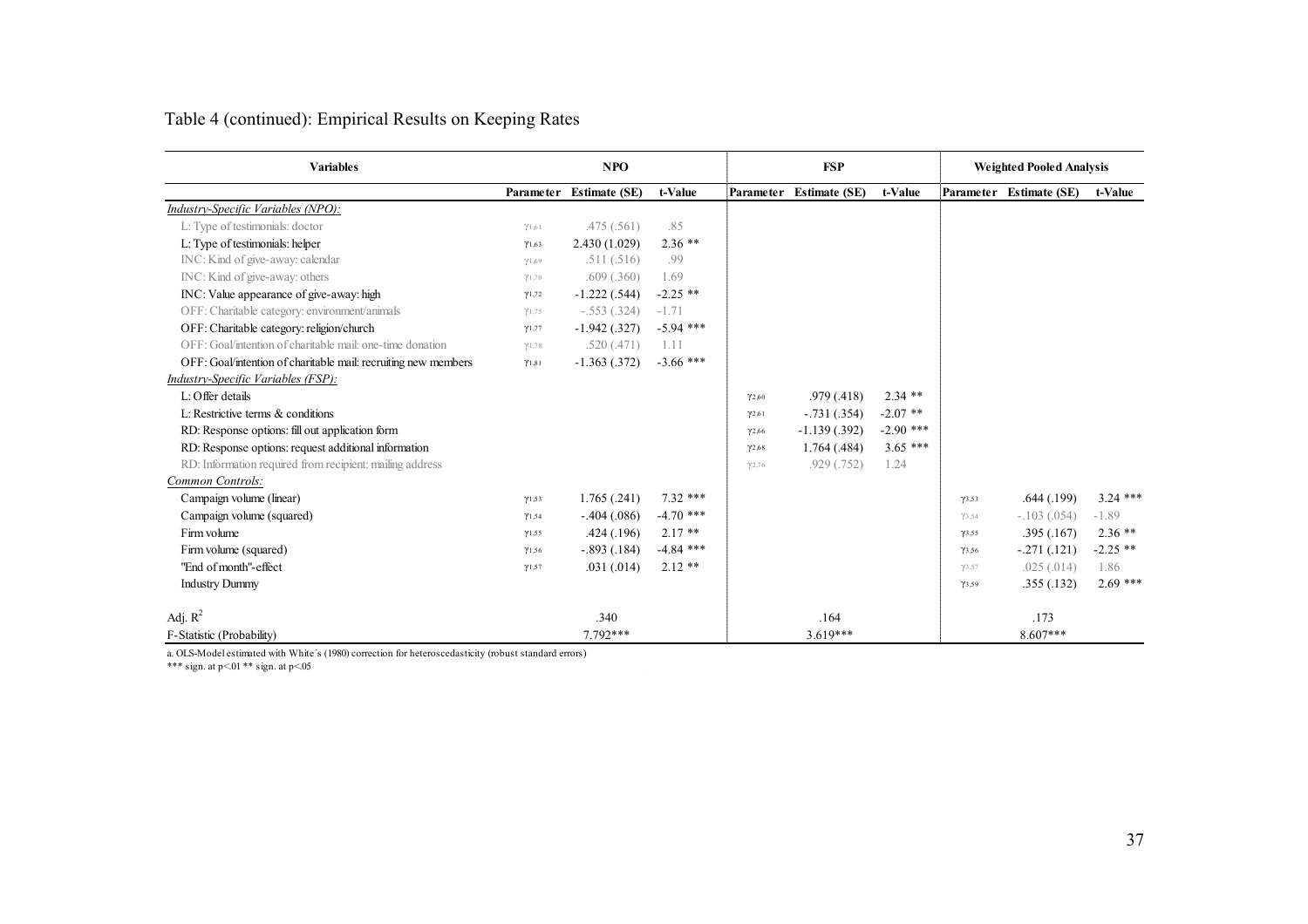#### Table 4 (continued): Empirical Results on Keeping Rates

| Y1,61<br>Y1,63<br>Y1,69<br>Y1,70<br>Y1,72<br>Y1,75<br>Y1,77<br>Y1,78<br>Y1,81 | Parameter Estimate (SE)<br>.475(.561)<br>2.430(1.029)<br>.511(.516)<br>.609(.360)<br>$-1.222(.544)$<br>$-.553(.324)$<br>$-1.942(.327)$<br>.520(.471) | t-Value<br>.85<br>$2.36**$<br>.99<br>1.69<br>$-2.25$ **<br>$-1.71$<br>$-5.94$ ***                     |       | Parameter Estimate (SE) | t-Value     |               | Parameter Estimate (SE) | t-Value    |
|-------------------------------------------------------------------------------|------------------------------------------------------------------------------------------------------------------------------------------------------|-------------------------------------------------------------------------------------------------------|-------|-------------------------|-------------|---------------|-------------------------|------------|
|                                                                               |                                                                                                                                                      |                                                                                                       |       |                         |             |               |                         |            |
|                                                                               |                                                                                                                                                      |                                                                                                       |       |                         |             |               |                         |            |
|                                                                               |                                                                                                                                                      |                                                                                                       |       |                         |             |               |                         |            |
|                                                                               |                                                                                                                                                      |                                                                                                       |       |                         |             |               |                         |            |
|                                                                               |                                                                                                                                                      |                                                                                                       |       |                         |             |               |                         |            |
|                                                                               |                                                                                                                                                      |                                                                                                       |       |                         |             |               |                         |            |
|                                                                               |                                                                                                                                                      |                                                                                                       |       |                         |             |               |                         |            |
|                                                                               |                                                                                                                                                      |                                                                                                       |       |                         |             |               |                         |            |
|                                                                               |                                                                                                                                                      |                                                                                                       |       |                         |             |               |                         |            |
|                                                                               |                                                                                                                                                      | 1.11                                                                                                  |       |                         |             |               |                         |            |
|                                                                               | $-1.363(.372)$                                                                                                                                       | $-3.66$ ***                                                                                           |       |                         |             |               |                         |            |
|                                                                               |                                                                                                                                                      |                                                                                                       |       |                         |             |               |                         |            |
|                                                                               |                                                                                                                                                      |                                                                                                       | Y2,60 | .979(0.418)             | $2.34**$    |               |                         |            |
|                                                                               |                                                                                                                                                      |                                                                                                       | Y2,61 | $-.731(.354)$           | $-2.07$ **  |               |                         |            |
|                                                                               |                                                                                                                                                      |                                                                                                       | Y2,66 | $-1.139(0.392)$         | $-2.90$ *** |               |                         |            |
|                                                                               |                                                                                                                                                      |                                                                                                       | Y2,68 | 1.764(0.484)            | $3.65***$   |               |                         |            |
|                                                                               |                                                                                                                                                      |                                                                                                       | Y2,76 | .929(.752)              | 1.24        |               |                         |            |
|                                                                               |                                                                                                                                                      |                                                                                                       |       |                         |             |               |                         |            |
|                                                                               | 1.765(.241)                                                                                                                                          | $7.32$ ***                                                                                            |       |                         |             | $\gamma$ 3,53 | .644(.199)              | $3.24$ *** |
|                                                                               | $-.404(.086)$                                                                                                                                        | $-4.70$ ***                                                                                           |       |                         |             | Y3,54         | $-.103(.054)$           | $-1.89$    |
|                                                                               | .424(.196)                                                                                                                                           | $2.17**$                                                                                              |       |                         |             | Y3,55         | .395(.167)              | $2.36**$   |
|                                                                               | $-.893(.184)$                                                                                                                                        | $-4.84$ ***                                                                                           |       |                         |             | Y3,56         | $-.271(.121)$           | $-2.25$ ** |
|                                                                               | .031(.014)                                                                                                                                           | $2.12**$                                                                                              |       |                         |             | Y3,57         | .025(.014)              | 1.86       |
|                                                                               |                                                                                                                                                      |                                                                                                       |       |                         |             | Y3,59         | .355(.132)              | $2.69$ *** |
|                                                                               | .340                                                                                                                                                 |                                                                                                       |       | .164                    |             |               | .173                    |            |
|                                                                               | 7.792 ***                                                                                                                                            |                                                                                                       |       | $3.619***$              |             |               | $8.607***$              |            |
|                                                                               | Y1,53<br>Y1,54<br>Y1,55<br>Y1,56<br>Y1,57                                                                                                            | a. OLS-Model estimated with White's (1980) correction for heteroscedasticity (robust standard errors) |       |                         |             |               |                         |            |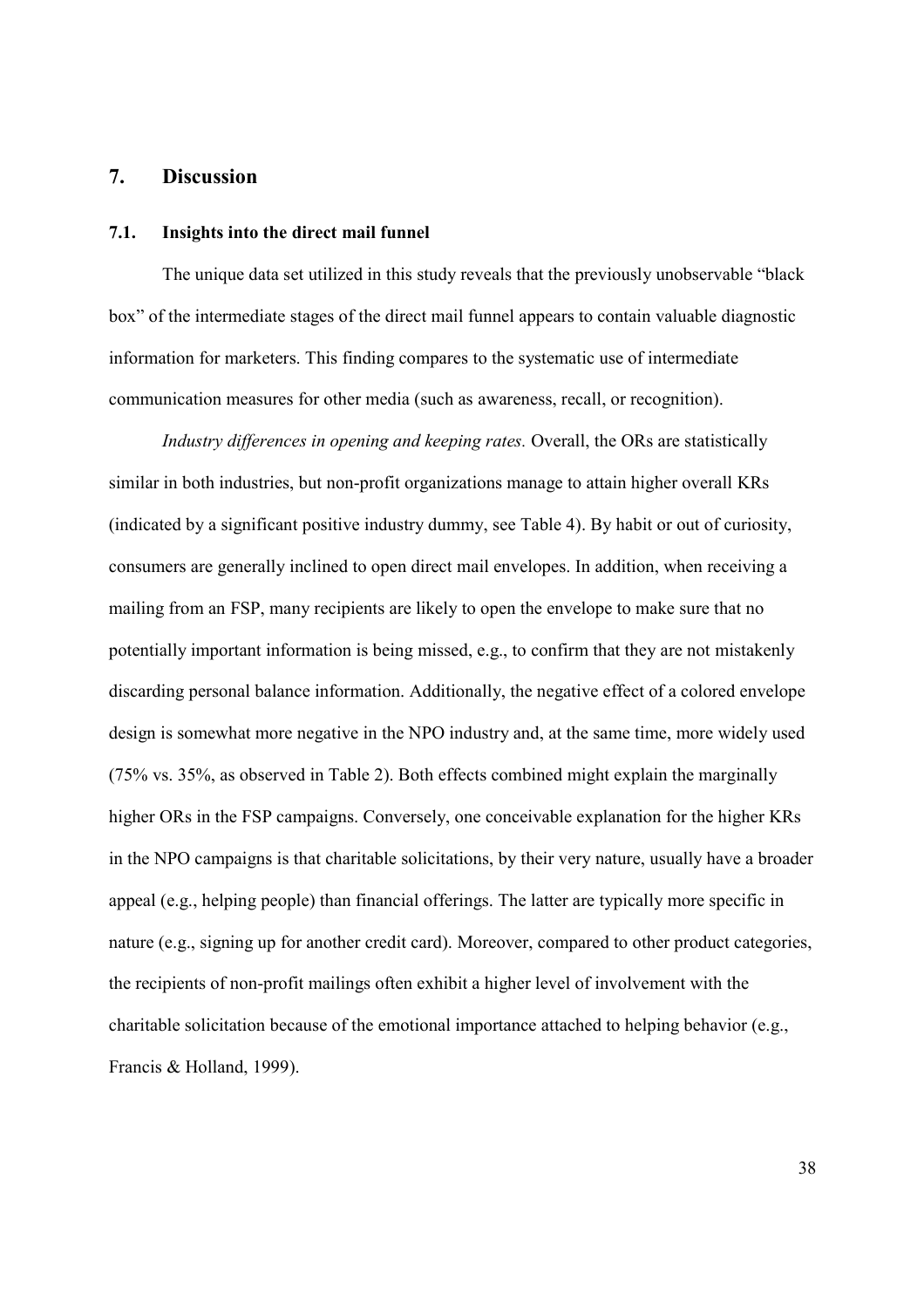### **7. Discussion**

#### **7.1. Insights into the direct mail funnel**

The unique data set utilized in this study reveals that the previously unobservable "black box" of the intermediate stages of the direct mail funnel appears to contain valuable diagnostic information for marketers. This finding compares to the systematic use of intermediate communication measures for other media (such as awareness, recall, or recognition).

*Industry differences in opening and keeping rates.* Overall, the ORs are statistically similar in both industries, but non-profit organizations manage to attain higher overall KRs (indicated by a significant positive industry dummy, see Table 4). By habit or out of curiosity, consumers are generally inclined to open direct mail envelopes. In addition, when receiving a mailing from an FSP, many recipients are likely to open the envelope to make sure that no potentially important information is being missed, e.g., to confirm that they are not mistakenly discarding personal balance information. Additionally, the negative effect of a colored envelope design is somewhat more negative in the NPO industry and, at the same time, more widely used (75% vs. 35%, as observed in Table 2). Both effects combined might explain the marginally higher ORs in the FSP campaigns. Conversely, one conceivable explanation for the higher KRs in the NPO campaigns is that charitable solicitations, by their very nature, usually have a broader appeal (e.g., helping people) than financial offerings. The latter are typically more specific in nature (e.g., signing up for another credit card). Moreover, compared to other product categories, the recipients of non-profit mailings often exhibit a higher level of involvement with the charitable solicitation because of the emotional importance attached to helping behavior (e.g., Francis & Holland, 1999).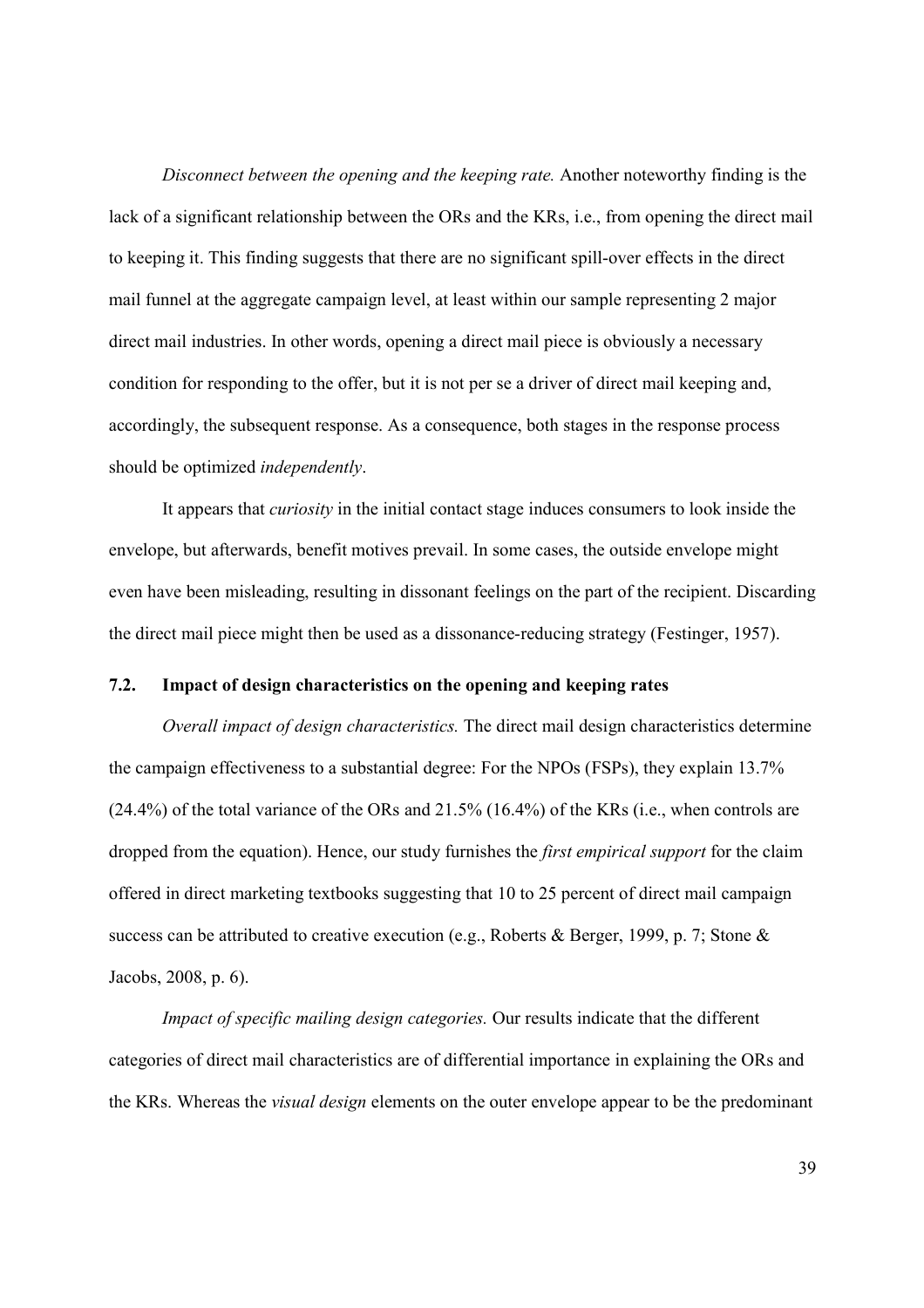*Disconnect between the opening and the keeping rate.* Another noteworthy finding is the lack of a significant relationship between the ORs and the KRs, i.e., from opening the direct mail to keeping it. This finding suggests that there are no significant spill-over effects in the direct mail funnel at the aggregate campaign level, at least within our sample representing 2 major direct mail industries. In other words, opening a direct mail piece is obviously a necessary condition for responding to the offer, but it is not per se a driver of direct mail keeping and, accordingly, the subsequent response. As a consequence, both stages in the response process should be optimized *independently*.

It appears that *curiosity* in the initial contact stage induces consumers to look inside the envelope, but afterwards, benefit motives prevail. In some cases, the outside envelope might even have been misleading, resulting in dissonant feelings on the part of the recipient. Discarding the direct mail piece might then be used as a dissonance-reducing strategy (Festinger, 1957).

#### **7.2. Impact of design characteristics on the opening and keeping rates**

*Overall impact of design characteristics.* The direct mail design characteristics determine the campaign effectiveness to a substantial degree: For the NPOs (FSPs), they explain 13.7% (24.4%) of the total variance of the ORs and 21.5% (16.4%) of the KRs (i.e., when controls are dropped from the equation). Hence, our study furnishes the *first empirical support* for the claim offered in direct marketing textbooks suggesting that 10 to 25 percent of direct mail campaign success can be attributed to creative execution (e.g., Roberts & Berger, 1999, p. 7; Stone & Jacobs, 2008, p. 6).

*Impact of specific mailing design categories.* Our results indicate that the different categories of direct mail characteristics are of differential importance in explaining the ORs and the KRs. Whereas the *visual design* elements on the outer envelope appear to be the predominant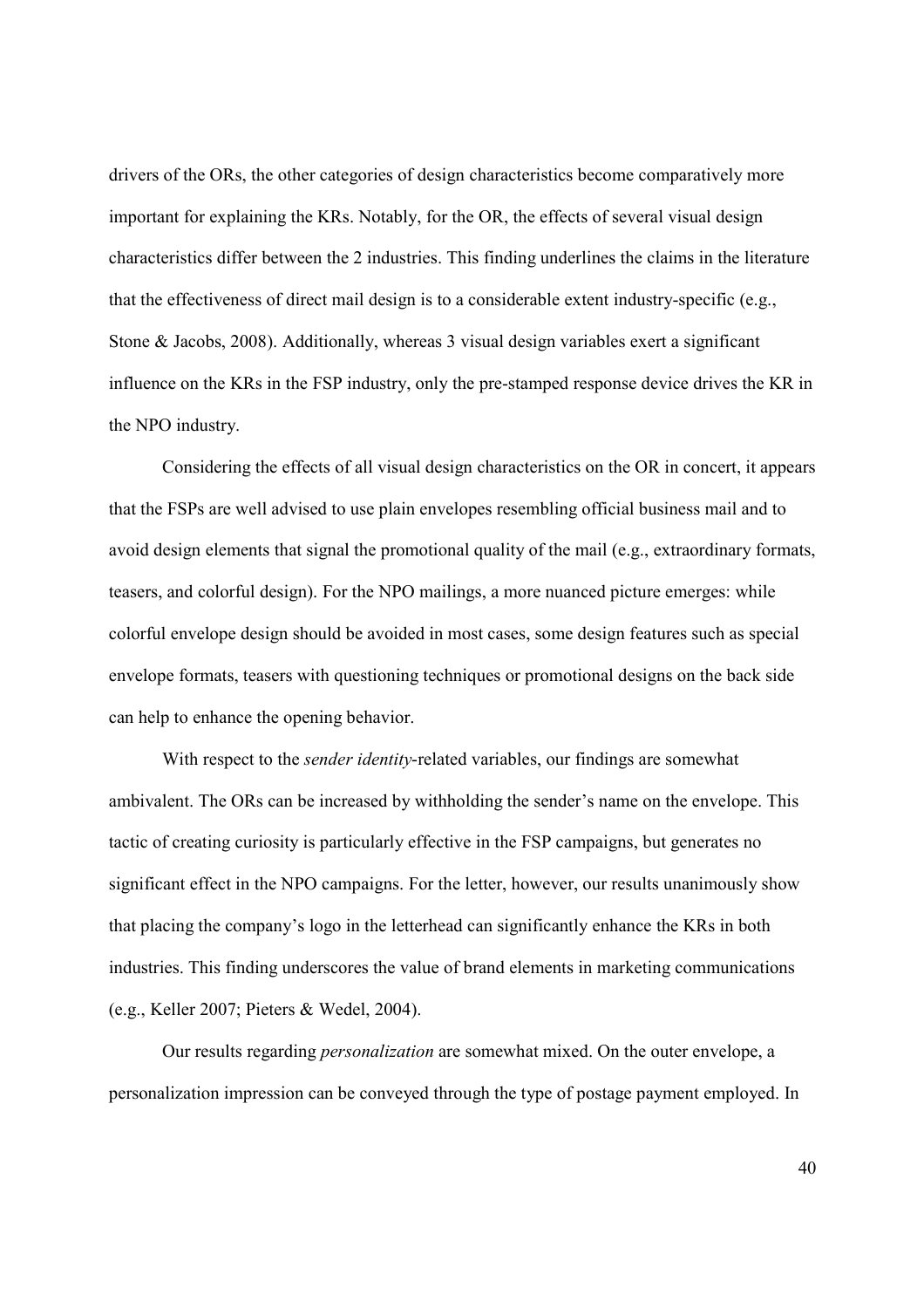drivers of the ORs, the other categories of design characteristics become comparatively more important for explaining the KRs. Notably, for the OR, the effects of several visual design characteristics differ between the 2 industries. This finding underlines the claims in the literature that the effectiveness of direct mail design is to a considerable extent industry-specific (e.g., Stone & Jacobs, 2008). Additionally, whereas 3 visual design variables exert a significant influence on the KRs in the FSP industry, only the pre-stamped response device drives the KR in the NPO industry.

Considering the effects of all visual design characteristics on the OR in concert, it appears that the FSPs are well advised to use plain envelopes resembling official business mail and to avoid design elements that signal the promotional quality of the mail (e.g., extraordinary formats, teasers, and colorful design). For the NPO mailings, a more nuanced picture emerges: while colorful envelope design should be avoided in most cases, some design features such as special envelope formats, teasers with questioning techniques or promotional designs on the back side can help to enhance the opening behavior.

With respect to the *sender identity*-related variables, our findings are somewhat ambivalent. The ORs can be increased by withholding the sender's name on the envelope. This tactic of creating curiosity is particularly effective in the FSP campaigns, but generates no significant effect in the NPO campaigns. For the letter, however, our results unanimously show that placing the company's logo in the letterhead can significantly enhance the KRs in both industries. This finding underscores the value of brand elements in marketing communications (e.g., Keller 2007; Pieters & Wedel, 2004).

Our results regarding *personalization* are somewhat mixed. On the outer envelope, a personalization impression can be conveyed through the type of postage payment employed. In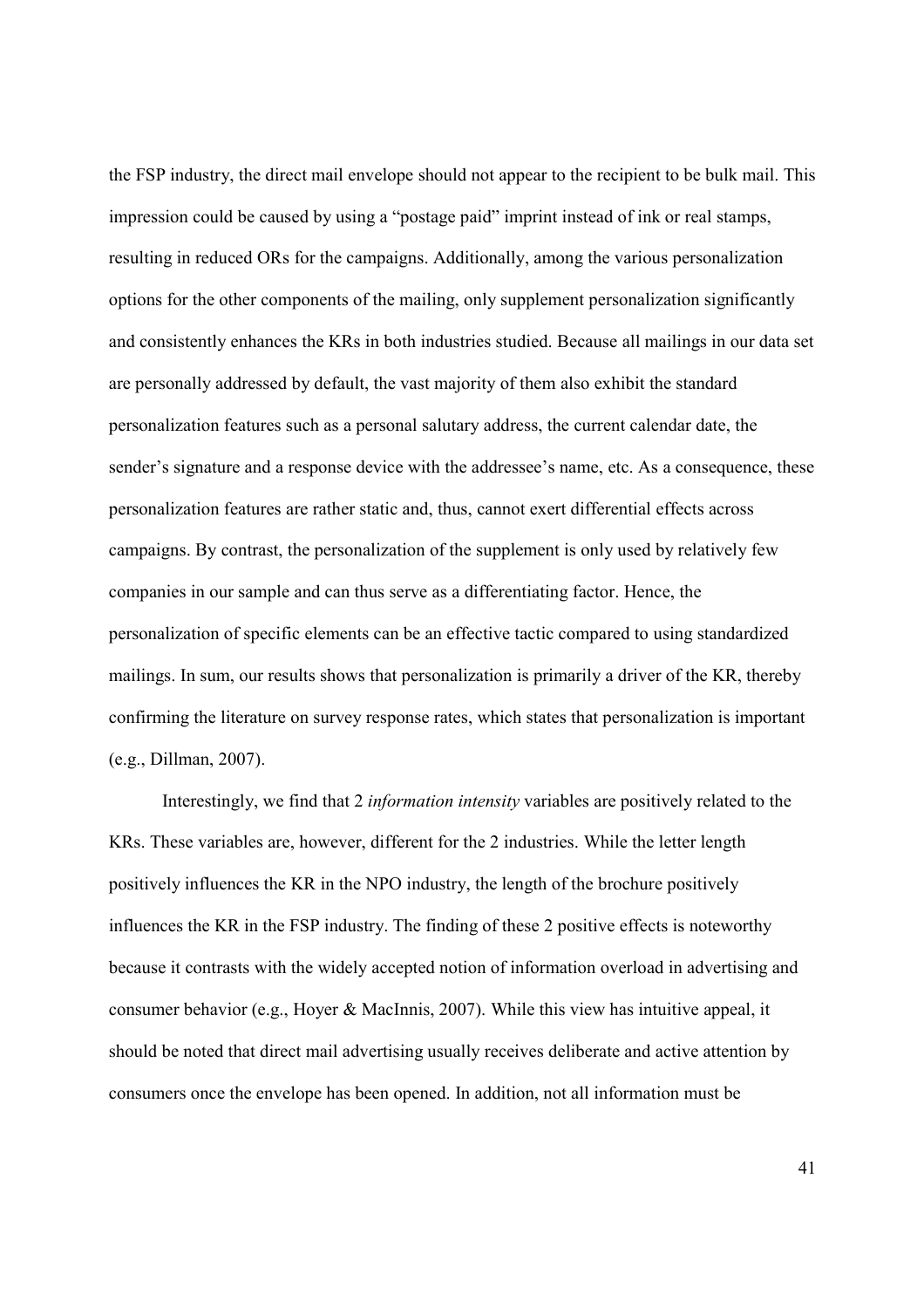the FSP industry, the direct mail envelope should not appear to the recipient to be bulk mail. This impression could be caused by using a "postage paid" imprint instead of ink or real stamps, resulting in reduced ORs for the campaigns. Additionally, among the various personalization options for the other components of the mailing, only supplement personalization significantly and consistently enhances the KRs in both industries studied. Because all mailings in our data set are personally addressed by default, the vast majority of them also exhibit the standard personalization features such as a personal salutary address, the current calendar date, the sender's signature and a response device with the addressee's name, etc. As a consequence, these personalization features are rather static and, thus, cannot exert differential effects across campaigns. By contrast, the personalization of the supplement is only used by relatively few companies in our sample and can thus serve as a differentiating factor. Hence, the personalization of specific elements can be an effective tactic compared to using standardized mailings. In sum, our results shows that personalization is primarily a driver of the KR, thereby confirming the literature on survey response rates, which states that personalization is important (e.g., Dillman, 2007).

Interestingly, we find that 2 *information intensity* variables are positively related to the KRs. These variables are, however, different for the 2 industries. While the letter length positively influences the KR in the NPO industry, the length of the brochure positively influences the KR in the FSP industry. The finding of these 2 positive effects is noteworthy because it contrasts with the widely accepted notion of information overload in advertising and consumer behavior (e.g., Hoyer & MacInnis, 2007). While this view has intuitive appeal, it should be noted that direct mail advertising usually receives deliberate and active attention by consumers once the envelope has been opened. In addition, not all information must be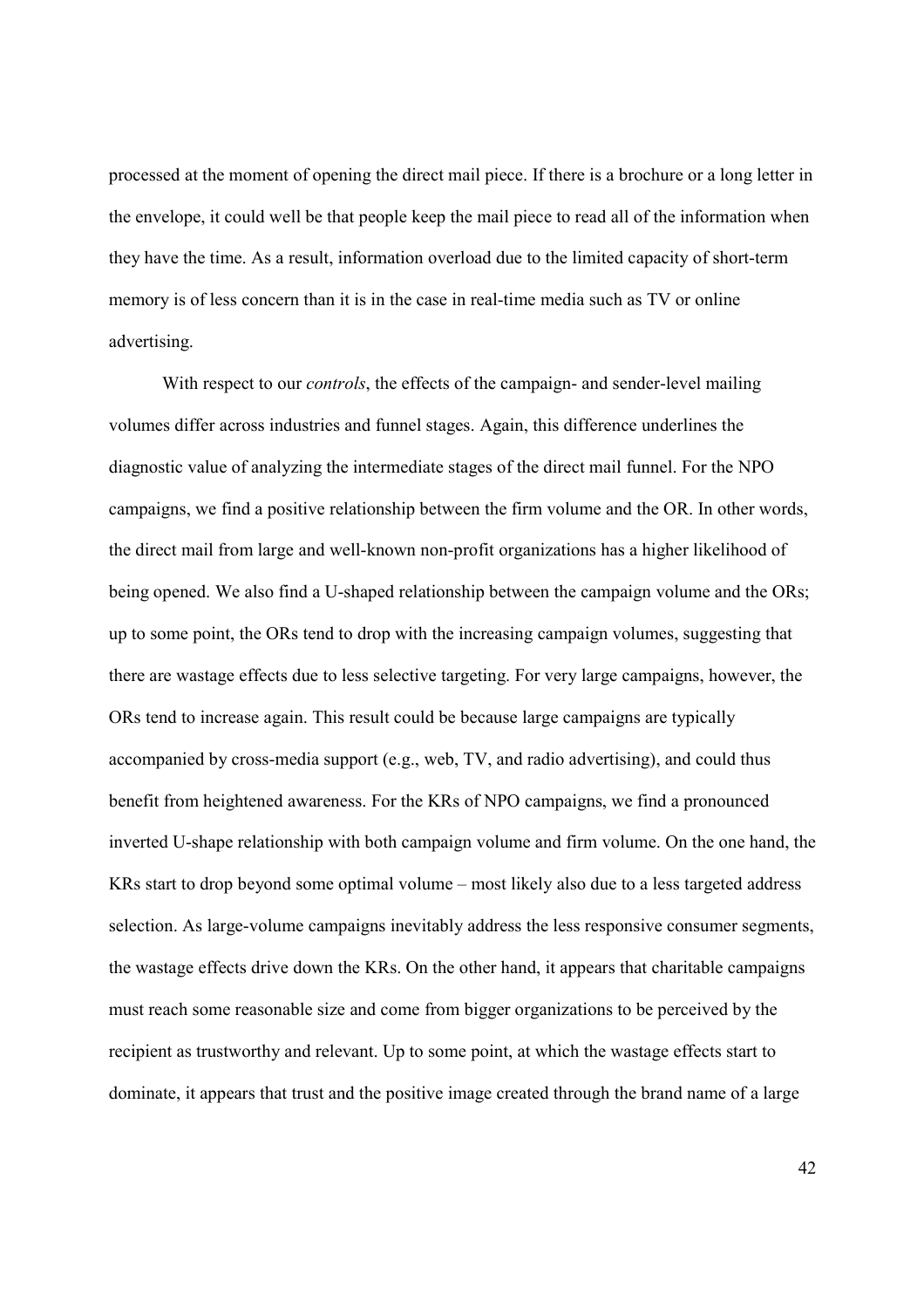processed at the moment of opening the direct mail piece. If there is a brochure or a long letter in the envelope, it could well be that people keep the mail piece to read all of the information when they have the time. As a result, information overload due to the limited capacity of short-term memory is of less concern than it is in the case in real-time media such as TV or online advertising.

With respect to our *controls*, the effects of the campaign- and sender-level mailing volumes differ across industries and funnel stages. Again, this difference underlines the diagnostic value of analyzing the intermediate stages of the direct mail funnel. For the NPO campaigns, we find a positive relationship between the firm volume and the OR. In other words, the direct mail from large and well-known non-profit organizations has a higher likelihood of being opened. We also find a U-shaped relationship between the campaign volume and the ORs; up to some point, the ORs tend to drop with the increasing campaign volumes, suggesting that there are wastage effects due to less selective targeting. For very large campaigns, however, the ORs tend to increase again. This result could be because large campaigns are typically accompanied by cross-media support (e.g., web, TV, and radio advertising), and could thus benefit from heightened awareness. For the KRs of NPO campaigns, we find a pronounced inverted U-shape relationship with both campaign volume and firm volume. On the one hand, the KRs start to drop beyond some optimal volume – most likely also due to a less targeted address selection. As large-volume campaigns inevitably address the less responsive consumer segments, the wastage effects drive down the KRs. On the other hand, it appears that charitable campaigns must reach some reasonable size and come from bigger organizations to be perceived by the recipient as trustworthy and relevant. Up to some point, at which the wastage effects start to dominate, it appears that trust and the positive image created through the brand name of a large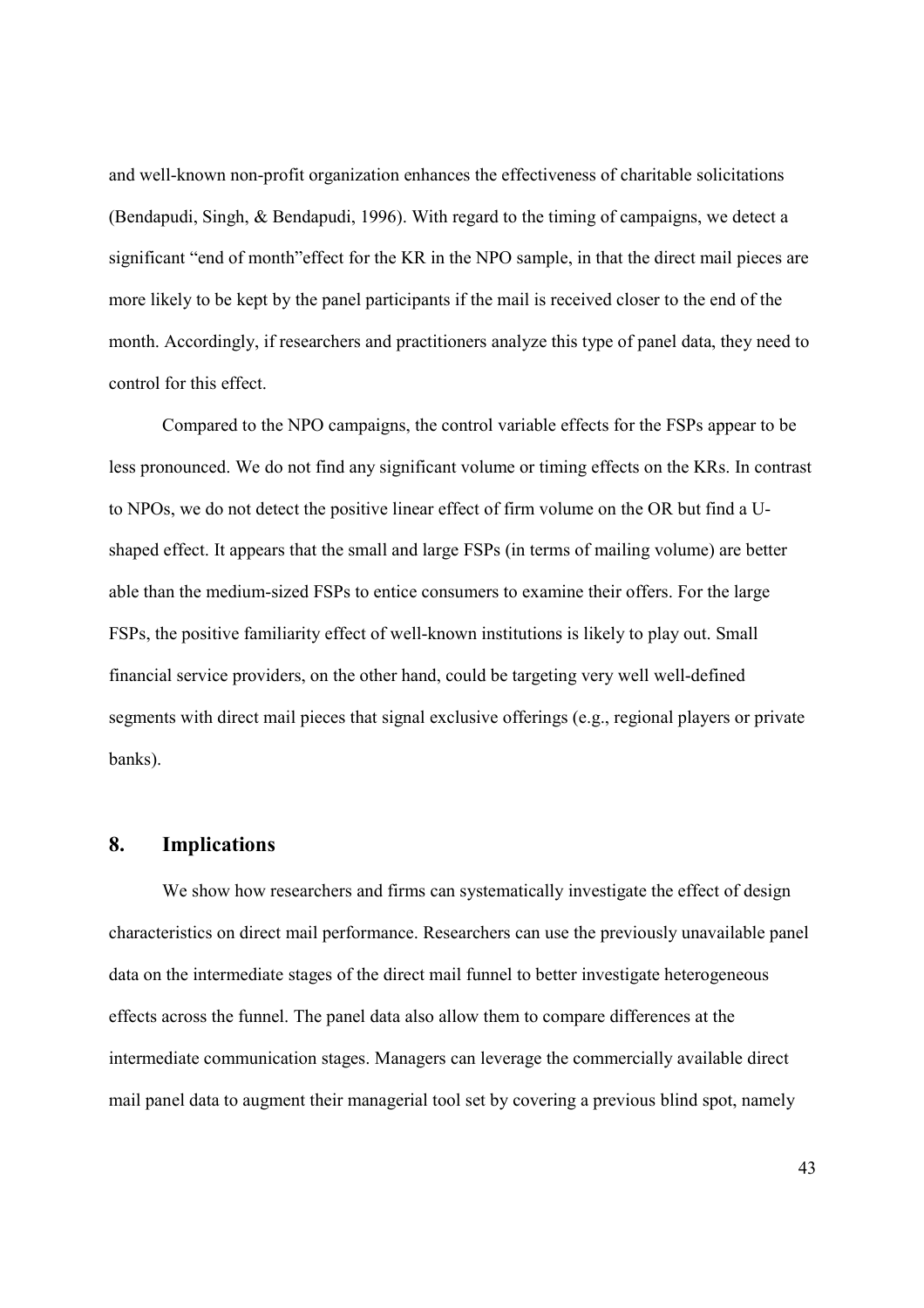and well-known non-profit organization enhances the effectiveness of charitable solicitations (Bendapudi, Singh, & Bendapudi, 1996). With regard to the timing of campaigns, we detect a significant "end of month"effect for the KR in the NPO sample, in that the direct mail pieces are more likely to be kept by the panel participants if the mail is received closer to the end of the month. Accordingly, if researchers and practitioners analyze this type of panel data, they need to control for this effect.

Compared to the NPO campaigns, the control variable effects for the FSPs appear to be less pronounced. We do not find any significant volume or timing effects on the KRs. In contrast to NPOs, we do not detect the positive linear effect of firm volume on the OR but find a Ushaped effect. It appears that the small and large FSPs (in terms of mailing volume) are better able than the medium-sized FSPs to entice consumers to examine their offers. For the large FSPs, the positive familiarity effect of well-known institutions is likely to play out. Small financial service providers, on the other hand, could be targeting very well well-defined segments with direct mail pieces that signal exclusive offerings (e.g., regional players or private banks).

### **8. Implications**

We show how researchers and firms can systematically investigate the effect of design characteristics on direct mail performance. Researchers can use the previously unavailable panel data on the intermediate stages of the direct mail funnel to better investigate heterogeneous effects across the funnel. The panel data also allow them to compare differences at the intermediate communication stages. Managers can leverage the commercially available direct mail panel data to augment their managerial tool set by covering a previous blind spot, namely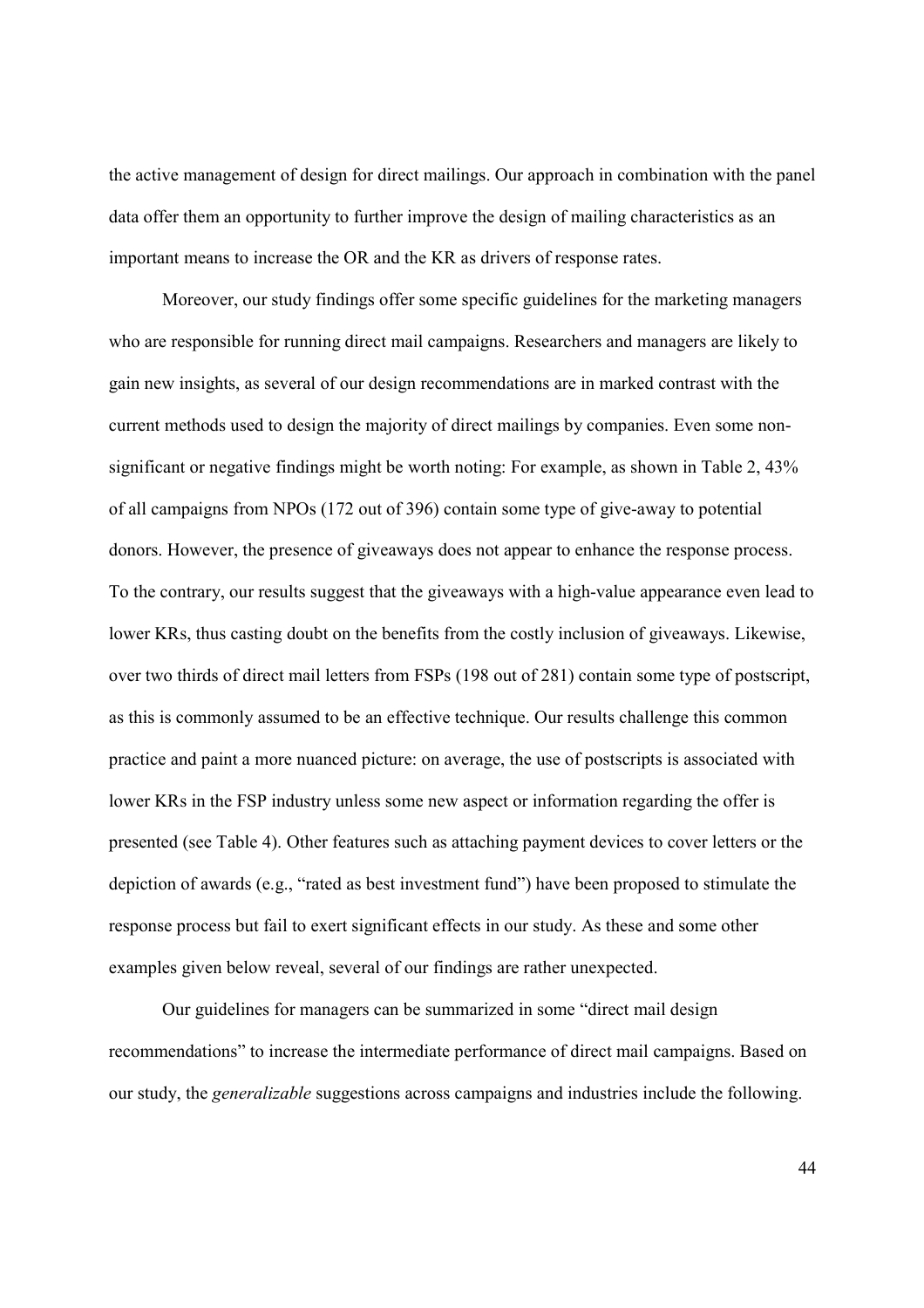the active management of design for direct mailings. Our approach in combination with the panel data offer them an opportunity to further improve the design of mailing characteristics as an important means to increase the OR and the KR as drivers of response rates.

Moreover, our study findings offer some specific guidelines for the marketing managers who are responsible for running direct mail campaigns. Researchers and managers are likely to gain new insights, as several of our design recommendations are in marked contrast with the current methods used to design the majority of direct mailings by companies. Even some nonsignificant or negative findings might be worth noting: For example, as shown in Table 2, 43% of all campaigns from NPOs (172 out of 396) contain some type of give-away to potential donors. However, the presence of giveaways does not appear to enhance the response process. To the contrary, our results suggest that the giveaways with a high-value appearance even lead to lower KRs, thus casting doubt on the benefits from the costly inclusion of giveaways. Likewise, over two thirds of direct mail letters from FSPs (198 out of 281) contain some type of postscript, as this is commonly assumed to be an effective technique. Our results challenge this common practice and paint a more nuanced picture: on average, the use of postscripts is associated with lower KRs in the FSP industry unless some new aspect or information regarding the offer is presented (see Table 4). Other features such as attaching payment devices to cover letters or the depiction of awards (e.g., "rated as best investment fund") have been proposed to stimulate the response process but fail to exert significant effects in our study. As these and some other examples given below reveal, several of our findings are rather unexpected.

Our guidelines for managers can be summarized in some "direct mail design recommendations" to increase the intermediate performance of direct mail campaigns. Based on our study, the *generalizable* suggestions across campaigns and industries include the following.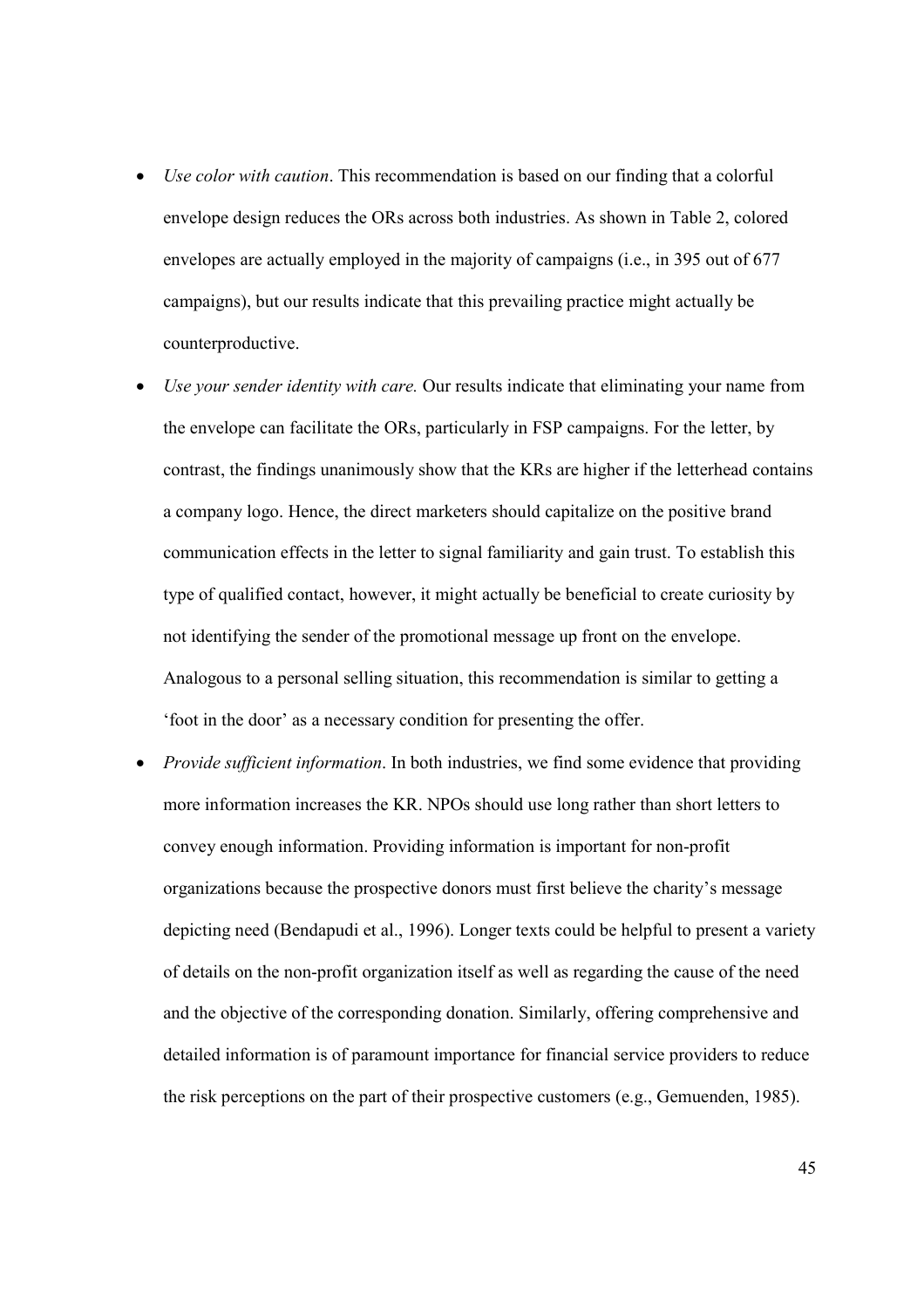- *Use color with caution*. This recommendation is based on our finding that a colorful envelope design reduces the ORs across both industries. As shown in Table 2, colored envelopes are actually employed in the majority of campaigns (i.e., in 395 out of 677 campaigns), but our results indicate that this prevailing practice might actually be counterproductive.
- *Use your sender identity with care.* Our results indicate that eliminating your name from the envelope can facilitate the ORs, particularly in FSP campaigns. For the letter, by contrast, the findings unanimously show that the KRs are higher if the letterhead contains a company logo. Hence, the direct marketers should capitalize on the positive brand communication effects in the letter to signal familiarity and gain trust. To establish this type of qualified contact, however, it might actually be beneficial to create curiosity by not identifying the sender of the promotional message up front on the envelope. Analogous to a personal selling situation, this recommendation is similar to getting a 'foot in the door' as a necessary condition for presenting the offer.
- *Provide sufficient information*. In both industries, we find some evidence that providing more information increases the KR. NPOs should use long rather than short letters to convey enough information. Providing information is important for non-profit organizations because the prospective donors must first believe the charity's message depicting need (Bendapudi et al., 1996). Longer texts could be helpful to present a variety of details on the non-profit organization itself as well as regarding the cause of the need and the objective of the corresponding donation. Similarly, offering comprehensive and detailed information is of paramount importance for financial service providers to reduce the risk perceptions on the part of their prospective customers (e.g., Gemuenden, 1985).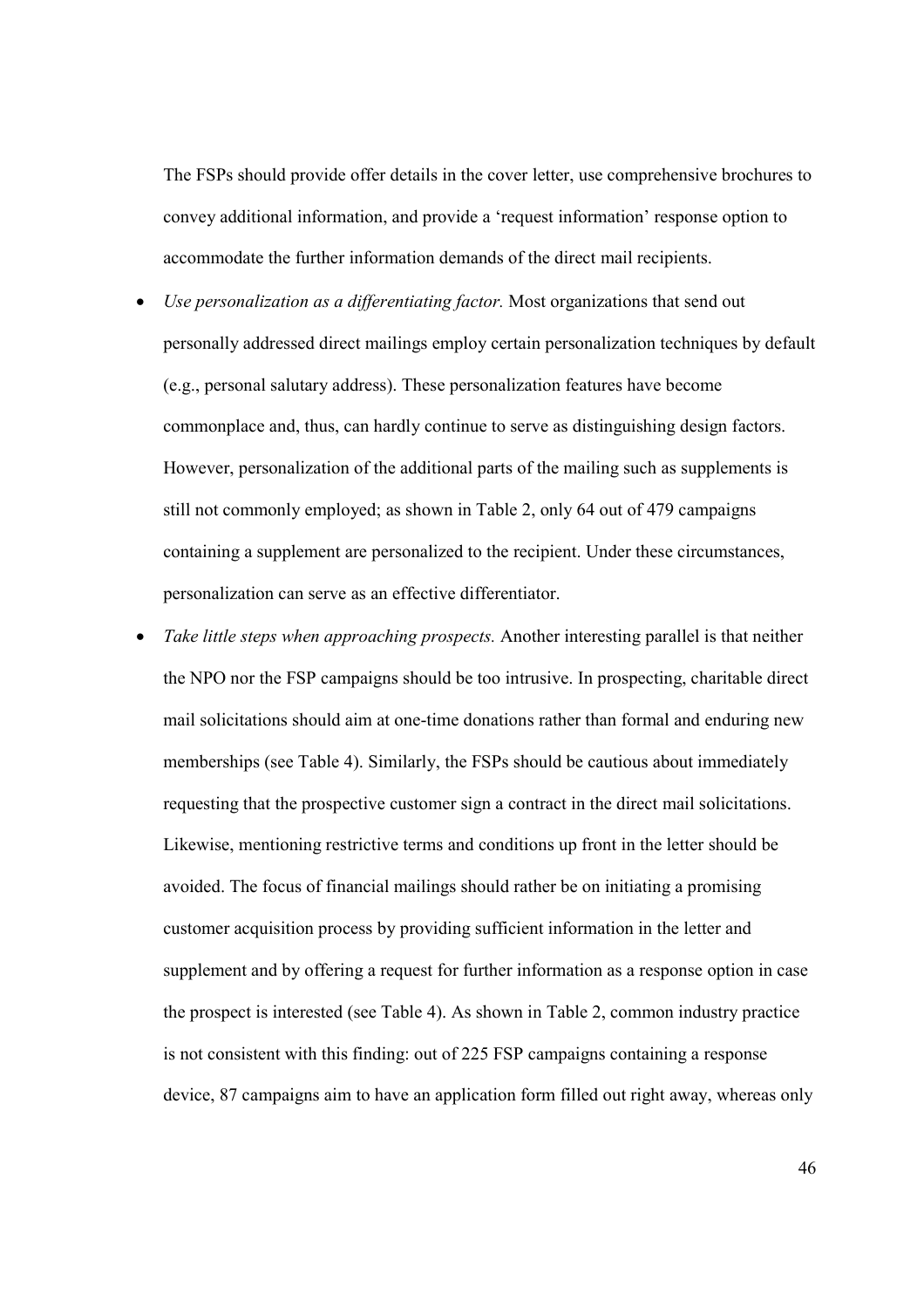The FSPs should provide offer details in the cover letter, use comprehensive brochures to convey additional information, and provide a 'request information' response option to accommodate the further information demands of the direct mail recipients.

- *Use personalization as a differentiating factor.* Most organizations that send out personally addressed direct mailings employ certain personalization techniques by default (e.g., personal salutary address). These personalization features have become commonplace and, thus, can hardly continue to serve as distinguishing design factors. However, personalization of the additional parts of the mailing such as supplements is still not commonly employed; as shown in Table 2, only 64 out of 479 campaigns containing a supplement are personalized to the recipient. Under these circumstances, personalization can serve as an effective differentiator.
- *Take little steps when approaching prospects.* Another interesting parallel is that neither the NPO nor the FSP campaigns should be too intrusive. In prospecting, charitable direct mail solicitations should aim at one-time donations rather than formal and enduring new memberships (see Table 4). Similarly, the FSPs should be cautious about immediately requesting that the prospective customer sign a contract in the direct mail solicitations. Likewise, mentioning restrictive terms and conditions up front in the letter should be avoided. The focus of financial mailings should rather be on initiating a promising customer acquisition process by providing sufficient information in the letter and supplement and by offering a request for further information as a response option in case the prospect is interested (see Table 4). As shown in Table 2, common industry practice is not consistent with this finding: out of 225 FSP campaigns containing a response device, 87 campaigns aim to have an application form filled out right away, whereas only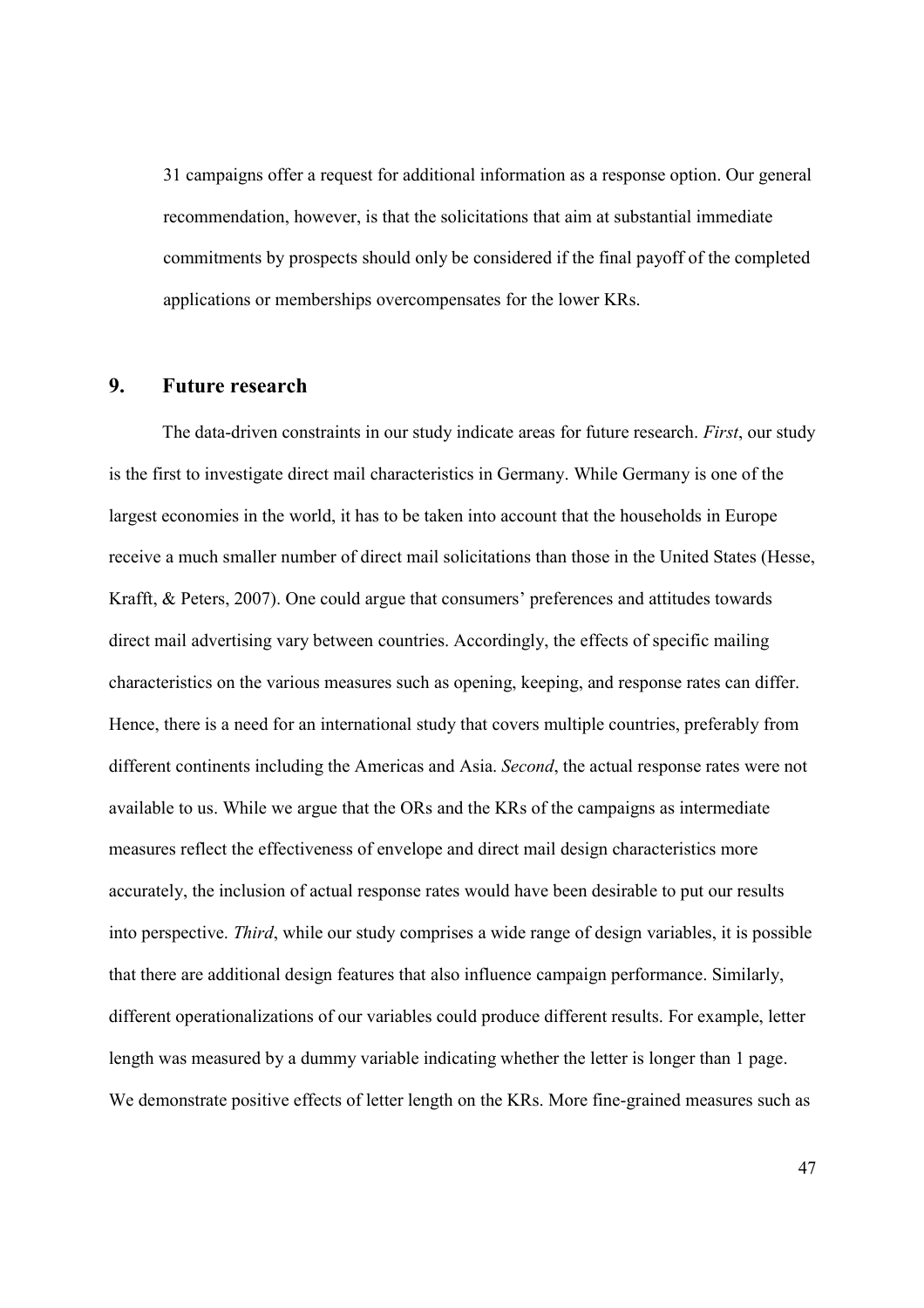31 campaigns offer a request for additional information as a response option. Our general recommendation, however, is that the solicitations that aim at substantial immediate commitments by prospects should only be considered if the final payoff of the completed applications or memberships overcompensates for the lower KRs.

### **9. Future research**

The data-driven constraints in our study indicate areas for future research. *First*, our study is the first to investigate direct mail characteristics in Germany. While Germany is one of the largest economies in the world, it has to be taken into account that the households in Europe receive a much smaller number of direct mail solicitations than those in the United States (Hesse, Krafft, & Peters, 2007). One could argue that consumers' preferences and attitudes towards direct mail advertising vary between countries. Accordingly, the effects of specific mailing characteristics on the various measures such as opening, keeping, and response rates can differ. Hence, there is a need for an international study that covers multiple countries, preferably from different continents including the Americas and Asia. *Second*, the actual response rates were not available to us. While we argue that the ORs and the KRs of the campaigns as intermediate measures reflect the effectiveness of envelope and direct mail design characteristics more accurately, the inclusion of actual response rates would have been desirable to put our results into perspective. *Third*, while our study comprises a wide range of design variables, it is possible that there are additional design features that also influence campaign performance. Similarly, different operationalizations of our variables could produce different results. For example, letter length was measured by a dummy variable indicating whether the letter is longer than 1 page. We demonstrate positive effects of letter length on the KRs. More fine-grained measures such as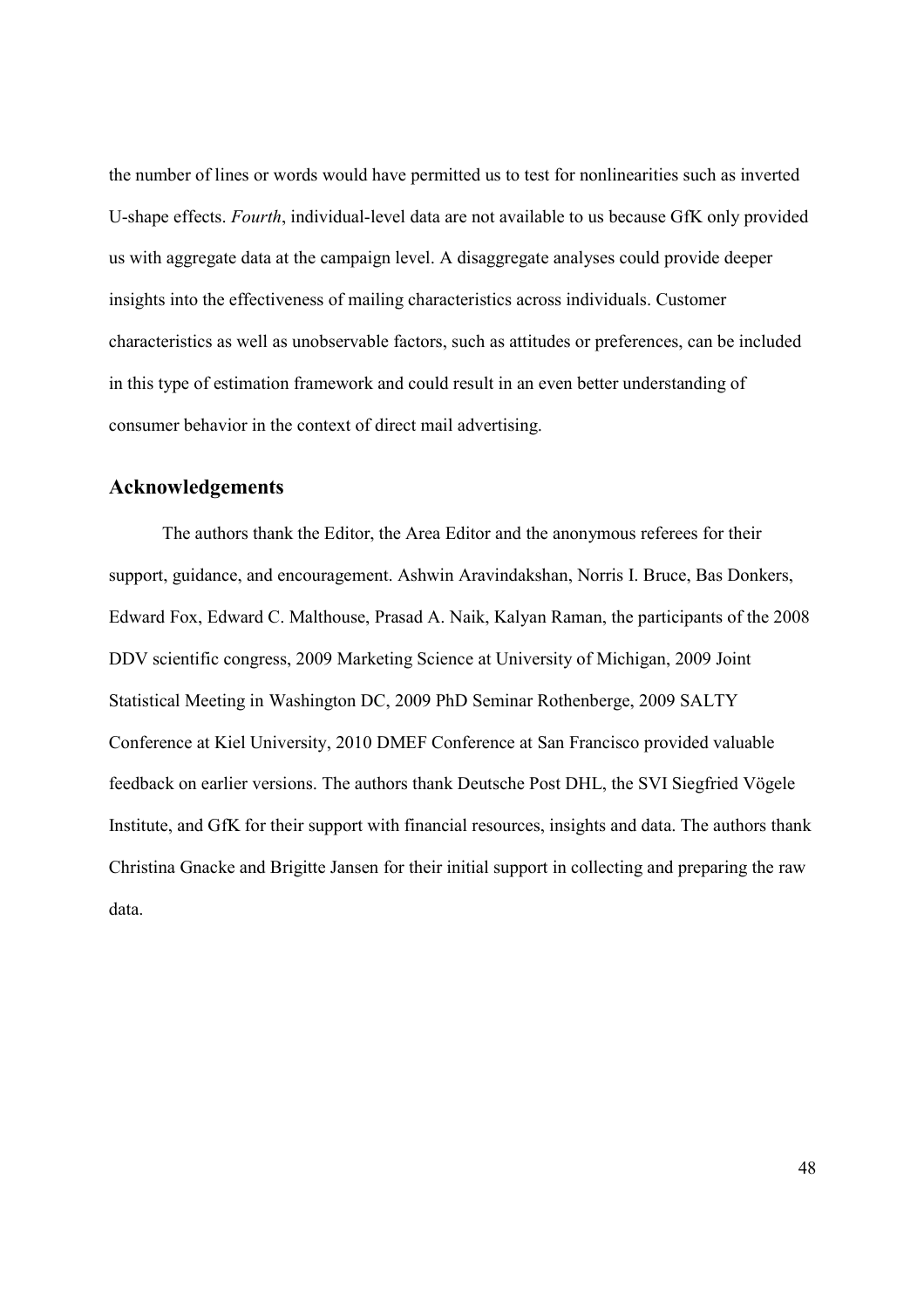the number of lines or words would have permitted us to test for nonlinearities such as inverted U-shape effects. *Fourth*, individual-level data are not available to us because GfK only provided us with aggregate data at the campaign level. A disaggregate analyses could provide deeper insights into the effectiveness of mailing characteristics across individuals. Customer characteristics as well as unobservable factors, such as attitudes or preferences, can be included in this type of estimation framework and could result in an even better understanding of consumer behavior in the context of direct mail advertising.

### **Acknowledgements**

The authors thank the Editor, the Area Editor and the anonymous referees for their support, guidance, and encouragement. Ashwin Aravindakshan, Norris I. Bruce, Bas Donkers, Edward Fox, Edward C. Malthouse, Prasad A. Naik, Kalyan Raman, the participants of the 2008 DDV scientific congress, 2009 Marketing Science at University of Michigan, 2009 Joint Statistical Meeting in Washington DC, 2009 PhD Seminar Rothenberge, 2009 SALTY Conference at Kiel University, 2010 DMEF Conference at San Francisco provided valuable feedback on earlier versions. The authors thank Deutsche Post DHL, the SVI Siegfried Vögele Institute, and GfK for their support with financial resources, insights and data. The authors thank Christina Gnacke and Brigitte Jansen for their initial support in collecting and preparing the raw data.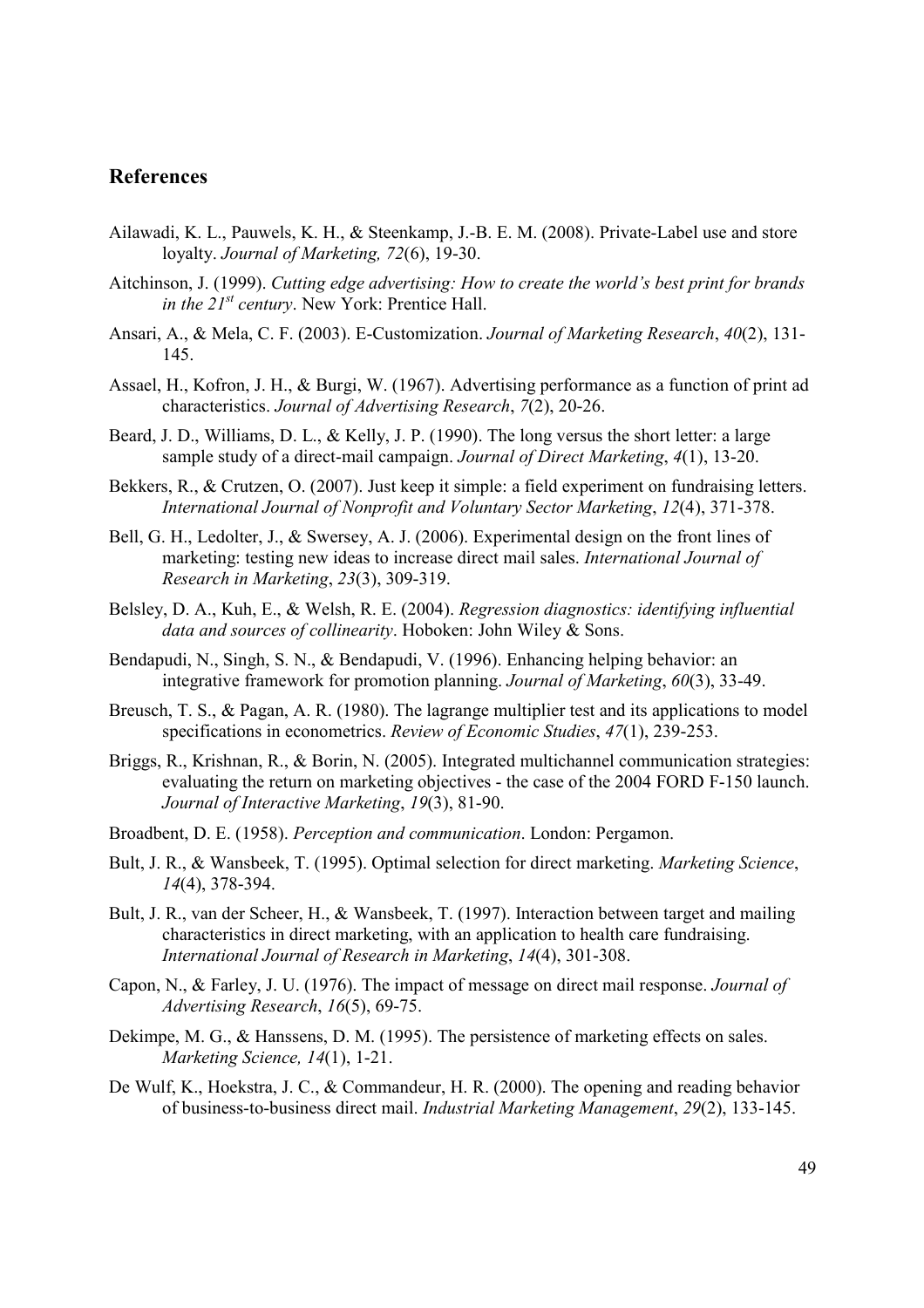### **References**

- Ailawadi, K. L., Pauwels, K. H., & Steenkamp, J.-B. E. M. (2008). Private-Label use and store loyalty. *Journal of Marketing, 72*(6), 19-30.
- Aitchinson, J. (1999). *Cutting edge advertising: How to create the world's best print for brands in the 21st century*. New York: Prentice Hall.
- Ansari, A., & Mela, C. F. (2003). E-Customization. *Journal of Marketing Research*, *40*(2), 131- 145.
- Assael, H., Kofron, J. H., & Burgi, W. (1967). Advertising performance as a function of print ad characteristics. *Journal of Advertising Research*, *7*(2), 20-26.
- Beard, J. D., Williams, D. L., & Kelly, J. P. (1990). The long versus the short letter: a large sample study of a direct-mail campaign. *Journal of Direct Marketing*, *4*(1), 13-20.
- Bekkers, R., & Crutzen, O. (2007). Just keep it simple: a field experiment on fundraising letters. *International Journal of Nonprofit and Voluntary Sector Marketing*, *12*(4), 371-378.
- Bell, G. H., Ledolter, J., & Swersey, A. J. (2006). Experimental design on the front lines of marketing: testing new ideas to increase direct mail sales. *International Journal of Research in Marketing*, *23*(3), 309-319.
- Belsley, D. A., Kuh, E., & Welsh, R. E. (2004). *Regression diagnostics: identifying influential data and sources of collinearity*. Hoboken: John Wiley & Sons.
- Bendapudi, N., Singh, S. N., & Bendapudi, V. (1996). Enhancing helping behavior: an integrative framework for promotion planning. *Journal of Marketing*, *60*(3), 33-49.
- Breusch, T. S., & Pagan, A. R. (1980). The lagrange multiplier test and its applications to model specifications in econometrics. *Review of Economic Studies*, *47*(1), 239-253.
- Briggs, R., Krishnan, R., & Borin, N. (2005). Integrated multichannel communication strategies: evaluating the return on marketing objectives - the case of the 2004 FORD F-150 launch. *Journal of Interactive Marketing*, *19*(3), 81-90.
- Broadbent, D. E. (1958). *Perception and communication*. London: Pergamon.
- Bult, J. R., & Wansbeek, T. (1995). Optimal selection for direct marketing. *Marketing Science*, *14*(4), 378-394.
- Bult, J. R., van der Scheer, H., & Wansbeek, T. (1997). Interaction between target and mailing characteristics in direct marketing, with an application to health care fundraising. *International Journal of Research in Marketing*, *14*(4), 301-308.
- Capon, N., & Farley, J. U. (1976). The impact of message on direct mail response. *Journal of Advertising Research*, *16*(5), 69-75.
- Dekimpe, M. G., & Hanssens, D. M. (1995). The persistence of marketing effects on sales. *Marketing Science, 14*(1), 1-21.
- De Wulf, K., Hoekstra, J. C., & Commandeur, H. R. (2000). The opening and reading behavior of business-to-business direct mail. *Industrial Marketing Management*, *29*(2), 133-145.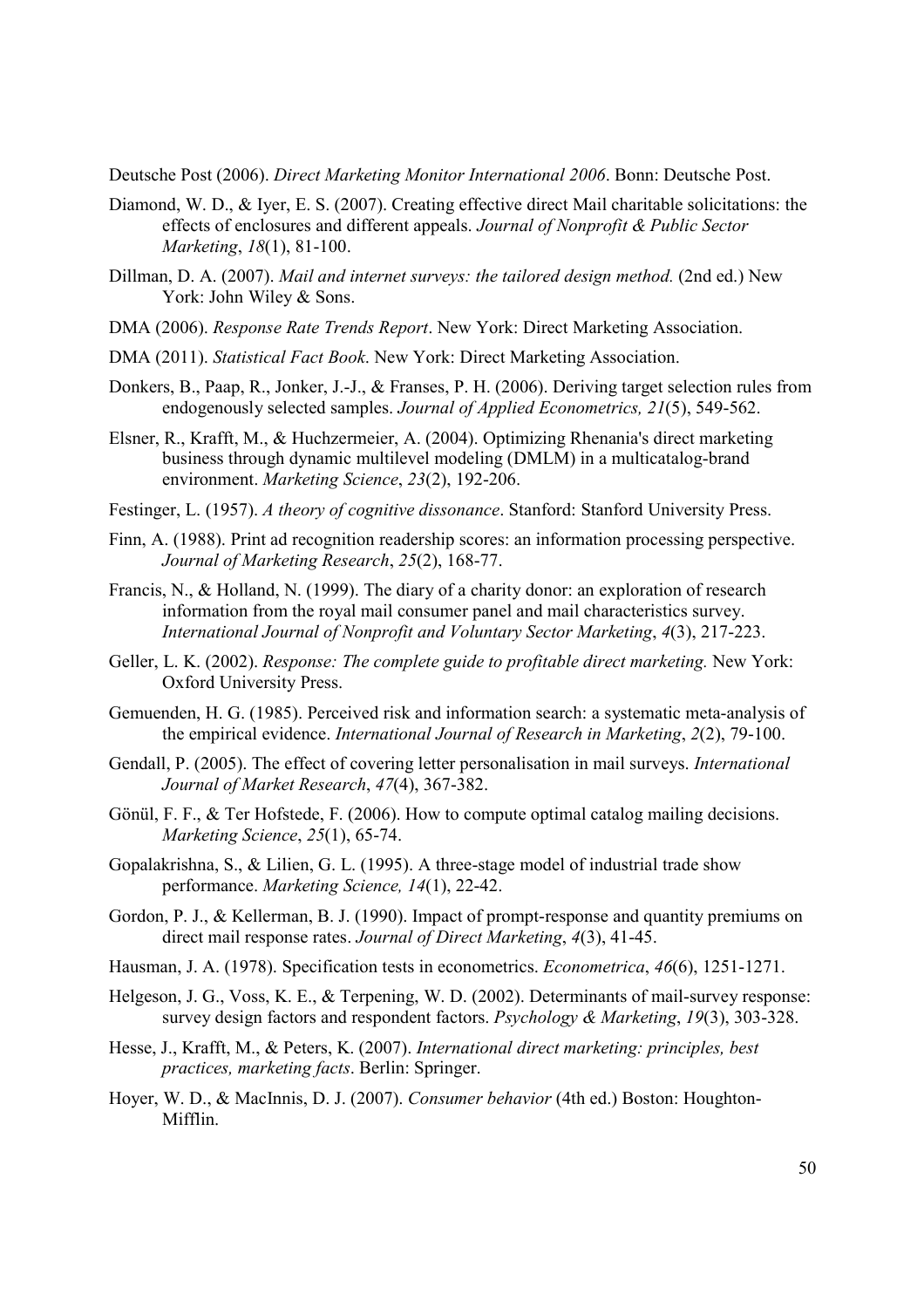Deutsche Post (2006). *Direct Marketing Monitor International 2006*. Bonn: Deutsche Post.

- Diamond, W. D., & Iyer, E. S. (2007). Creating effective direct Mail charitable solicitations: the effects of enclosures and different appeals. *Journal of Nonprofit & Public Sector Marketing*, *18*(1), 81-100.
- Dillman, D. A. (2007). *Mail and internet surveys: the tailored design method.* (2nd ed.) New York: John Wiley & Sons.
- DMA (2006). *Response Rate Trends Report*. New York: Direct Marketing Association.
- DMA (2011). *Statistical Fact Book*. New York: Direct Marketing Association.
- Donkers, B., Paap, R., Jonker, J.-J., & Franses, P. H. (2006). Deriving target selection rules from endogenously selected samples. *Journal of Applied Econometrics, 21*(5), 549-562.
- Elsner, R., Krafft, M., & Huchzermeier, A. (2004). Optimizing Rhenania's direct marketing business through dynamic multilevel modeling (DMLM) in a multicatalog-brand environment. *Marketing Science*, *23*(2), 192-206.
- Festinger, L. (1957). *A theory of cognitive dissonance*. Stanford: Stanford University Press.
- Finn, A. (1988). Print ad recognition readership scores: an information processing perspective. *Journal of Marketing Research*, *25*(2), 168-77.
- Francis, N., & Holland, N. (1999). The diary of a charity donor: an exploration of research information from the royal mail consumer panel and mail characteristics survey. *International Journal of Nonprofit and Voluntary Sector Marketing*, *4*(3), 217-223.
- Geller, L. K. (2002). *Response: The complete guide to profitable direct marketing.* New York: Oxford University Press.
- Gemuenden, H. G. (1985). Perceived risk and information search: a systematic meta-analysis of the empirical evidence. *International Journal of Research in Marketing*, *2*(2), 79-100.
- Gendall, P. (2005). The effect of covering letter personalisation in mail surveys. *International Journal of Market Research*, *47*(4), 367-382.
- Gönül, F. F., & Ter Hofstede, F. (2006). How to compute optimal catalog mailing decisions. *Marketing Science*, *25*(1), 65-74.
- Gopalakrishna, S., & Lilien, G. L. (1995). A three-stage model of industrial trade show performance. *Marketing Science, 14*(1), 22-42.
- Gordon, P. J., & Kellerman, B. J. (1990). Impact of prompt-response and quantity premiums on direct mail response rates. *Journal of Direct Marketing*, *4*(3), 41-45.
- Hausman, J. A. (1978). Specification tests in econometrics. *Econometrica*, *46*(6), 1251-1271.
- Helgeson, J. G., Voss, K. E., & Terpening, W. D. (2002). Determinants of mail-survey response: survey design factors and respondent factors. *Psychology & Marketing*, *19*(3), 303-328.
- Hesse, J., Krafft, M., & Peters, K. (2007). *International direct marketing: principles, best practices, marketing facts*. Berlin: Springer.
- Hoyer, W. D., & MacInnis, D. J. (2007). *Consumer behavior* (4th ed.) Boston: Houghton-Mifflin.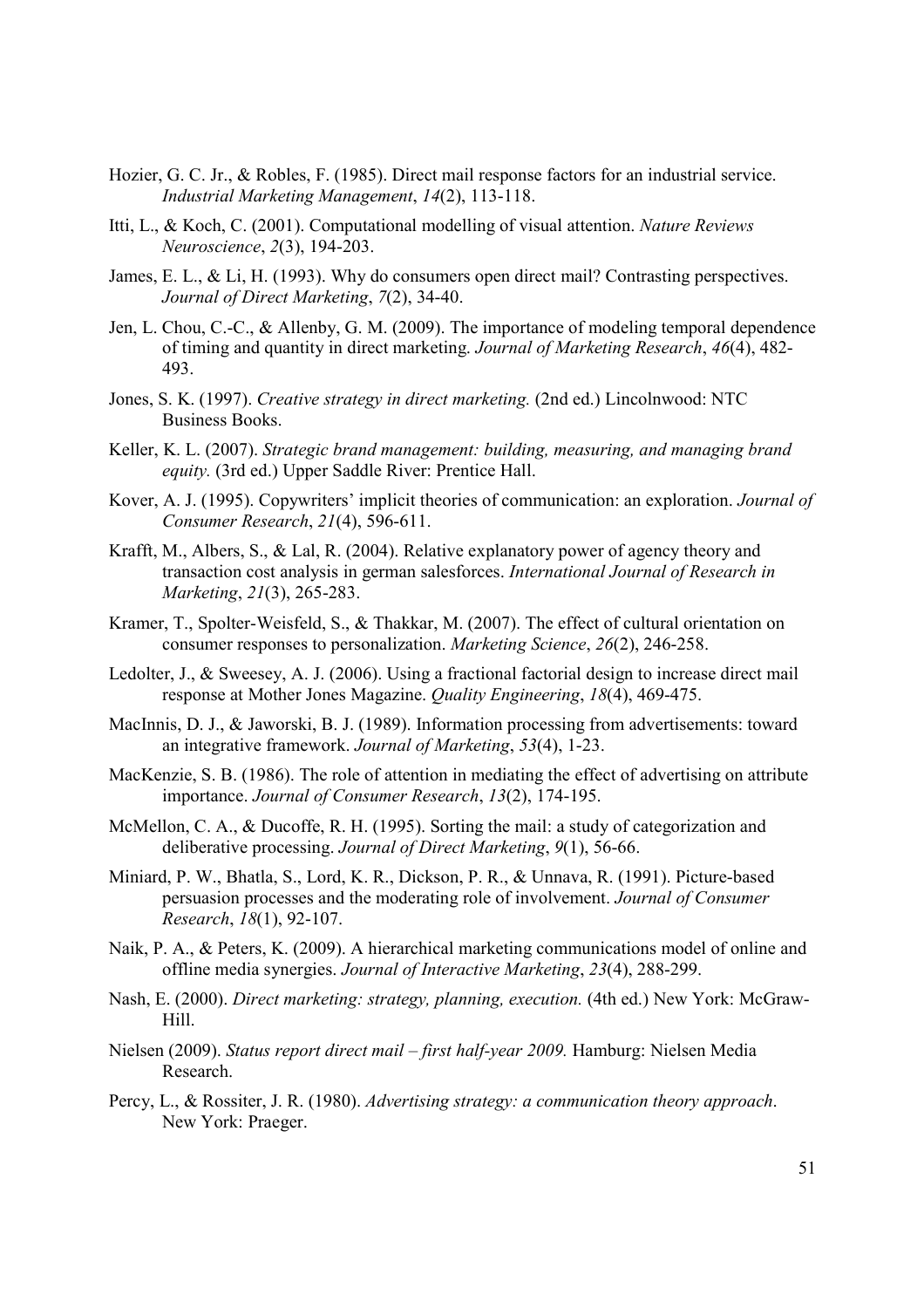- Hozier, G. C. Jr., & Robles, F. (1985). Direct mail response factors for an industrial service. *Industrial Marketing Management*, *14*(2), 113-118.
- Itti, L., & Koch, C. (2001). Computational modelling of visual attention. *Nature Reviews Neuroscience*, *2*(3), 194-203.
- James, E. L., & Li, H. (1993). Why do consumers open direct mail? Contrasting perspectives. *Journal of Direct Marketing*, *7*(2), 34-40.
- Jen, L. Chou, C.-C., & Allenby, G. M. (2009). The importance of modeling temporal dependence of timing and quantity in direct marketing. *Journal of Marketing Research*, *46*(4), 482- 493.
- Jones, S. K. (1997). *Creative strategy in direct marketing.* (2nd ed.) Lincolnwood: NTC Business Books.
- Keller, K. L. (2007). *Strategic brand management: building, measuring, and managing brand equity.* (3rd ed.) Upper Saddle River: Prentice Hall.
- Kover, A. J. (1995). Copywriters' implicit theories of communication: an exploration. *Journal of Consumer Research*, *21*(4), 596-611.
- Krafft, M., Albers, S., & Lal, R. (2004). Relative explanatory power of agency theory and transaction cost analysis in german salesforces. *International Journal of Research in Marketing*, *21*(3), 265-283.
- Kramer, T., Spolter-Weisfeld, S., & Thakkar, M. (2007). The effect of cultural orientation on consumer responses to personalization. *Marketing Science*, *26*(2), 246-258.
- Ledolter, J., & Sweesey, A. J. (2006). Using a fractional factorial design to increase direct mail response at Mother Jones Magazine. *Quality Engineering*, *18*(4), 469-475.
- MacInnis, D. J., & Jaworski, B. J. (1989). Information processing from advertisements: toward an integrative framework. *Journal of Marketing*, *53*(4), 1-23.
- MacKenzie, S. B. (1986). The role of attention in mediating the effect of advertising on attribute importance. *Journal of Consumer Research*, *13*(2), 174-195.
- McMellon, C. A., & Ducoffe, R. H. (1995). Sorting the mail: a study of categorization and deliberative processing. *Journal of Direct Marketing*, *9*(1), 56-66.
- Miniard, P. W., Bhatla, S., Lord, K. R., Dickson, P. R., & Unnava, R. (1991). Picture-based persuasion processes and the moderating role of involvement. *Journal of Consumer Research*, *18*(1), 92-107.
- Naik, P. A., & Peters, K. (2009). A hierarchical marketing communications model of online and offline media synergies. *Journal of Interactive Marketing*, *23*(4), 288-299.
- Nash, E. (2000). *Direct marketing: strategy, planning, execution.* (4th ed.) New York: McGraw-Hill.
- Nielsen (2009). *Status report direct mail first half-year 2009.* Hamburg: Nielsen Media Research.
- Percy, L., & Rossiter, J. R. (1980). *Advertising strategy: a communication theory approach*. New York: Praeger.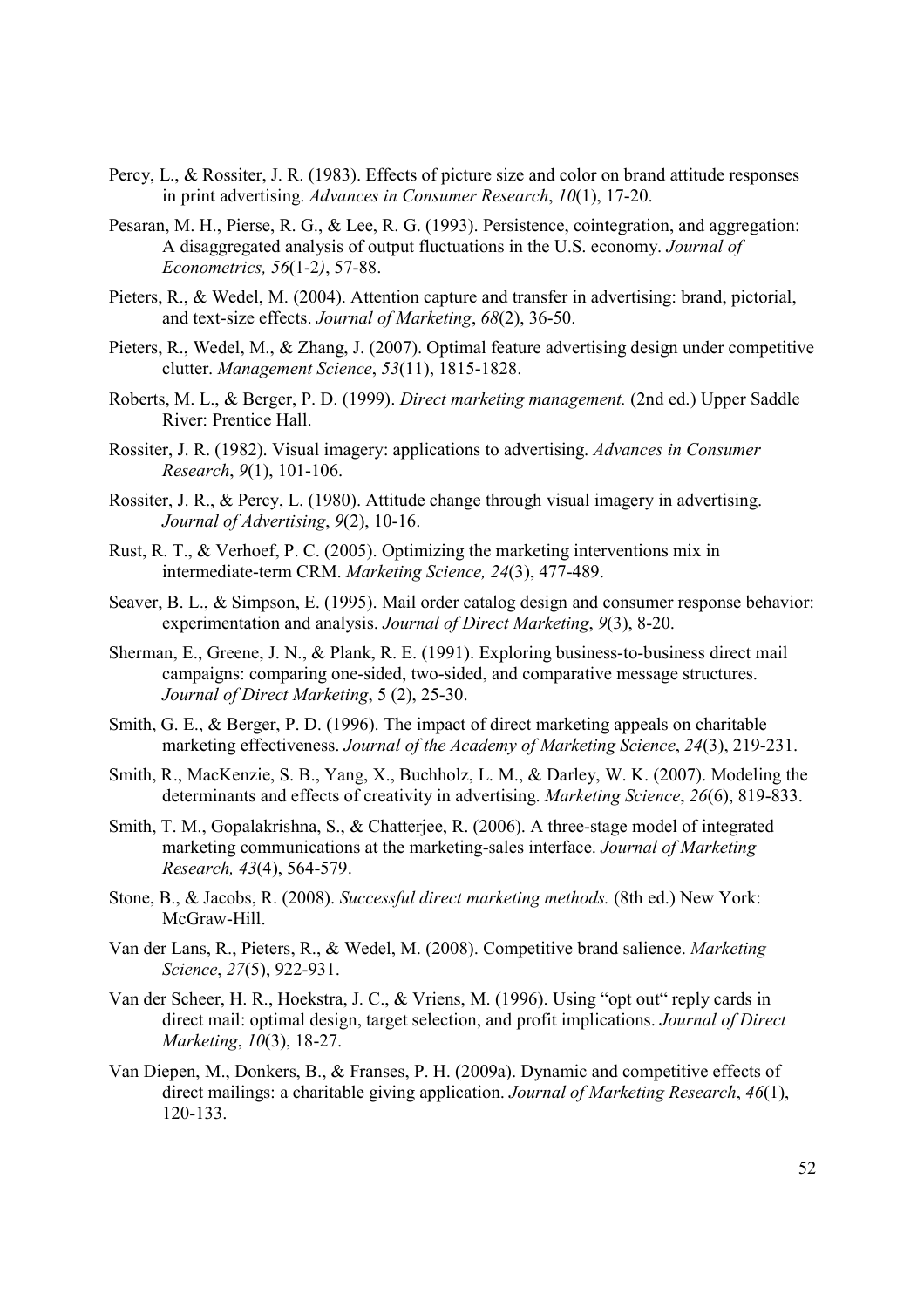- Percy, L., & Rossiter, J. R. (1983). Effects of picture size and color on brand attitude responses in print advertising. *Advances in Consumer Research*, *10*(1), 17-20.
- Pesaran, M. H., Pierse, R. G., & Lee, R. G. (1993). Persistence, cointegration, and aggregation: A disaggregated analysis of output fluctuations in the U.S. economy. *Journal of Econometrics, 56*(1-2*)*, 57-88.
- Pieters, R., & Wedel, M. (2004). Attention capture and transfer in advertising: brand, pictorial, and text-size effects. *Journal of Marketing*, *68*(2), 36-50.
- Pieters, R., Wedel, M., & Zhang, J. (2007). Optimal feature advertising design under competitive clutter. *Management Science*, *53*(11), 1815-1828.
- Roberts, M. L., & Berger, P. D. (1999). *Direct marketing management.* (2nd ed.) Upper Saddle River: Prentice Hall.
- Rossiter, J. R. (1982). Visual imagery: applications to advertising. *Advances in Consumer Research*, *9*(1), 101-106.
- Rossiter, J. R., & Percy, L. (1980). Attitude change through visual imagery in advertising. *Journal of Advertising*, *9*(2), 10-16.
- Rust, R. T., & Verhoef, P. C. (2005). Optimizing the marketing interventions mix in intermediate-term CRM. *Marketing Science, 24*(3), 477-489.
- Seaver, B. L., & Simpson, E. (1995). Mail order catalog design and consumer response behavior: experimentation and analysis. *Journal of Direct Marketing*, *9*(3), 8-20.
- Sherman, E., Greene, J. N., & Plank, R. E. (1991). Exploring business-to-business direct mail campaigns: comparing one-sided, two-sided, and comparative message structures. *Journal of Direct Marketing*, 5 (2), 25-30.
- Smith, G. E., & Berger, P. D. (1996). The impact of direct marketing appeals on charitable marketing effectiveness. *Journal of the Academy of Marketing Science*, *24*(3), 219-231.
- Smith, R., MacKenzie, S. B., Yang, X., Buchholz, L. M., & Darley, W. K. (2007). Modeling the determinants and effects of creativity in advertising. *Marketing Science*, *26*(6), 819-833.
- Smith, T. M., Gopalakrishna, S., & Chatterjee, R. (2006). A three-stage model of integrated marketing communications at the marketing-sales interface. *Journal of Marketing Research, 43*(4), 564-579.
- Stone, B., & Jacobs, R. (2008). *Successful direct marketing methods.* (8th ed.) New York: McGraw-Hill.
- Van der Lans, R., Pieters, R., & Wedel, M. (2008). Competitive brand salience. *Marketing Science*, *27*(5), 922-931.
- Van der Scheer, H. R., Hoekstra, J. C., & Vriens, M. (1996). Using "opt out" reply cards in direct mail: optimal design, target selection, and profit implications. *Journal of Direct Marketing*, *10*(3), 18-27.
- Van Diepen, M., Donkers, B., & Franses, P. H. (2009a). Dynamic and competitive effects of direct mailings: a charitable giving application. *Journal of Marketing Research*, *46*(1), 120-133.